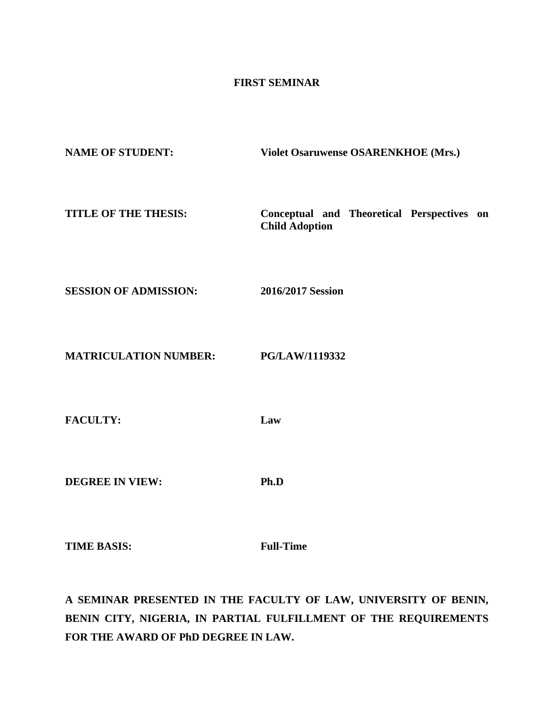## **FIRST SEMINAR**

| <b>NAME OF STUDENT:</b>      | Violet Osaruwense OSARENKHOE (Mrs.)                                 |
|------------------------------|---------------------------------------------------------------------|
| TITLE OF THE THESIS:         | Conceptual and Theoretical Perspectives on<br><b>Child Adoption</b> |
| <b>SESSION OF ADMISSION:</b> | 2016/2017 Session                                                   |
| <b>MATRICULATION NUMBER:</b> | PG/LAW/1119332                                                      |
| <b>FACULTY:</b>              | Law                                                                 |
| <b>DEGREE IN VIEW:</b>       | Ph.D                                                                |
|                              |                                                                     |

**TIME BASIS: Full-Time** 

**A SEMINAR PRESENTED IN THE FACULTY OF LAW, UNIVERSITY OF BENIN, BENIN CITY, NIGERIA, IN PARTIAL FULFILLMENT OF THE REQUIREMENTS FOR THE AWARD OF PhD DEGREE IN LAW.**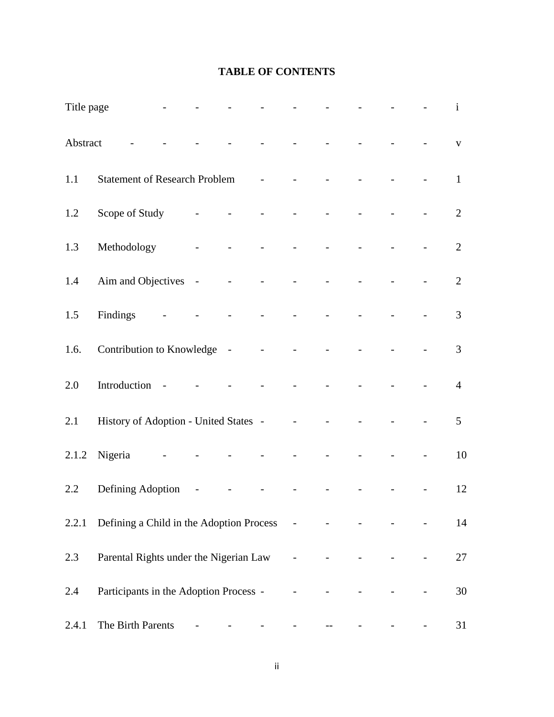# **TABLE OF CONTENTS**

| Title page |                                                  |                                             |                                             |                                                                                                                                                                                                                                                                                                                                                                                                                                                           |                                                   | and the state of the state                    | $\Delta \sim 100$        |  | $\mathbf{i}$    |
|------------|--------------------------------------------------|---------------------------------------------|---------------------------------------------|-----------------------------------------------------------------------------------------------------------------------------------------------------------------------------------------------------------------------------------------------------------------------------------------------------------------------------------------------------------------------------------------------------------------------------------------------------------|---------------------------------------------------|-----------------------------------------------|--------------------------|--|-----------------|
| Abstract   |                                                  |                                             | $\bar{\mathcal{L}}$                         | and the state of the state                                                                                                                                                                                                                                                                                                                                                                                                                                |                                                   | $\Delta \sim 10^4$                            |                          |  | $\mathbf{V}$    |
| 1.1        | <b>Statement of Research Problem</b>             |                                             |                                             | $\omega_{\rm{max}}$                                                                                                                                                                                                                                                                                                                                                                                                                                       | $\Delta \sim 10^4$                                | $\overline{a}$                                |                          |  | $\mathbf{1}$    |
| 1.2        | Scope of Study                                   | $\omega_{\rm{max}}$ and $\omega_{\rm{max}}$ | $\omega_{\rm{max}}$ and $\omega_{\rm{max}}$ | $\omega_{\rm{max}}$                                                                                                                                                                                                                                                                                                                                                                                                                                       | $\Delta \sim 10^{11}$ km s $^{-1}$                | $\omega_{\rm{max}}$                           | $\omega_{\rm{max}}$      |  | $\overline{2}$  |
| 1.3        | Methodology                                      |                                             | $\Delta \sim 10^{11}$ m $^{-1}$             |                                                                                                                                                                                                                                                                                                                                                                                                                                                           |                                                   | and the state of the state of                 |                          |  | $\overline{2}$  |
| 1.4        | Aim and Objectives -                             |                                             |                                             |                                                                                                                                                                                                                                                                                                                                                                                                                                                           | $\mathbb{L}$                                      |                                               |                          |  | $\overline{2}$  |
| 1.5        | Findings                                         |                                             |                                             |                                                                                                                                                                                                                                                                                                                                                                                                                                                           |                                                   |                                               |                          |  | $\overline{3}$  |
| 1.6.       | Contribution to Knowledge - - - - -              |                                             |                                             |                                                                                                                                                                                                                                                                                                                                                                                                                                                           |                                                   | $\mathbf{r}$                                  |                          |  | $\overline{3}$  |
| 2.0        | Introduction -                                   |                                             |                                             |                                                                                                                                                                                                                                                                                                                                                                                                                                                           | $\frac{1}{2}$ and $\frac{1}{2}$ and $\frac{1}{2}$ | $\mathbb{L}$                                  |                          |  | $\overline{4}$  |
| 2.1        | History of Adoption - United States -            |                                             |                                             |                                                                                                                                                                                                                                                                                                                                                                                                                                                           | $\omega_{\rm{max}}$                               | $\omega_{\rm{eff}}$                           |                          |  | $5\overline{)}$ |
| 2.1.2      | Nigeria                                          |                                             |                                             |                                                                                                                                                                                                                                                                                                                                                                                                                                                           | $\omega_{\rm{max}}$                               |                                               |                          |  | 10              |
| 2.2        | Defining Adoption -                              |                                             | $\equiv$                                    | $\mathcal{L}^{\mathcal{L}}(\mathcal{L}^{\mathcal{L}}(\mathcal{L}^{\mathcal{L}}(\mathcal{L}^{\mathcal{L}}(\mathcal{L}^{\mathcal{L}}(\mathcal{L}^{\mathcal{L}}(\mathcal{L}^{\mathcal{L}}(\mathcal{L}^{\mathcal{L}}(\mathcal{L}^{\mathcal{L}}(\mathcal{L}^{\mathcal{L}}(\mathcal{L}^{\mathcal{L}}(\mathcal{L}^{\mathcal{L}}(\mathcal{L}^{\mathcal{L}}(\mathcal{L}^{\mathcal{L}}(\mathcal{L}^{\mathcal{L}}(\mathcal{L}^{\mathcal{L}}(\mathcal{L}^{\mathcal{L$ | $\omega_{\rm{max}}$ and $\omega_{\rm{max}}$       | $\omega_{\rm{max}}$                           | $\overline{\phantom{a}}$ |  | 12              |
|            | 2.2.1 Defining a Child in the Adoption Process - |                                             |                                             |                                                                                                                                                                                                                                                                                                                                                                                                                                                           |                                                   |                                               |                          |  | 14              |
| 2.3        | Parental Rights under the Nigerian Law           |                                             |                                             |                                                                                                                                                                                                                                                                                                                                                                                                                                                           | $\omega_{\rm{max}}$                               |                                               |                          |  | $27\,$          |
| 2.4        | Participants in the Adoption Process -           |                                             |                                             |                                                                                                                                                                                                                                                                                                                                                                                                                                                           | $\Box$                                            |                                               |                          |  | 30              |
| 2.4.1      | The Birth Parents                                |                                             |                                             |                                                                                                                                                                                                                                                                                                                                                                                                                                                           | $\overline{\phantom{a}}$                          | $\mathord{\hspace{1pt}\text{--}\hspace{1pt}}$ |                          |  | 31              |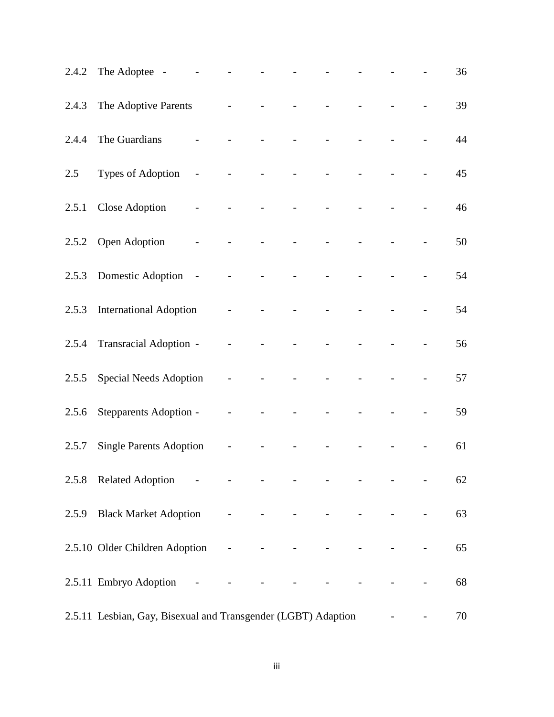|       | 2.4.2 The Adoptee -                                           |                | $\omega_{\rm{max}}$      | $\omega_{\rm{max}}$      | $\omega_{\rm{max}}$                         | $\omega_{\rm{max}}$                                                                                                                                                                                                                  |                                             |                                             |                      | 36 |
|-------|---------------------------------------------------------------|----------------|--------------------------|--------------------------|---------------------------------------------|--------------------------------------------------------------------------------------------------------------------------------------------------------------------------------------------------------------------------------------|---------------------------------------------|---------------------------------------------|----------------------|----|
|       | 2.4.3 The Adoptive Parents                                    |                |                          |                          |                                             |                                                                                                                                                                                                                                      |                                             |                                             |                      | 39 |
|       | 2.4.4 The Guardians                                           |                | $\frac{1}{2}$            | $\Box$                   | $\Box$                                      | $\frac{1}{2}$                                                                                                                                                                                                                        |                                             |                                             |                      | 44 |
| 2.5   | Types of Adoption -                                           |                | $\equiv$                 | $\bar{\mathcal{L}}$      | $\Box$                                      |                                                                                                                                                                                                                                      |                                             |                                             |                      | 45 |
|       | 2.5.1 Close Adoption                                          | $\mathbb{Z}^2$ | $\bar{\phantom{a}}$      |                          | $\equiv$                                    | $\equiv$                                                                                                                                                                                                                             |                                             |                                             |                      | 46 |
|       | 2.5.2 Open Adoption                                           |                |                          |                          |                                             |                                                                                                                                                                                                                                      |                                             |                                             |                      | 50 |
|       | 2.5.3 Domestic Adoption -                                     |                |                          | $\overline{\phantom{a}}$ | $\Box$                                      | $\Box$                                                                                                                                                                                                                               |                                             |                                             |                      | 54 |
|       | 2.5.3 International Adoption                                  |                | $\overline{\phantom{a}}$ |                          |                                             |                                                                                                                                                                                                                                      |                                             |                                             |                      | 54 |
|       | 2.5.4 Transracial Adoption -                                  |                |                          |                          |                                             |                                                                                                                                                                                                                                      |                                             |                                             |                      | 56 |
| 2.5.5 | <b>Special Needs Adoption</b>                                 |                | $\omega_{\rm{max}}$      | $\omega_{\rm{max}}$      | $\blacksquare$                              | $\blacksquare$                                                                                                                                                                                                                       |                                             |                                             |                      | 57 |
| 2.5.6 | Stepparents Adoption -                                        |                | $\overline{\phantom{a}}$ | $\blacksquare$           | $\overline{a}$                              | $\overline{a}$                                                                                                                                                                                                                       |                                             |                                             |                      | 59 |
| 2.5.7 | <b>Single Parents Adoption</b>                                |                |                          |                          |                                             |                                                                                                                                                                                                                                      |                                             |                                             |                      | 61 |
|       | 2.5.8 Related Adoption - - - - - - - - - - - - -              |                |                          |                          |                                             |                                                                                                                                                                                                                                      |                                             |                                             |                      | 62 |
|       | 2.5.9 Black Market Adoption - - -                             |                |                          |                          |                                             | <b>All the Contract Contract of the Contract Contract Contract Contract Contract Contract Contract Contract Contract Contract Contract Contract Contract Contract Contract Contract Contract Contract Contract Contract Contract</b> |                                             |                                             | $\mathbb{L}$         | 63 |
|       | 2.5.10 Older Children Adoption - - -                          |                |                          |                          | $\blacksquare$                              | $\omega_{\rm{max}}$ and $\omega_{\rm{max}}$                                                                                                                                                                                          | $\omega_{\rm{max}}$ and $\omega_{\rm{max}}$ | $\omega_{\rm{max}}$ and $\omega_{\rm{max}}$ | $\frac{1}{2}$        | 65 |
|       | 2.5.11 Embryo Adoption -                                      |                | $\overline{\phantom{a}}$ |                          | $\omega_{\rm{max}}$ and $\omega_{\rm{max}}$ | $\frac{1}{2}$ , $\frac{1}{2}$ , $\frac{1}{2}$ , $\frac{1}{2}$                                                                                                                                                                        | $\omega_{\rm{max}}$                         |                                             |                      | 68 |
|       | 2.5.11 Lesbian, Gay, Bisexual and Transgender (LGBT) Adaption |                |                          |                          |                                             |                                                                                                                                                                                                                                      |                                             |                                             | <b>All Contracts</b> | 70 |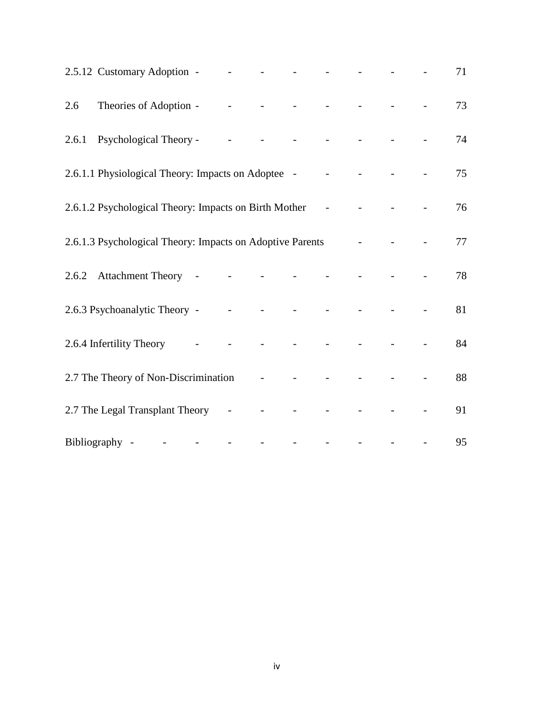|     | 2.5.12 Customary Adoption - - - - - - - - - - - - - -                                                                                                                                                                                |  |  |  |  | 71 |
|-----|--------------------------------------------------------------------------------------------------------------------------------------------------------------------------------------------------------------------------------------|--|--|--|--|----|
| 2.6 |                                                                                                                                                                                                                                      |  |  |  |  | 73 |
|     | 2.6.1 Psychological Theory - - - - - - - - - - - - -                                                                                                                                                                                 |  |  |  |  | 74 |
|     | 2.6.1.1 Physiological Theory: Impacts on Adoptee - - - - -                                                                                                                                                                           |  |  |  |  | 75 |
|     | 2.6.1.2 Psychological Theory: Impacts on Birth Mother - - - - - - -                                                                                                                                                                  |  |  |  |  | 76 |
|     | 2.6.1.3 Psychological Theory: Impacts on Adoptive Parents - - - - - - - -                                                                                                                                                            |  |  |  |  | 77 |
|     | 2.6.2 Attachment Theory - - - - - - - - -                                                                                                                                                                                            |  |  |  |  | 78 |
|     | 2.6.3 Psychoanalytic Theory - - - - - - - - - - - - -                                                                                                                                                                                |  |  |  |  | 81 |
|     | 2.6.4 Infertility Theory <b>contract of the contract of the contract of the contract of the contract of the contract of the contract of the contract of the contract of the contract of the contract of the contract of the cont</b> |  |  |  |  | 84 |
|     | 2.7 The Theory of Non-Discrimination - - - - -                                                                                                                                                                                       |  |  |  |  | 88 |
|     | 2.7 The Legal Transplant Theory - - - - - - - - - - - - -                                                                                                                                                                            |  |  |  |  | 91 |
|     | Bibliography - - - - - - - - - - - - - - -                                                                                                                                                                                           |  |  |  |  | 95 |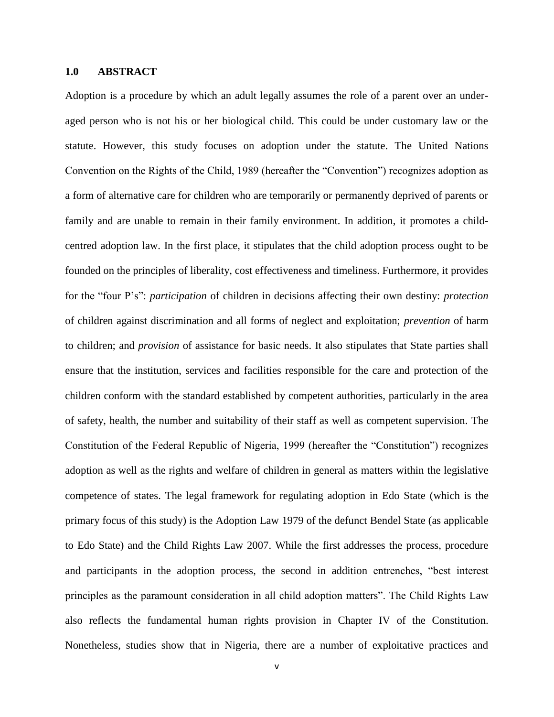#### **1.0 ABSTRACT**

Adoption is a procedure by which an adult legally assumes the role of a parent over an underaged person who is not his or her biological child. This could be under customary law or the statute. However, this study focuses on adoption under the statute. The United Nations Convention on the Rights of the Child, 1989 (hereafter the "Convention") recognizes adoption as a form of alternative care for children who are temporarily or permanently deprived of parents or family and are unable to remain in their family environment. In addition, it promotes a childcentred adoption law. In the first place, it stipulates that the child adoption process ought to be founded on the principles of liberality, cost effectiveness and timeliness. Furthermore, it provides for the "four P's": *participation* of children in decisions affecting their own destiny: *protection*  of children against discrimination and all forms of neglect and exploitation; *prevention* of harm to children; and *provision* of assistance for basic needs. It also stipulates that State parties shall ensure that the institution, services and facilities responsible for the care and protection of the children conform with the standard established by competent authorities, particularly in the area of safety, health, the number and suitability of their staff as well as competent supervision. The Constitution of the Federal Republic of Nigeria, 1999 (hereafter the "Constitution") recognizes adoption as well as the rights and welfare of children in general as matters within the legislative competence of states. The legal framework for regulating adoption in Edo State (which is the primary focus of this study) is the Adoption Law 1979 of the defunct Bendel State (as applicable to Edo State) and the Child Rights Law 2007. While the first addresses the process, procedure and participants in the adoption process, the second in addition entrenches, "best interest principles as the paramount consideration in all child adoption matters". The Child Rights Law also reflects the fundamental human rights provision in Chapter IV of the Constitution. Nonetheless, studies show that in Nigeria, there are a number of exploitative practices and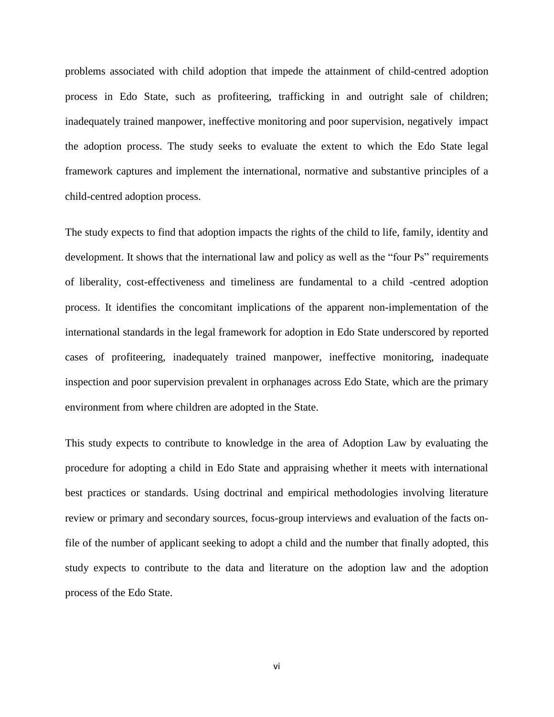problems associated with child adoption that impede the attainment of child-centred adoption process in Edo State, such as profiteering, trafficking in and outright sale of children; inadequately trained manpower, ineffective monitoring and poor supervision, negatively impact the adoption process. The study seeks to evaluate the extent to which the Edo State legal framework captures and implement the international, normative and substantive principles of a child-centred adoption process.

The study expects to find that adoption impacts the rights of the child to life, family, identity and development. It shows that the international law and policy as well as the "four Ps" requirements of liberality, cost-effectiveness and timeliness are fundamental to a child -centred adoption process. It identifies the concomitant implications of the apparent non-implementation of the international standards in the legal framework for adoption in Edo State underscored by reported cases of profiteering, inadequately trained manpower, ineffective monitoring, inadequate inspection and poor supervision prevalent in orphanages across Edo State, which are the primary environment from where children are adopted in the State.

This study expects to contribute to knowledge in the area of Adoption Law by evaluating the procedure for adopting a child in Edo State and appraising whether it meets with international best practices or standards. Using doctrinal and empirical methodologies involving literature review or primary and secondary sources, focus-group interviews and evaluation of the facts onfile of the number of applicant seeking to adopt a child and the number that finally adopted, this study expects to contribute to the data and literature on the adoption law and the adoption process of the Edo State.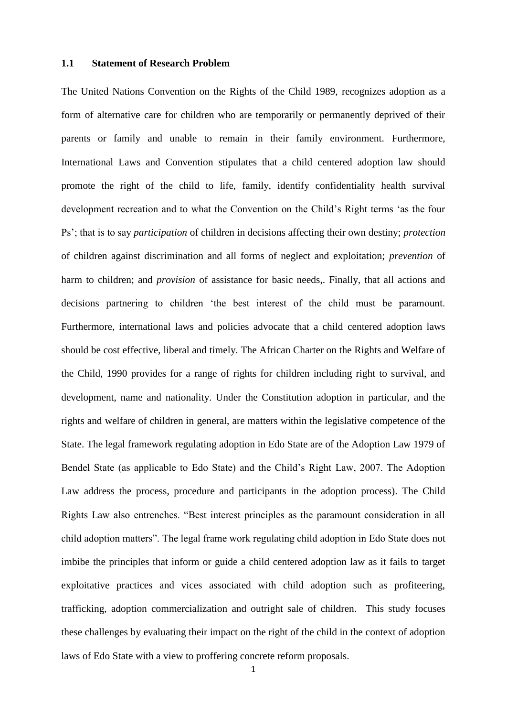### **1.1 Statement of Research Problem**

The United Nations Convention on the Rights of the Child 1989, recognizes adoption as a form of alternative care for children who are temporarily or permanently deprived of their parents or family and unable to remain in their family environment. Furthermore, International Laws and Convention stipulates that a child centered adoption law should promote the right of the child to life, family, identify confidentiality health survival development recreation and to what the Convention on the Child's Right terms 'as the four Ps'; that is to say *participation* of children in decisions affecting their own destiny; *protection* of children against discrimination and all forms of neglect and exploitation; *prevention* of harm to children; and *provision* of assistance for basic needs,. Finally, that all actions and decisions partnering to children 'the best interest of the child must be paramount. Furthermore, international laws and policies advocate that a child centered adoption laws should be cost effective, liberal and timely. The African Charter on the Rights and Welfare of the Child, 1990 provides for a range of rights for children including right to survival, and development, name and nationality. Under the Constitution adoption in particular, and the rights and welfare of children in general, are matters within the legislative competence of the State. The legal framework regulating adoption in Edo State are of the Adoption Law 1979 of Bendel State (as applicable to Edo State) and the Child's Right Law, 2007. The Adoption Law address the process, procedure and participants in the adoption process). The Child Rights Law also entrenches. "Best interest principles as the paramount consideration in all child adoption matters". The legal frame work regulating child adoption in Edo State does not imbibe the principles that inform or guide a child centered adoption law as it fails to target exploitative practices and vices associated with child adoption such as profiteering, trafficking, adoption commercialization and outright sale of children. This study focuses these challenges by evaluating their impact on the right of the child in the context of adoption laws of Edo State with a view to proffering concrete reform proposals.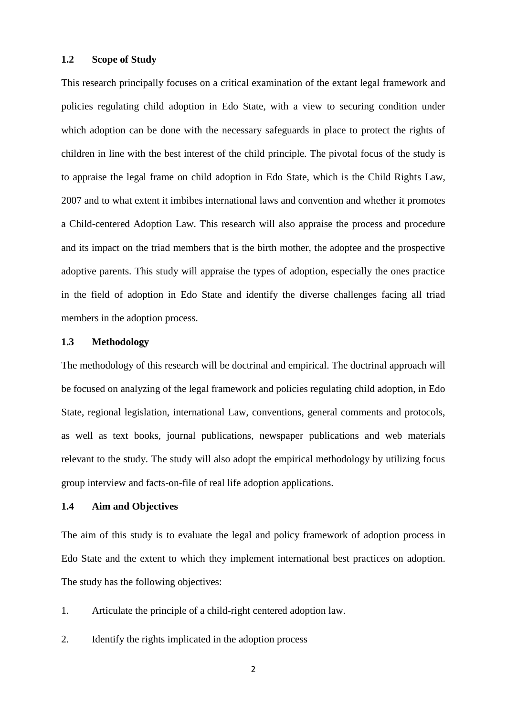#### **1.2 Scope of Study**

This research principally focuses on a critical examination of the extant legal framework and policies regulating child adoption in Edo State, with a view to securing condition under which adoption can be done with the necessary safeguards in place to protect the rights of children in line with the best interest of the child principle. The pivotal focus of the study is to appraise the legal frame on child adoption in Edo State, which is the Child Rights Law, 2007 and to what extent it imbibes international laws and convention and whether it promotes a Child-centered Adoption Law. This research will also appraise the process and procedure and its impact on the triad members that is the birth mother, the adoptee and the prospective adoptive parents. This study will appraise the types of adoption, especially the ones practice in the field of adoption in Edo State and identify the diverse challenges facing all triad members in the adoption process.

### **1.3 Methodology**

The methodology of this research will be doctrinal and empirical. The doctrinal approach will be focused on analyzing of the legal framework and policies regulating child adoption, in Edo State, regional legislation, international Law, conventions, general comments and protocols, as well as text books, journal publications, newspaper publications and web materials relevant to the study. The study will also adopt the empirical methodology by utilizing focus group interview and facts-on-file of real life adoption applications.

### **1.4 Aim and Objectives**

The aim of this study is to evaluate the legal and policy framework of adoption process in Edo State and the extent to which they implement international best practices on adoption. The study has the following objectives:

- 1. Articulate the principle of a child-right centered adoption law.
- 2. Identify the rights implicated in the adoption process
	- 2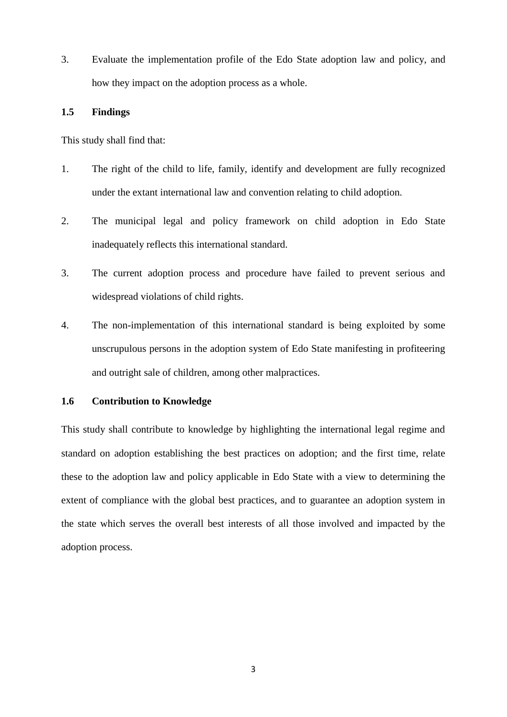3. Evaluate the implementation profile of the Edo State adoption law and policy, and how they impact on the adoption process as a whole.

### **1.5 Findings**

This study shall find that:

- 1. The right of the child to life, family, identify and development are fully recognized under the extant international law and convention relating to child adoption.
- 2. The municipal legal and policy framework on child adoption in Edo State inadequately reflects this international standard.
- 3. The current adoption process and procedure have failed to prevent serious and widespread violations of child rights.
- 4. The non-implementation of this international standard is being exploited by some unscrupulous persons in the adoption system of Edo State manifesting in profiteering and outright sale of children, among other malpractices.

### **1.6 Contribution to Knowledge**

This study shall contribute to knowledge by highlighting the international legal regime and standard on adoption establishing the best practices on adoption; and the first time, relate these to the adoption law and policy applicable in Edo State with a view to determining the extent of compliance with the global best practices, and to guarantee an adoption system in the state which serves the overall best interests of all those involved and impacted by the adoption process.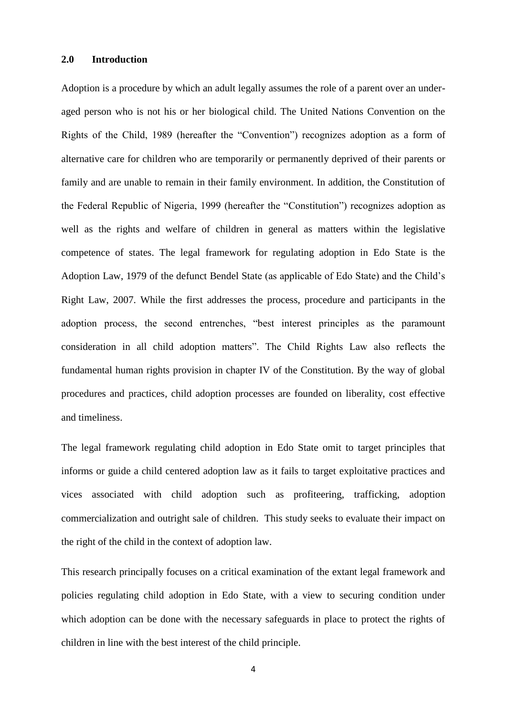#### **2.0 Introduction**

Adoption is a procedure by which an adult legally assumes the role of a parent over an underaged person who is not his or her biological child. The United Nations Convention on the Rights of the Child, 1989 (hereafter the "Convention") recognizes adoption as a form of alternative care for children who are temporarily or permanently deprived of their parents or family and are unable to remain in their family environment. In addition, the Constitution of the Federal Republic of Nigeria, 1999 (hereafter the "Constitution") recognizes adoption as well as the rights and welfare of children in general as matters within the legislative competence of states. The legal framework for regulating adoption in Edo State is the Adoption Law, 1979 of the defunct Bendel State (as applicable of Edo State) and the Child's Right Law, 2007. While the first addresses the process, procedure and participants in the adoption process, the second entrenches, "best interest principles as the paramount consideration in all child adoption matters". The Child Rights Law also reflects the fundamental human rights provision in chapter IV of the Constitution. By the way of global procedures and practices, child adoption processes are founded on liberality, cost effective and timeliness.

The legal framework regulating child adoption in Edo State omit to target principles that informs or guide a child centered adoption law as it fails to target exploitative practices and vices associated with child adoption such as profiteering, trafficking, adoption commercialization and outright sale of children. This study seeks to evaluate their impact on the right of the child in the context of adoption law.

This research principally focuses on a critical examination of the extant legal framework and policies regulating child adoption in Edo State, with a view to securing condition under which adoption can be done with the necessary safeguards in place to protect the rights of children in line with the best interest of the child principle.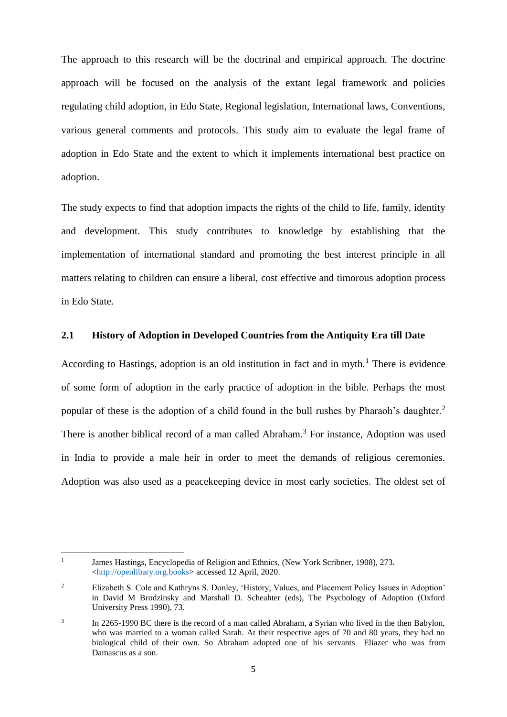The approach to this research will be the doctrinal and empirical approach. The doctrine approach will be focused on the analysis of the extant legal framework and policies regulating child adoption, in Edo State, Regional legislation, International laws, Conventions, various general comments and protocols. This study aim to evaluate the legal frame of adoption in Edo State and the extent to which it implements international best practice on adoption.

The study expects to find that adoption impacts the rights of the child to life, family, identity and development. This study contributes to knowledge by establishing that the implementation of international standard and promoting the best interest principle in all matters relating to children can ensure a liberal, cost effective and timorous adoption process in Edo State.

### **2.1 History of Adoption in Developed Countries from the Antiquity Era till Date**

According to Hastings, adoption is an old institution in fact and in myth.<sup>1</sup> There is evidence of some form of adoption in the early practice of adoption in the bible. Perhaps the most popular of these is the adoption of a child found in the bull rushes by Pharaoh's daughter.<sup>2</sup> There is another biblical record of a man called Abraham.<sup>3</sup> For instance, Adoption was used in India to provide a male heir in order to meet the demands of religious ceremonies. Adoption was also used as a peacekeeping device in most early societies. The oldest set of

 $\frac{1}{1}$ James Hastings, Encyclopedia of Religion and Ethnics*,* (New York Scribner, 1908), 273. [<http://openlibary.org.books>](http://openlibary.org.books/) accessed 12 April, 2020.

<sup>2</sup> Elizabeth S. Cole and Kathryns S. Donley, 'History, Values, and Placement Policy Issues in Adoption' in David M Brodzinsky and Marshall D. Scheahter (eds), The Psychology of Adoption (Oxford University Press 1990), 73.

<sup>3</sup> In 2265-1990 BC there is the record of a man called Abraham, a Syrian who lived in the then Babylon, who was married to a woman called Sarah. At their respective ages of 70 and 80 years, they had no biological child of their own. So Abraham adopted one of his servants Eliazer who was from Damascus as a son.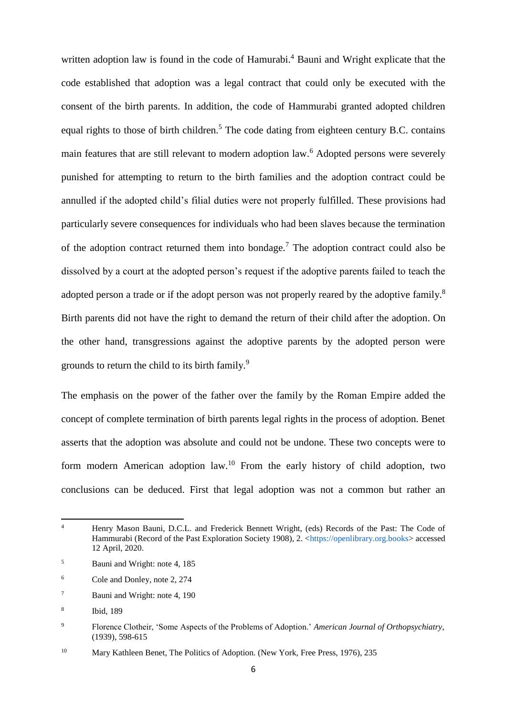written adoption law is found in the code of Hamurabi.<sup>4</sup> Bauni and Wright explicate that the code established that adoption was a legal contract that could only be executed with the consent of the birth parents. In addition, the code of Hammurabi granted adopted children equal rights to those of birth children.<sup>5</sup> The code dating from eighteen century B.C. contains main features that are still relevant to modern adoption law.<sup>6</sup> Adopted persons were severely punished for attempting to return to the birth families and the adoption contract could be annulled if the adopted child's filial duties were not properly fulfilled. These provisions had particularly severe consequences for individuals who had been slaves because the termination of the adoption contract returned them into bondage.<sup>7</sup> The adoption contract could also be dissolved by a court at the adopted person's request if the adoptive parents failed to teach the adopted person a trade or if the adopt person was not properly reared by the adoptive family.<sup>8</sup> Birth parents did not have the right to demand the return of their child after the adoption. On the other hand, transgressions against the adoptive parents by the adopted person were grounds to return the child to its birth family.<sup>9</sup>

The emphasis on the power of the father over the family by the Roman Empire added the concept of complete termination of birth parents legal rights in the process of adoption. Benet asserts that the adoption was absolute and could not be undone. These two concepts were to form modern American adoption law.<sup>10</sup> From the early history of child adoption, two conclusions can be deduced. First that legal adoption was not a common but rather an

 $\overline{4}$ <sup>4</sup> Henry Mason Bauni, D.C.L. and Frederick Bennett Wright, (eds) Records of the Past: The Code of Hammurabi (Record of the Past Exploration Society 1908), 2. [<https://openlibrary.org.books>](https://openlibrary.org.books/) accessed 12 April, 2020.

<sup>5</sup> Bauni and Wright: note 4, 185

<sup>6</sup> Cole and Donley, note 2, 274

<sup>7</sup> Bauni and Wright: note 4, 190

<sup>8</sup> Ibid, 189

<sup>9</sup> Florence Clotheir, 'Some Aspects of the Problems of Adoption.' *American Journal of Orthopsychiatry*, (1939), 598-615

<sup>&</sup>lt;sup>10</sup> Mary Kathleen Benet, The Politics of Adoption. (New York, Free Press, 1976), 235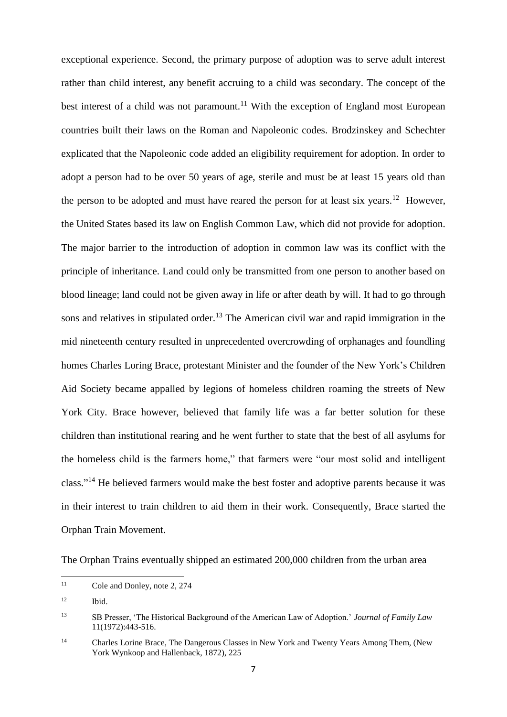exceptional experience. Second, the primary purpose of adoption was to serve adult interest rather than child interest, any benefit accruing to a child was secondary. The concept of the best interest of a child was not paramount.<sup>11</sup> With the exception of England most European countries built their laws on the Roman and Napoleonic codes. Brodzinskey and Schechter explicated that the Napoleonic code added an eligibility requirement for adoption. In order to adopt a person had to be over 50 years of age, sterile and must be at least 15 years old than the person to be adopted and must have reared the person for at least six years.<sup>12</sup> However, the United States based its law on English Common Law, which did not provide for adoption. The major barrier to the introduction of adoption in common law was its conflict with the principle of inheritance. Land could only be transmitted from one person to another based on blood lineage; land could not be given away in life or after death by will. It had to go through sons and relatives in stipulated order.<sup>13</sup> The American civil war and rapid immigration in the mid nineteenth century resulted in unprecedented overcrowding of orphanages and foundling homes Charles Loring Brace, protestant Minister and the founder of the New York's Children Aid Society became appalled by legions of homeless children roaming the streets of New York City. Brace however, believed that family life was a far better solution for these children than institutional rearing and he went further to state that the best of all asylums for the homeless child is the farmers home," that farmers were "our most solid and intelligent class."<sup>14</sup> He believed farmers would make the best foster and adoptive parents because it was in their interest to train children to aid them in their work. Consequently, Brace started the Orphan Train Movement.

The Orphan Trains eventually shipped an estimated 200,000 children from the urban area

 $11$ Cole and Donley, note 2, 274

<sup>12</sup> Ibid.

<sup>13</sup> SB Presser, 'The Historical Background of the American Law of Adoption.' *Journal of Family Law*  11(1972):443-516.

<sup>&</sup>lt;sup>14</sup> Charles Lorine Brace, The Dangerous Classes in New York and Twenty Years Among Them, (New York Wynkoop and Hallenback, 1872), 225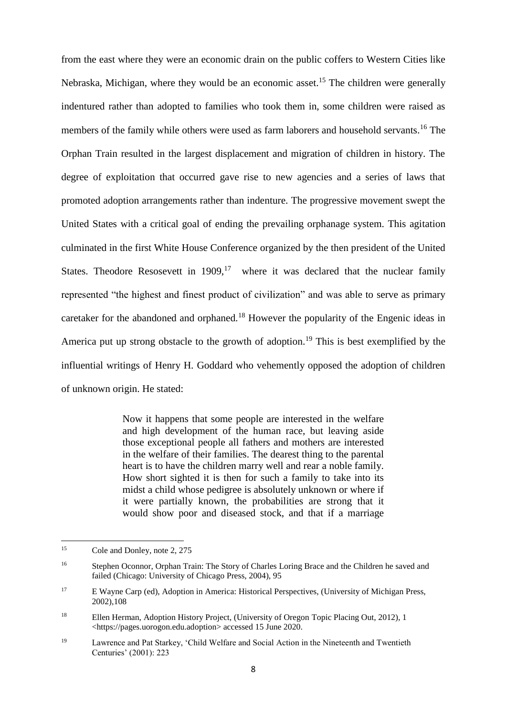from the east where they were an economic drain on the public coffers to Western Cities like Nebraska, Michigan, where they would be an economic asset.<sup>15</sup> The children were generally indentured rather than adopted to families who took them in, some children were raised as members of the family while others were used as farm laborers and household servants.<sup>16</sup> The Orphan Train resulted in the largest displacement and migration of children in history. The degree of exploitation that occurred gave rise to new agencies and a series of laws that promoted adoption arrangements rather than indenture. The progressive movement swept the United States with a critical goal of ending the prevailing orphanage system. This agitation culminated in the first White House Conference organized by the then president of the United States. Theodore Resosevett in  $1909$ ,<sup>17</sup> where it was declared that the nuclear family represented "the highest and finest product of civilization" and was able to serve as primary caretaker for the abandoned and orphaned.<sup>18</sup> However the popularity of the Engenic ideas in America put up strong obstacle to the growth of adoption.<sup>19</sup> This is best exemplified by the influential writings of Henry H. Goddard who vehemently opposed the adoption of children of unknown origin. He stated:

> Now it happens that some people are interested in the welfare and high development of the human race, but leaving aside those exceptional people all fathers and mothers are interested in the welfare of their families. The dearest thing to the parental heart is to have the children marry well and rear a noble family. How short sighted it is then for such a family to take into its midst a child whose pedigree is absolutely unknown or where if it were partially known, the probabilities are strong that it would show poor and diseased stock, and that if a marriage

<sup>15</sup> Cole and Donley, note 2, 275

<sup>&</sup>lt;sup>16</sup> Stephen Oconnor, Orphan Train: The Story of Charles Loring Brace and the Children he saved and failed (Chicago: University of Chicago Press, 2004), 95

<sup>&</sup>lt;sup>17</sup> E Wayne Carp (ed), Adoption in America: Historical Perspectives, (University of Michigan Press, 2002),108

<sup>&</sup>lt;sup>18</sup> Ellen Herman, Adoption History Project, (University of Oregon Topic Placing Out, 2012), 1 <https://pages.uorogon.edu.adoption> accessed 15 June 2020.

<sup>19</sup> Lawrence and Pat Starkey, 'Child Welfare and Social Action in the Nineteenth and Twentieth Centuries' (2001): 223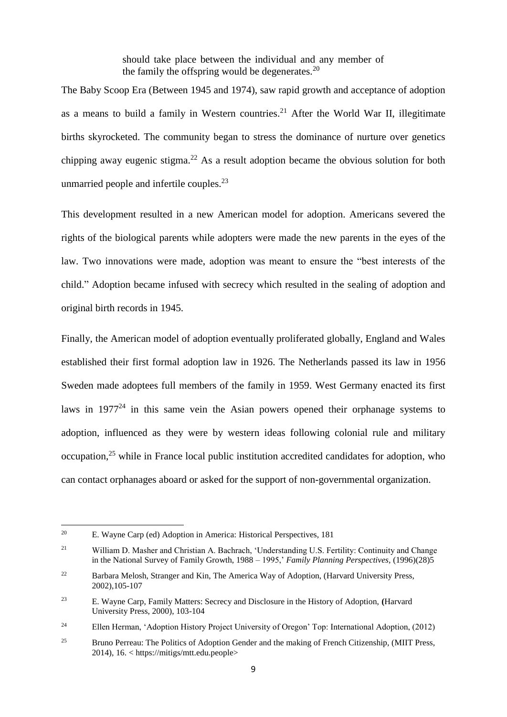should take place between the individual and any member of the family the offspring would be degenerates. $20$ 

The Baby Scoop Era (Between 1945 and 1974), saw rapid growth and acceptance of adoption as a means to build a family in Western countries.<sup>21</sup> After the World War II, illegitimate births skyrocketed. The community began to stress the dominance of nurture over genetics chipping away eugenic stigma.<sup>22</sup> As a result adoption became the obvious solution for both unmarried people and infertile couples.<sup>23</sup>

This development resulted in a new American model for adoption. Americans severed the rights of the biological parents while adopters were made the new parents in the eyes of the law. Two innovations were made, adoption was meant to ensure the "best interests of the child." Adoption became infused with secrecy which resulted in the sealing of adoption and original birth records in 1945.

Finally, the American model of adoption eventually proliferated globally, England and Wales established their first formal adoption law in 1926. The Netherlands passed its law in 1956 Sweden made adoptees full members of the family in 1959. West Germany enacted its first laws in  $1977<sup>24</sup>$  in this same vein the Asian powers opened their orphanage systems to adoption, influenced as they were by western ideas following colonial rule and military occupation, <sup>25</sup> while in France local public institution accredited candidates for adoption, who can contact orphanages aboard or asked for the support of non-governmental organization.

**.** 

<sup>20</sup> E. Wayne Carp (ed) Adoption in America: Historical Perspectives, 181

<sup>21</sup> William D. Masher and Christian A. Bachrach, 'Understanding U.S. Fertility: Continuity and Change in the National Survey of Family Growth, 1988 – 1995,' *Family Planning Perspectives,* (1996)(28)5

<sup>&</sup>lt;sup>22</sup> Barbara Melosh, Stranger and Kin, The America Way of Adoption, (Harvard University Press, 2002),105-107

<sup>23</sup> E. Wayne Carp, Family Matters: Secrecy and Disclosure in the History of Adoption, **(**Harvard University Press, 2000), 103-104

<sup>&</sup>lt;sup>24</sup> Ellen Herman, 'Adoption History Project University of Oregon' Top: International Adoption, (2012)

<sup>&</sup>lt;sup>25</sup> Bruno Perreau: The Politics of Adoption Gender and the making of French Citizenship, (MIIT Press, 2014), 16. < https://mitigs/mtt.edu.people>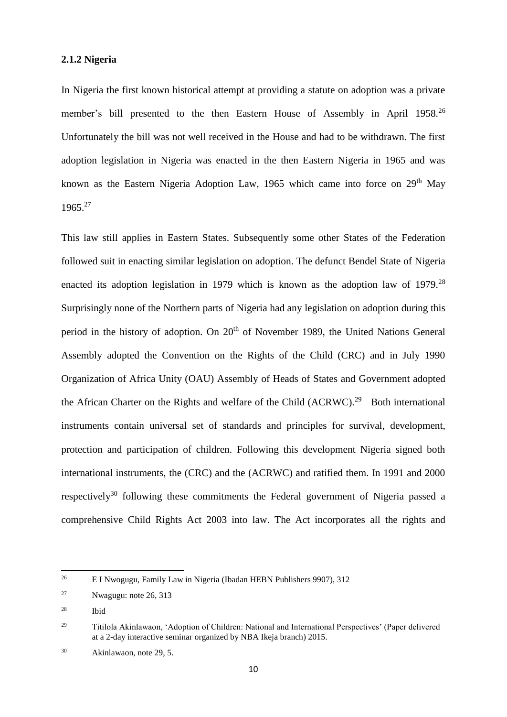#### **2.1.2 Nigeria**

In Nigeria the first known historical attempt at providing a statute on adoption was a private member's bill presented to the then Eastern House of Assembly in April 1958.<sup>26</sup> Unfortunately the bill was not well received in the House and had to be withdrawn. The first adoption legislation in Nigeria was enacted in the then Eastern Nigeria in 1965 and was known as the Eastern Nigeria Adoption Law, 1965 which came into force on  $29<sup>th</sup>$  May 1965.<sup>27</sup>

This law still applies in Eastern States. Subsequently some other States of the Federation followed suit in enacting similar legislation on adoption. The defunct Bendel State of Nigeria enacted its adoption legislation in 1979 which is known as the adoption law of 1979.<sup>28</sup> Surprisingly none of the Northern parts of Nigeria had any legislation on adoption during this period in the history of adoption. On 20<sup>th</sup> of November 1989, the United Nations General Assembly adopted the Convention on the Rights of the Child (CRC) and in July 1990 Organization of Africa Unity (OAU) Assembly of Heads of States and Government adopted the African Charter on the Rights and welfare of the Child  $(ACRWC).^{29}$  Both international instruments contain universal set of standards and principles for survival, development, protection and participation of children. Following this development Nigeria signed both international instruments, the (CRC) and the (ACRWC) and ratified them. In 1991 and 2000 respectively<sup>30</sup> following these commitments the Federal government of Nigeria passed a comprehensive Child Rights Act 2003 into law. The Act incorporates all the rights and

<sup>28</sup> Ibid

1

<sup>26</sup> E I Nwogugu, Family Law in Nigeria (Ibadan HEBN Publishers 9907), 312

<sup>27</sup> Nwagugu: note 26, 313

<sup>29</sup> Titilola Akinlawaon, 'Adoption of Children: National and International Perspectives' (Paper delivered at a 2-day interactive seminar organized by NBA Ikeja branch) 2015.

<sup>30</sup> Akinlawaon, note 29, 5.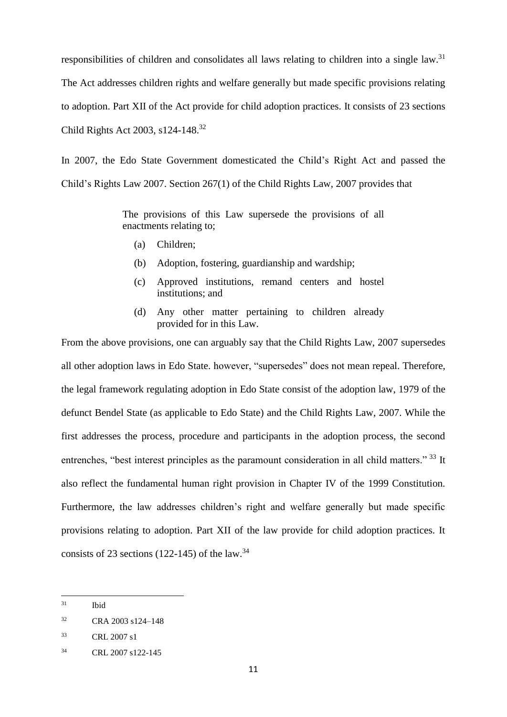responsibilities of children and consolidates all laws relating to children into a single law.<sup>31</sup> The Act addresses children rights and welfare generally but made specific provisions relating to adoption. Part XII of the Act provide for child adoption practices. It consists of 23 sections Child Rights Act 2003, s124-148. 32

In 2007, the Edo State Government domesticated the Child's Right Act and passed the Child's Rights Law 2007. Section 267(1) of the Child Rights Law, 2007 provides that

> The provisions of this Law supersede the provisions of all enactments relating to;

- (a) Children;
- (b) Adoption, fostering, guardianship and wardship;
- (c) Approved institutions, remand centers and hostel institutions; and
- (d) Any other matter pertaining to children already provided for in this Law.

From the above provisions, one can arguably say that the Child Rights Law, 2007 supersedes all other adoption laws in Edo State. however, "supersedes" does not mean repeal. Therefore, the legal framework regulating adoption in Edo State consist of the adoption law, 1979 of the defunct Bendel State (as applicable to Edo State) and the Child Rights Law, 2007. While the first addresses the process, procedure and participants in the adoption process, the second entrenches, "best interest principles as the paramount consideration in all child matters." 33 It also reflect the fundamental human right provision in Chapter IV of the 1999 Constitution. Furthermore, the law addresses children's right and welfare generally but made specific provisions relating to adoption. Part XII of the law provide for child adoption practices. It consists of 23 sections (122-145) of the law.<sup>34</sup>

<sup>31</sup> **Ibid** 

<sup>32</sup> CRA 2003 s124–148

<sup>33</sup> CRL 2007 s1

<sup>34</sup> CRL 2007 s122-145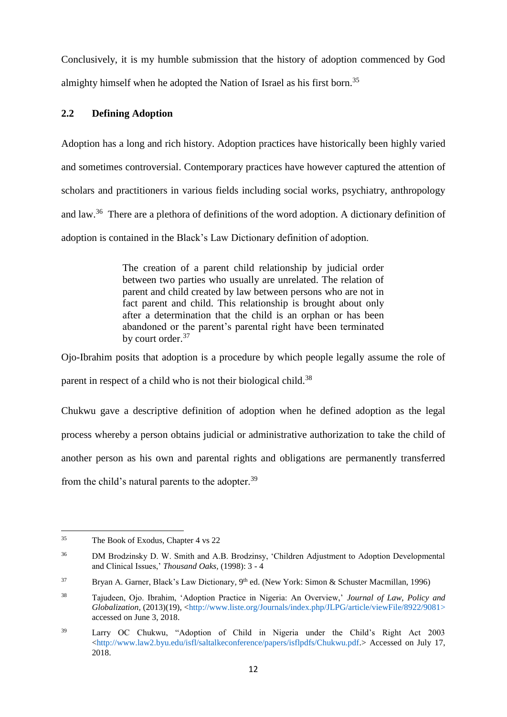Conclusively, it is my humble submission that the history of adoption commenced by God almighty himself when he adopted the Nation of Israel as his first born.<sup>35</sup>

# **2.2 Defining Adoption**

Adoption has a long and rich history. Adoption practices have historically been highly varied and sometimes controversial. Contemporary practices have however captured the attention of scholars and practitioners in various fields including social works, psychiatry, anthropology and law.<sup>36</sup> There are a plethora of definitions of the word adoption. A dictionary definition of adoption is contained in the Black's Law Dictionary definition of adoption.

> The creation of a parent child relationship by judicial order between two parties who usually are unrelated. The relation of parent and child created by law between persons who are not in fact parent and child. This relationship is brought about only after a determination that the child is an orphan or has been abandoned or the parent's parental right have been terminated by court order.<sup>37</sup>

Ojo-Ibrahim posits that adoption is a procedure by which people legally assume the role of parent in respect of a child who is not their biological child.<sup>38</sup>

Chukwu gave a descriptive definition of adoption when he defined adoption as the legal process whereby a person obtains judicial or administrative authorization to take the child of another person as his own and parental rights and obligations are permanently transferred from the child's natural parents to the adopter.<sup>39</sup>

<sup>35</sup> The Book of Exodus, Chapter 4 vs 22

<sup>36</sup> DM Brodzinsky D. W. Smith and A.B. Brodzinsy, 'Children Adjustment to Adoption Developmental and Clinical Issues,' *Thousand Oaks,* (1998): 3 - 4

<sup>&</sup>lt;sup>37</sup> Bryan A. Garner, Black's Law Dictionary, 9<sup>th</sup> ed. (New York: Simon & Schuster Macmillan, 1996)

<sup>38</sup> Tajudeen, Ojo. Ibrahim, 'Adoption Practice in Nigeria: An Overview,' *Journal of Law, Policy and Globalization,* (2013)(19), [<http://www.liste.org/Journals/index.php/JLPG/article/viewFile/8922/9081>](http://www.liste.org/Journals/index.php/JLPG/article/viewFile/8922/9081) accessed on June 3, 2018.

<sup>39</sup> Larry OC Chukwu, "Adoption of Child in Nigeria under the Child's Right Act 2003  $\langle$ http://www.law2.byu.edu/isfl/saltalkeconference/papers/isflpdfs/Chukwu.pdf.> Accessed on July 17, 2018.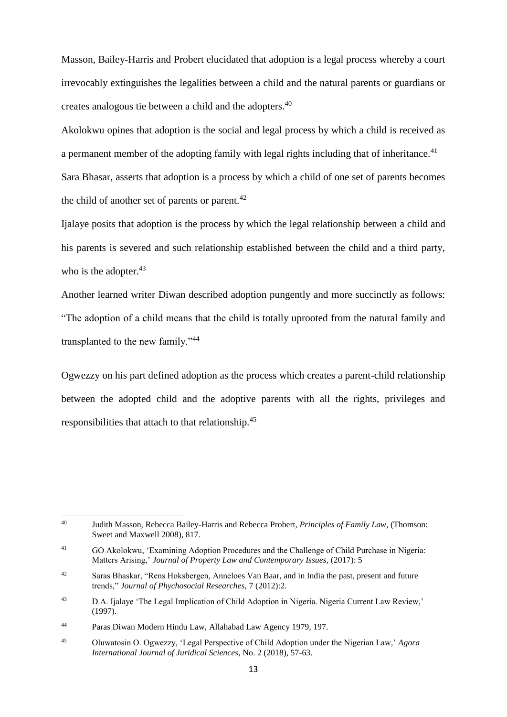Masson, Bailey-Harris and Probert elucidated that adoption is a legal process whereby a court irrevocably extinguishes the legalities between a child and the natural parents or guardians or creates analogous tie between a child and the adopters.<sup>40</sup>

Akolokwu opines that adoption is the social and legal process by which a child is received as a permanent member of the adopting family with legal rights including that of inheritance. $41$ Sara Bhasar, asserts that adoption is a process by which a child of one set of parents becomes the child of another set of parents or parent. $42$ 

Ijalaye posits that adoption is the process by which the legal relationship between a child and his parents is severed and such relationship established between the child and a third party, who is the adopter. $43$ 

Another learned writer Diwan described adoption pungently and more succinctly as follows: "The adoption of a child means that the child is totally uprooted from the natural family and transplanted to the new family."<sup>44</sup>

Ogwezzy on his part defined adoption as the process which creates a parent-child relationship between the adopted child and the adoptive parents with all the rights, privileges and responsibilities that attach to that relationship.<sup>45</sup>

1

<sup>40</sup> Judith Masson, Rebecca Bailey-Harris and Rebecca Probert, *Principles of Family Law,* (Thomson: Sweet and Maxwell 2008), 817.

<sup>41</sup> GO Akolokwu, 'Examining Adoption Procedures and the Challenge of Child Purchase in Nigeria: Matters Arising,' *Journal of Property Law and Contemporary Issues*, (2017): 5

<sup>&</sup>lt;sup>42</sup> Saras Bhaskar, "Rens Hoksbergen, Anneloes Van Baar, and in India the past, present and future trends," *Journal of Phychosocial Researches,* 7 (2012):2.

<sup>&</sup>lt;sup>43</sup> D.A. Ijalaye 'The Legal Implication of Child Adoption in Nigeria. Nigeria Current Law Review,' (1997).

<sup>44</sup> Paras Diwan Modern Hindu Law, Allahabad Law Agency 1979, 197.

<sup>45</sup> Oluwatosin O. Ogwezzy, 'Legal Perspective of Child Adoption under the Nigerian Law,' *Agora International Journal of Juridical Sciences*, No. 2 (2018), 57-63.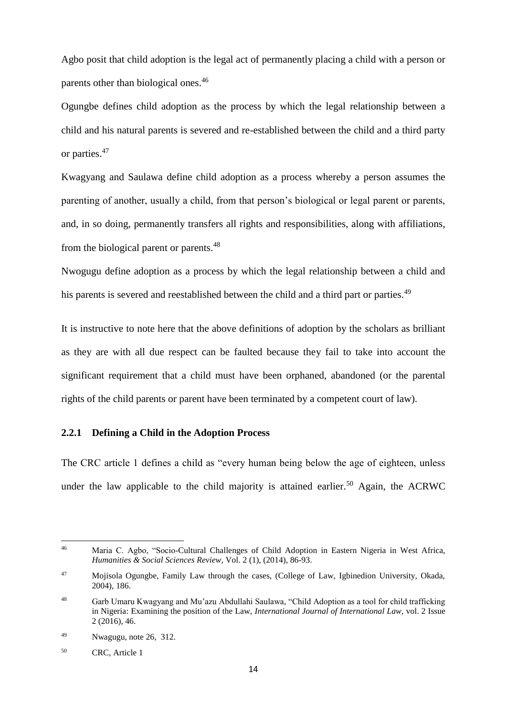Agbo posit that child adoption is the legal act of permanently placing a child with a person or parents other than biological ones.<sup>46</sup>

Ogungbe defines child adoption as the process by which the legal relationship between a child and his natural parents is severed and re-established between the child and a third party or parties.<sup>47</sup>

Kwagyang and Saulawa define child adoption as a process whereby a person assumes the parenting of another, usually a child, from that person's biological or legal parent or parents, and, in so doing, permanently transfers all rights and responsibilities, along with affiliations, from the biological parent or parents.<sup>48</sup>

Nwogugu define adoption as a process by which the legal relationship between a child and his parents is severed and reestablished between the child and a third part or parties.<sup>49</sup>

It is instructive to note here that the above definitions of adoption by the scholars as brilliant as they are with all due respect can be faulted because they fail to take into account the significant requirement that a child must have been orphaned, abandoned (or the parental rights of the child parents or parent have been terminated by a competent court of law).

### **2.2.1 Defining a Child in the Adoption Process**

The CRC article 1 defines a child as "every human being below the age of eighteen, unless under the law applicable to the child majority is attained earlier.<sup>50</sup> Again, the ACRWC

 $46$ <sup>46</sup> Maria C. Agbo, "Socio-Cultural Challenges of Child Adoption in Eastern Nigeria in West Africa, *Humanities & Social Sciences Review*, Vol. 2 (1), (2014), 86-93.

<sup>47</sup> Mojisola Ogungbe, Family Law through the cases, (College of Law, Igbinedion University, Okada, 2004), 186.

<sup>48</sup> Garb Umaru Kwagyang and Mu'azu Abdullahi Saulawa, "Child Adoption as a tool for child trafficking in Nigeria: Examining the position of the Law, *International Journal of International Law,* vol. 2 Issue 2 (2016), 46.

<sup>49</sup> Nwagugu, note 26, 312.

<sup>50</sup> CRC, Article 1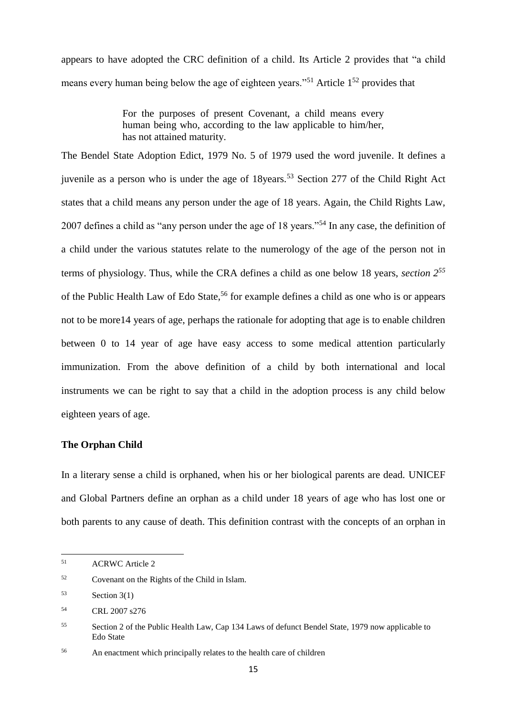appears to have adopted the CRC definition of a child. Its Article 2 provides that "a child means every human being below the age of eighteen years."<sup>51</sup> Article  $1^{52}$  provides that

> For the purposes of present Covenant, a child means every human being who, according to the law applicable to him/her, has not attained maturity.

The Bendel State Adoption Edict, 1979 No. 5 of 1979 used the word juvenile. It defines a juvenile as a person who is under the age of  $18$ years.<sup>53</sup> Section 277 of the Child Right Act states that a child means any person under the age of 18 years. Again, the Child Rights Law, 2007 defines a child as "any person under the age of 18 years."<sup>54</sup> In any case, the definition of a child under the various statutes relate to the numerology of the age of the person not in terms of physiology. Thus, while the CRA defines a child as one below 18 years, *section 2<sup>55</sup>* of the Public Health Law of Edo State, <sup>56</sup> for example defines a child as one who is or appears not to be more14 years of age, perhaps the rationale for adopting that age is to enable children between 0 to 14 year of age have easy access to some medical attention particularly immunization. From the above definition of a child by both international and local instruments we can be right to say that a child in the adoption process is any child below eighteen years of age.

### **The Orphan Child**

In a literary sense a child is orphaned, when his or her biological parents are dead. UNICEF and Global Partners define an orphan as a child under 18 years of age who has lost one or both parents to any cause of death. This definition contrast with the concepts of an orphan in

**.** 

<sup>51</sup> ACRWC Article 2

<sup>52</sup> Covenant on the Rights of the Child in Islam.

 $53$  Section 3(1)

<sup>54</sup> CRL 2007 s276

<sup>55</sup> Section 2 of the Public Health Law, Cap 134 Laws of defunct Bendel State, 1979 now applicable to Edo State

<sup>56</sup> An enactment which principally relates to the health care of children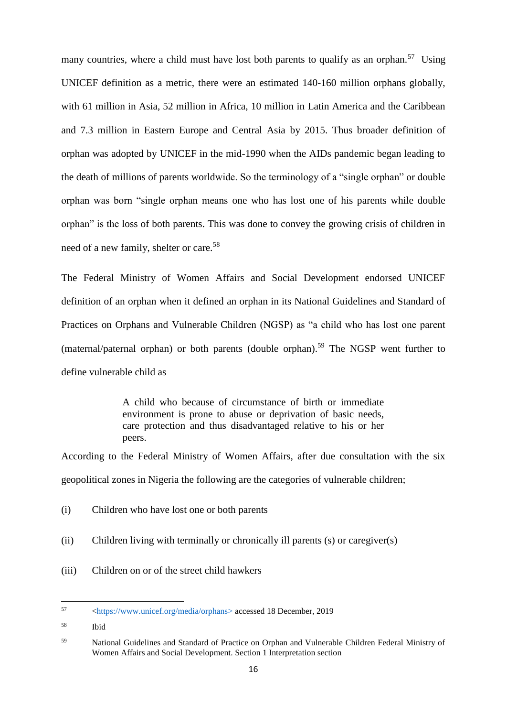many countries, where a child must have lost both parents to qualify as an orphan.<sup>57</sup> Using UNICEF definition as a metric, there were an estimated 140-160 million orphans globally, with 61 million in Asia, 52 million in Africa, 10 million in Latin America and the Caribbean and 7.3 million in Eastern Europe and Central Asia by 2015. Thus broader definition of orphan was adopted by UNICEF in the mid-1990 when the AIDs pandemic began leading to the death of millions of parents worldwide. So the terminology of a "single orphan" or double orphan was born "single orphan means one who has lost one of his parents while double orphan" is the loss of both parents. This was done to convey the growing crisis of children in need of a new family, shelter or care.<sup>58</sup>

The Federal Ministry of Women Affairs and Social Development endorsed UNICEF definition of an orphan when it defined an orphan in its National Guidelines and Standard of Practices on Orphans and Vulnerable Children (NGSP) as "a child who has lost one parent (maternal/paternal orphan) or both parents (double orphan). <sup>59</sup> The NGSP went further to define vulnerable child as

> A child who because of circumstance of birth or immediate environment is prone to abuse or deprivation of basic needs, care protection and thus disadvantaged relative to his or her peers.

According to the Federal Ministry of Women Affairs, after due consultation with the six geopolitical zones in Nigeria the following are the categories of vulnerable children;

- (i) Children who have lost one or both parents
- (ii) Children living with terminally or chronically ill parents (s) or caregiver(s)
- (iii) Children on or of the street child hawkers

57 <sup>57</sup> [<https://www.unicef.org/media/orphans>](https://www.unicef.org/media/orphans) accessed 18 December, 2019

<sup>58</sup> Ibid

<sup>59</sup> National Guidelines and Standard of Practice on Orphan and Vulnerable Children Federal Ministry of Women Affairs and Social Development. Section 1 Interpretation section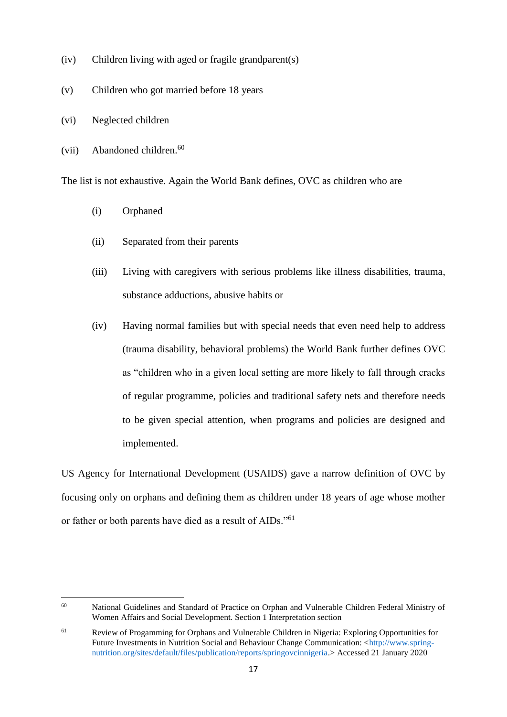- (iv) Children living with aged or fragile grandparent(s)
- (v) Children who got married before 18 years
- (vi) Neglected children
- (vii) Abandoned children.<sup>60</sup>

The list is not exhaustive. Again the World Bank defines, OVC as children who are

- (i) Orphaned
- (ii) Separated from their parents
- (iii) Living with caregivers with serious problems like illness disabilities, trauma, substance adductions, abusive habits or
- (iv) Having normal families but with special needs that even need help to address (trauma disability, behavioral problems) the World Bank further defines OVC as "children who in a given local setting are more likely to fall through cracks of regular programme, policies and traditional safety nets and therefore needs to be given special attention, when programs and policies are designed and implemented.

US Agency for International Development (USAIDS) gave a narrow definition of OVC by focusing only on orphans and defining them as children under 18 years of age whose mother or father or both parents have died as a result of AIDs."<sup>61</sup>

<sup>60</sup> National Guidelines and Standard of Practice on Orphan and Vulnerable Children Federal Ministry of Women Affairs and Social Development. Section 1 Interpretation section

<sup>61</sup> Review of Progamming for Orphans and Vulnerable Children in Nigeria: Exploring Opportunities for Future Investments in Nutrition Social and Behaviour Change Communication:  $\langle \text{http://www.spring-}$ [nutrition.org/sites/default/files/publication/reports/springovcinnigeria.>](http://www.spring-nutrition.org/sites/default/files/publication/reports/springovcinnigeria) Accessed 21 January 2020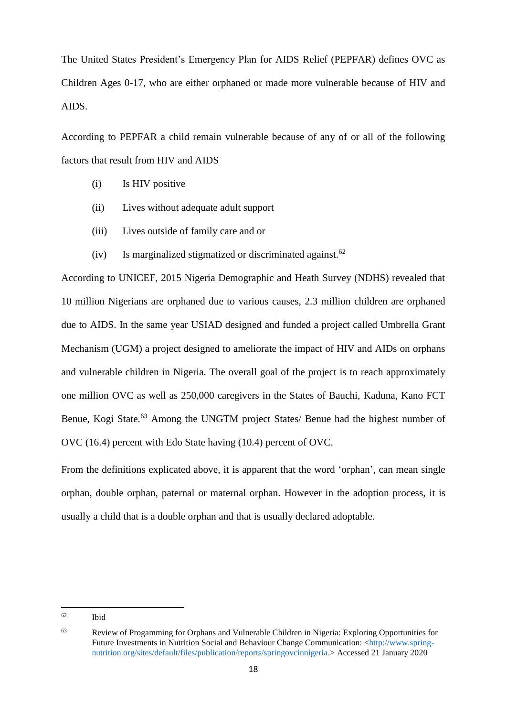The United States President's Emergency Plan for AIDS Relief (PEPFAR) defines OVC as Children Ages 0-17, who are either orphaned or made more vulnerable because of HIV and AIDS.

According to PEPFAR a child remain vulnerable because of any of or all of the following factors that result from HIV and AIDS

- (i) Is HIV positive
- (ii) Lives without adequate adult support
- (iii) Lives outside of family care and or
- (iv) Is marginalized stigmatized or discriminated against.<sup>62</sup>

According to UNICEF, 2015 Nigeria Demographic and Heath Survey (NDHS) revealed that 10 million Nigerians are orphaned due to various causes, 2.3 million children are orphaned due to AIDS. In the same year USIAD designed and funded a project called Umbrella Grant Mechanism (UGM) a project designed to ameliorate the impact of HIV and AIDs on orphans and vulnerable children in Nigeria. The overall goal of the project is to reach approximately one million OVC as well as 250,000 caregivers in the States of Bauchi, Kaduna, Kano FCT Benue, Kogi State.<sup>63</sup> Among the UNGTM project States/ Benue had the highest number of OVC (16.4) percent with Edo State having (10.4) percent of OVC.

From the definitions explicated above, it is apparent that the word 'orphan', can mean single orphan, double orphan, paternal or maternal orphan. However in the adoption process, it is usually a child that is a double orphan and that is usually declared adoptable.

<sup>62</sup> **Ibid** 

<sup>63</sup> Review of Progamming for Orphans and Vulnerable Children in Nigeria: Exploring Opportunities for Future Investments in Nutrition Social and Behaviour Change Communication: [<http://www.spring](http://www.spring-nutrition.org/sites/default/files/publication/reports/springovcinnigeria)[nutrition.org/sites/default/files/publication/reports/springovcinnigeria.>](http://www.spring-nutrition.org/sites/default/files/publication/reports/springovcinnigeria) Accessed 21 January 2020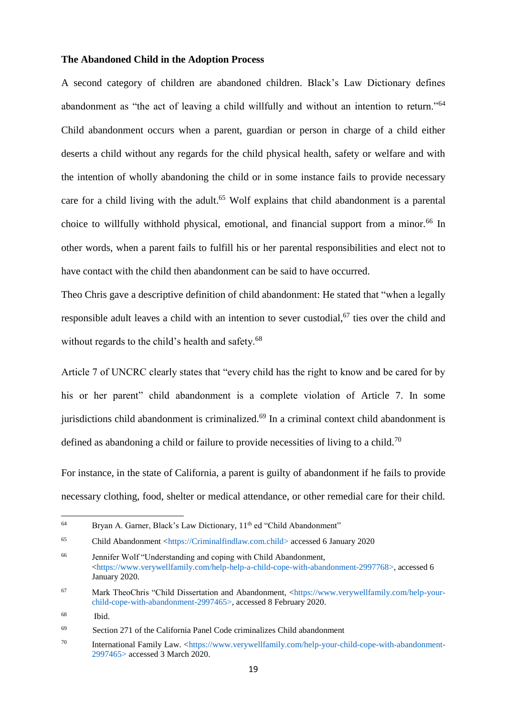#### **The Abandoned Child in the Adoption Process**

A second category of children are abandoned children. Black's Law Dictionary defines abandonment as "the act of leaving a child willfully and without an intention to return."<sup>64</sup> Child abandonment occurs when a parent, guardian or person in charge of a child either deserts a child without any regards for the child physical health, safety or welfare and with the intention of wholly abandoning the child or in some instance fails to provide necessary care for a child living with the adult.<sup>65</sup> Wolf explains that child abandonment is a parental choice to willfully withhold physical, emotional, and financial support from a minor.<sup>66</sup> In other words, when a parent fails to fulfill his or her parental responsibilities and elect not to have contact with the child then abandonment can be said to have occurred.

Theo Chris gave a descriptive definition of child abandonment: He stated that "when a legally responsible adult leaves a child with an intention to sever custodial,<sup>67</sup> ties over the child and without regards to the child's health and safety.<sup>68</sup>

Article 7 of UNCRC clearly states that "every child has the right to know and be cared for by his or her parent" child abandonment is a complete violation of Article 7. In some jurisdictions child abandonment is criminalized.<sup>69</sup> In a criminal context child abandonment is defined as abandoning a child or failure to provide necessities of living to a child.<sup>70</sup>

For instance, in the state of California, a parent is guilty of abandonment if he fails to provide necessary clothing, food, shelter or medical attendance, or other remedial care for their child.

**.** 

<sup>&</sup>lt;sup>64</sup> Bryan A. Garner, Black's Law Dictionary, 11<sup>th</sup> ed "Child Abandonment"

<sup>65</sup> Child Abandonment [<https://Criminalfindlaw.com.child>](https://criminalfindlaw.com.child/) accessed 6 January 2020

<sup>66</sup> Jennifer Wolf "Understanding and coping with Child Abandonment, [<https://www.verywellfamily.com/help-help-a-child-cope-with-abandonment-2997768>](https://www.verywellfamily.com/help-help-a-child-cope-with-abandonment-2997768), accessed 6 January 2020.

<sup>67</sup> Mark TheoChris "Child Dissertation and Abandonment, [<https://www.verywellfamily.com/help-your](https://www.verywellfamily.com/help-your-child-cope-with-abandonment-2997465)[child-cope-with-abandonment-2997465>](https://www.verywellfamily.com/help-your-child-cope-with-abandonment-2997465), accessed 8 February 2020.

<sup>68</sup> Ibid.

<sup>69</sup> Section 271 of the California Panel Code criminalizes Child abandonment

<sup>70</sup> International Family Law. [<https://www.verywellfamily.com/help-your-child-cope-with-abandonment-](https://www.verywellfamily.com/help-your-child-cope-with-abandonment-%20%20%20%20%092997465)[2997465>](https://www.verywellfamily.com/help-your-child-cope-with-abandonment-%20%20%20%20%092997465) accessed 3 March 2020.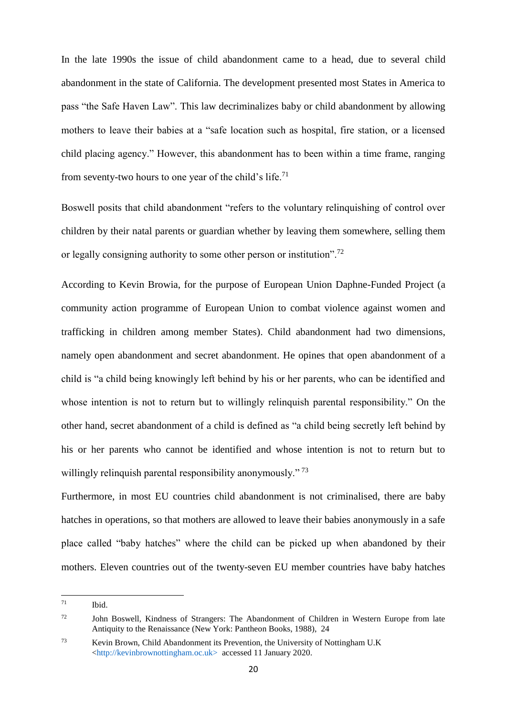In the late 1990s the issue of child abandonment came to a head, due to several child abandonment in the state of California. The development presented most States in America to pass "the Safe Haven Law". This law decriminalizes baby or child abandonment by allowing mothers to leave their babies at a "safe location such as hospital, fire station, or a licensed child placing agency." However, this abandonment has to been within a time frame, ranging from seventy-two hours to one year of the child's life.<sup>71</sup>

Boswell posits that child abandonment "refers to the voluntary relinquishing of control over children by their natal parents or guardian whether by leaving them somewhere, selling them or legally consigning authority to some other person or institution".<sup>72</sup>

According to Kevin Browia, for the purpose of European Union Daphne-Funded Project (a community action programme of European Union to combat violence against women and trafficking in children among member States). Child abandonment had two dimensions, namely open abandonment and secret abandonment. He opines that open abandonment of a child is "a child being knowingly left behind by his or her parents, who can be identified and whose intention is not to return but to willingly relinquish parental responsibility." On the other hand, secret abandonment of a child is defined as "a child being secretly left behind by his or her parents who cannot be identified and whose intention is not to return but to willingly relinquish parental responsibility anonymously."<sup>73</sup>

Furthermore, in most EU countries child abandonment is not criminalised, there are baby hatches in operations, so that mothers are allowed to leave their babies anonymously in a safe place called "baby hatches" where the child can be picked up when abandoned by their mothers. Eleven countries out of the twenty-seven EU member countries have baby hatches

<sup>71</sup> Ibid.

<sup>&</sup>lt;sup>72</sup> John Boswell, Kindness of Strangers: The Abandonment of Children in Western Europe from late Antiquity to the Renaissance (New York: Pantheon Books, 1988), 24

<sup>73</sup> Kevin Brown, Child Abandonment its Prevention, the University of Nottingham U.K [<http://kevinbrownottingham.oc.uk>](http://kevinbrownottingham.oc.uk/) accessed 11 January 2020.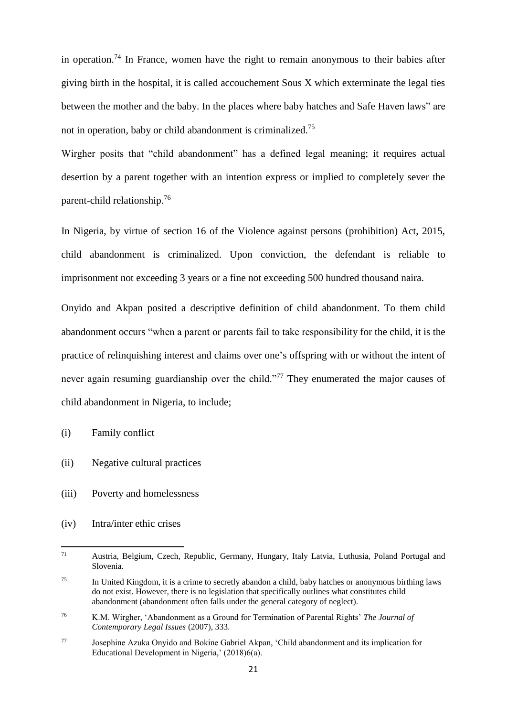in operation.<sup>74</sup> In France, women have the right to remain anonymous to their babies after giving birth in the hospital, it is called accouchement Sous X which exterminate the legal ties between the mother and the baby. In the places where baby hatches and Safe Haven laws" are not in operation, baby or child abandonment is criminalized.<sup>75</sup>

Wirgher posits that "child abandonment" has a defined legal meaning; it requires actual desertion by a parent together with an intention express or implied to completely sever the parent-child relationship.<sup>76</sup>

In Nigeria, by virtue of section 16 of the Violence against persons (prohibition) Act, 2015, child abandonment is criminalized. Upon conviction, the defendant is reliable to imprisonment not exceeding 3 years or a fine not exceeding 500 hundred thousand naira.

Onyido and Akpan posited a descriptive definition of child abandonment. To them child abandonment occurs "when a parent or parents fail to take responsibility for the child, it is the practice of relinquishing interest and claims over one's offspring with or without the intent of never again resuming guardianship over the child."<sup>77</sup> They enumerated the major causes of child abandonment in Nigeria, to include;

- (i) Family conflict
- (ii) Negative cultural practices
- (iii) Poverty and homelessness
- (iv) Intra/inter ethic crises

 $71$ <sup>71</sup> Austria, Belgium, Czech, Republic, Germany, Hungary, Italy Latvia, Luthusia, Poland Portugal and Slovenia.

<sup>&</sup>lt;sup>75</sup> In United Kingdom, it is a crime to secretly abandon a child, baby hatches or anonymous birthing laws do not exist. However, there is no legislation that specifically outlines what constitutes child abandonment (abandonment often falls under the general category of neglect).

<sup>76</sup> K.M. Wirgher, 'Abandonment as a Ground for Termination of Parental Rights' *The Journal of Contemporary Legal Issues* (2007), 333.

<sup>77</sup> Josephine Azuka Onyido and Bokine Gabriel Akpan, 'Child abandonment and its implication for Educational Development in Nigeria,' (2018)6(a).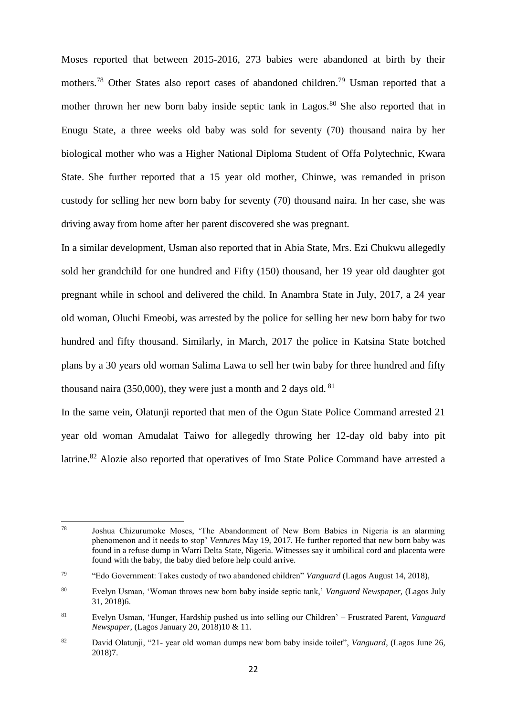Moses reported that between 2015-2016, 273 babies were abandoned at birth by their mothers.<sup>78</sup> Other States also report cases of abandoned children.<sup>79</sup> Usman reported that a mother thrown her new born baby inside septic tank in Lagos.<sup>80</sup> She also reported that in Enugu State, a three weeks old baby was sold for seventy (70) thousand naira by her biological mother who was a Higher National Diploma Student of Offa Polytechnic, Kwara State. She further reported that a 15 year old mother, Chinwe, was remanded in prison custody for selling her new born baby for seventy (70) thousand naira. In her case, she was driving away from home after her parent discovered she was pregnant.

In a similar development, Usman also reported that in Abia State, Mrs. Ezi Chukwu allegedly sold her grandchild for one hundred and Fifty (150) thousand, her 19 year old daughter got pregnant while in school and delivered the child. In Anambra State in July, 2017, a 24 year old woman, Oluchi Emeobi, was arrested by the police for selling her new born baby for two hundred and fifty thousand. Similarly, in March, 2017 the police in Katsina State botched plans by a 30 years old woman Salima Lawa to sell her twin baby for three hundred and fifty thousand naira (350,000), they were just a month and 2 days old.  $81$ 

In the same vein, Olatunji reported that men of the Ogun State Police Command arrested 21 year old woman Amudalat Taiwo for allegedly throwing her 12-day old baby into pit latrine.<sup>82</sup> Alozie also reported that operatives of Imo State Police Command have arrested a

<sup>78</sup> Joshua Chizurumoke Moses, 'The Abandonment of New Born Babies in Nigeria is an alarming phenomenon and it needs to stop' *Ventures* May 19, 2017. He further reported that new born baby was found in a refuse dump in Warri Delta State, Nigeria. Witnesses say it umbilical cord and placenta were found with the baby, the baby died before help could arrive.

<sup>79</sup> "Edo Government: Takes custody of two abandoned children" *Vanguard* (Lagos August 14, 2018),

<sup>80</sup> Evelyn Usman, 'Woman throws new born baby inside septic tank,' *Vanguard Newspaper,* (Lagos July 31, 2018)6.

<sup>81</sup> Evelyn Usman, 'Hunger, Hardship pushed us into selling our Children' – Frustrated Parent, *Vanguard Newspaper,* (Lagos January 20, 2018)10 & 11.

<sup>82</sup> David Olatunji, "21- year old woman dumps new born baby inside toilet", *Vanguard*, (Lagos June 26, 2018)7.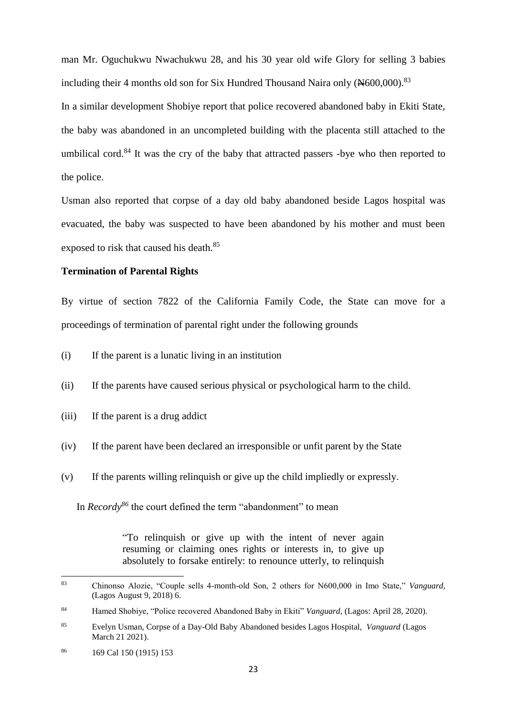man Mr. Oguchukwu Nwachukwu 28, and his 30 year old wife Glory for selling 3 babies including their 4 months old son for Six Hundred Thousand Naira only  $(*600,000).$ <sup>83</sup>

In a similar development Shobiye report that police recovered abandoned baby in Ekiti State, the baby was abandoned in an uncompleted building with the placenta still attached to the umbilical cord.<sup>84</sup> It was the cry of the baby that attracted passers -bye who then reported to the police.

Usman also reported that corpse of a day old baby abandoned beside Lagos hospital was evacuated, the baby was suspected to have been abandoned by his mother and must been exposed to risk that caused his death.<sup>85</sup>

### **Termination of Parental Rights**

By virtue of section 7822 of the California Family Code, the State can move for a proceedings of termination of parental right under the following grounds

- (i) If the parent is a lunatic living in an institution
- (ii) If the parents have caused serious physical or psychological harm to the child.
- (iii) If the parent is a drug addict
- (iv) If the parent have been declared an irresponsible or unfit parent by the State
- (v) If the parents willing relinquish or give up the child impliedly or expressly.

In *Recordy<sup>86</sup>* the court defined the term "abandonment" to mean

"To relinquish or give up with the intent of never again resuming or claiming ones rights or interests in, to give up absolutely to forsake entirely: to renounce utterly, to relinquish

<sup>83</sup> <sup>83</sup> Chinonso Alozie, "Couple sells 4-month-old Son, 2 others for N600,000 in Imo State," *Vanguard,* (Lagos August 9, 2018) 6.

<sup>84</sup> Hamed Shobiye, "Police recovered Abandoned Baby in Ekiti" *Vanguard,* (Lagos: April 28, 2020).

<sup>85</sup> Evelyn Usman, Corpse of a Day-Old Baby Abandoned besides Lagos Hospital, *Vanguard* (Lagos March 21 2021).

<sup>86</sup> 169 Cal 150 (1915) 153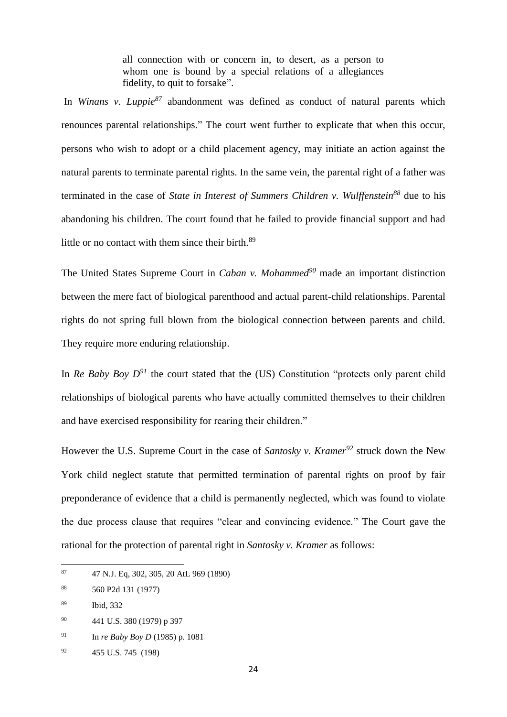all connection with or concern in, to desert, as a person to whom one is bound by a special relations of a allegiances fidelity, to quit to forsake".

In *Winans v. Luppie<sup>87</sup>* abandonment was defined as conduct of natural parents which renounces parental relationships." The court went further to explicate that when this occur, persons who wish to adopt or a child placement agency, may initiate an action against the natural parents to terminate parental rights. In the same vein, the parental right of a father was terminated in the case of *State in Interest of Summers Children v. Wulffenstein<sup>88</sup>* due to his abandoning his children. The court found that he failed to provide financial support and had little or no contact with them since their birth. $89$ 

The United States Supreme Court in *Caban v. Mohammed<sup>90</sup>* made an important distinction between the mere fact of biological parenthood and actual parent-child relationships. Parental rights do not spring full blown from the biological connection between parents and child. They require more enduring relationship.

In *Re Baby Boy*  $D^{91}$  the court stated that the (US) Constitution "protects only parent child relationships of biological parents who have actually committed themselves to their children and have exercised responsibility for rearing their children."

However the U.S. Supreme Court in the case of *Santosky v. Kramer<sup>92</sup>* struck down the New York child neglect statute that permitted termination of parental rights on proof by fair preponderance of evidence that a child is permanently neglected, which was found to violate the due process clause that requires "clear and convincing evidence." The Court gave the rational for the protection of parental right in *Santosky v. Kramer* as follows:

- <sup>90</sup> 441 U.S. 380 (1979) p 397
- <sup>91</sup> In *re Baby Boy D* (1985) p. 1081

<sup>87</sup> <sup>87</sup> 47 N.J. Eq, 302, 305, 20 AtL 969 (1890)

<sup>88</sup> 560 P2d 131 (1977)

<sup>89</sup> Ibid, 332

<sup>92</sup> 455 U.S. 745 (198)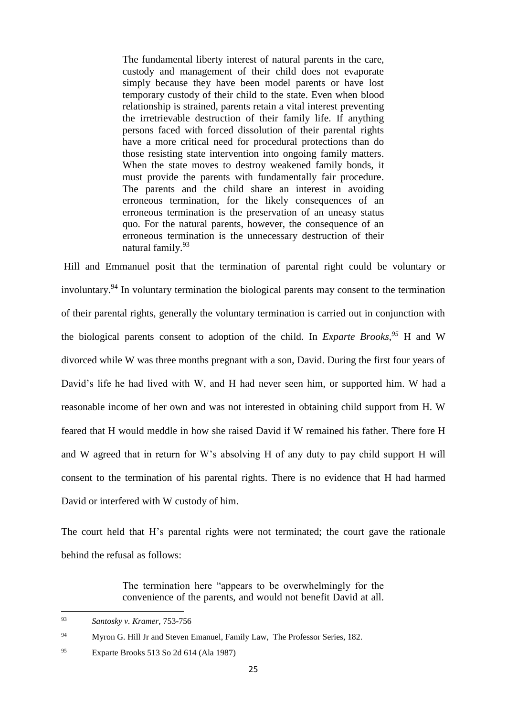The fundamental liberty interest of natural parents in the care, custody and management of their child does not evaporate simply because they have been model parents or have lost temporary custody of their child to the state. Even when blood relationship is strained, parents retain a vital interest preventing the irretrievable destruction of their family life. If anything persons faced with forced dissolution of their parental rights have a more critical need for procedural protections than do those resisting state intervention into ongoing family matters. When the state moves to destroy weakened family bonds, it must provide the parents with fundamentally fair procedure. The parents and the child share an interest in avoiding erroneous termination, for the likely consequences of an erroneous termination is the preservation of an uneasy status quo. For the natural parents, however, the consequence of an erroneous termination is the unnecessary destruction of their natural family.<sup>93</sup>

Hill and Emmanuel posit that the termination of parental right could be voluntary or involuntary. <sup>94</sup> In voluntary termination the biological parents may consent to the termination of their parental rights, generally the voluntary termination is carried out in conjunction with the biological parents consent to adoption of the child. In *Exparte Brooks, <sup>95</sup>* H and W divorced while W was three months pregnant with a son, David. During the first four years of David's life he had lived with W, and H had never seen him, or supported him. W had a reasonable income of her own and was not interested in obtaining child support from H. W feared that H would meddle in how she raised David if W remained his father. There fore H and W agreed that in return for W's absolving H of any duty to pay child support H will consent to the termination of his parental rights. There is no evidence that H had harmed David or interfered with W custody of him.

The court held that H's parental rights were not terminated; the court gave the rationale behind the refusal as follows:

> The termination here "appears to be overwhelmingly for the convenience of the parents, and would not benefit David at all.

<sup>93</sup> <sup>93</sup> *Santosky v. Kramer,* 753-756

<sup>&</sup>lt;sup>94</sup> Myron G. Hill Jr and Steven Emanuel, Family Law, The Professor Series, 182.

<sup>95</sup> Exparte Brooks 513 So 2d 614 (Ala 1987)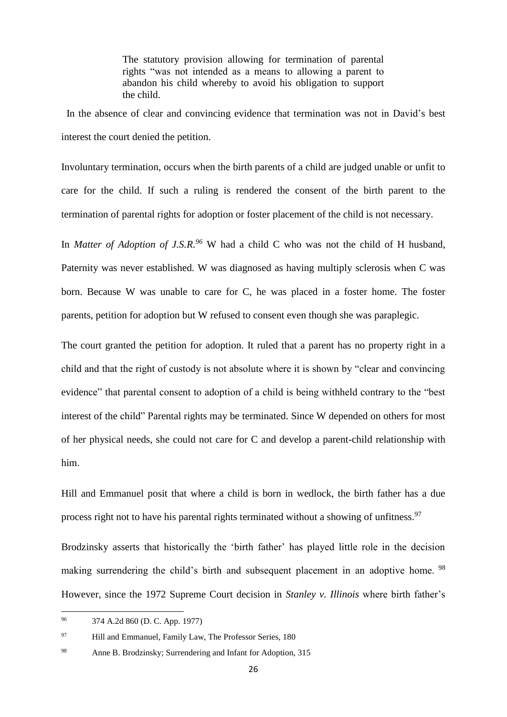The statutory provision allowing for termination of parental rights "was not intended as a means to allowing a parent to abandon his child whereby to avoid his obligation to support the child.

 In the absence of clear and convincing evidence that termination was not in David's best interest the court denied the petition.

Involuntary termination, occurs when the birth parents of a child are judged unable or unfit to care for the child. If such a ruling is rendered the consent of the birth parent to the termination of parental rights for adoption or foster placement of the child is not necessary.

In *Matter of Adoption of J.S.R. <sup>96</sup>* W had a child C who was not the child of H husband, Paternity was never established. W was diagnosed as having multiply sclerosis when C was born. Because W was unable to care for C, he was placed in a foster home. The foster parents, petition for adoption but W refused to consent even though she was paraplegic.

The court granted the petition for adoption. It ruled that a parent has no property right in a child and that the right of custody is not absolute where it is shown by "clear and convincing evidence" that parental consent to adoption of a child is being withheld contrary to the "best interest of the child" Parental rights may be terminated. Since W depended on others for most of her physical needs, she could not care for C and develop a parent-child relationship with him.

Hill and Emmanuel posit that where a child is born in wedlock, the birth father has a due process right not to have his parental rights terminated without a showing of unfitness.<sup>97</sup>

Brodzinsky asserts that historically the 'birth father' has played little role in the decision making surrendering the child's birth and subsequent placement in an adoptive home. <sup>98</sup> However, since the 1972 Supreme Court decision in *Stanley v. Illinois* where birth father's

<sup>96</sup> <sup>96</sup> 374 A.2d 860 (D. C. App. 1977)

<sup>&</sup>lt;sup>97</sup> Hill and Emmanuel, Family Law, The Professor Series, 180

<sup>98</sup> Anne B. Brodzinsky; Surrendering and Infant for Adoption, 315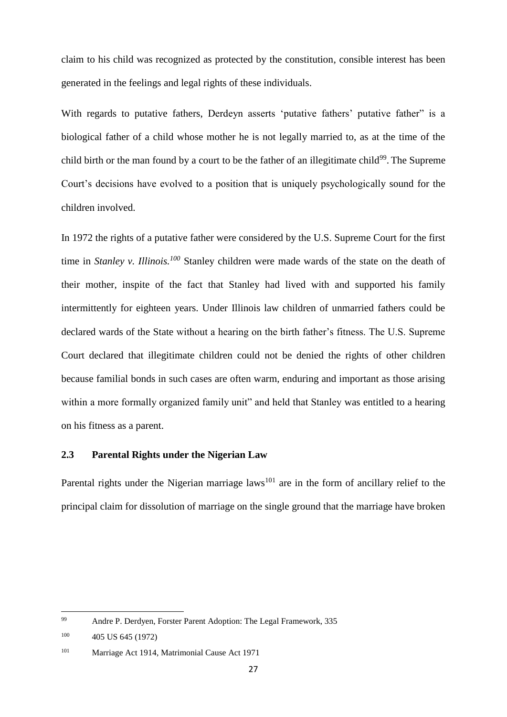claim to his child was recognized as protected by the constitution, consible interest has been generated in the feelings and legal rights of these individuals.

With regards to putative fathers, Derdeyn asserts 'putative fathers' putative father" is a biological father of a child whose mother he is not legally married to, as at the time of the child birth or the man found by a court to be the father of an illegitimate child<sup>99</sup>. The Supreme Court's decisions have evolved to a position that is uniquely psychologically sound for the children involved.

In 1972 the rights of a putative father were considered by the U.S. Supreme Court for the first time in *Stanley v. Illinois.<sup>100</sup>* Stanley children were made wards of the state on the death of their mother, inspite of the fact that Stanley had lived with and supported his family intermittently for eighteen years. Under Illinois law children of unmarried fathers could be declared wards of the State without a hearing on the birth father's fitness. The U.S. Supreme Court declared that illegitimate children could not be denied the rights of other children because familial bonds in such cases are often warm, enduring and important as those arising within a more formally organized family unit" and held that Stanley was entitled to a hearing on his fitness as a parent.

### **2.3 Parental Rights under the Nigerian Law**

Parental rights under the Nigerian marriage laws<sup>101</sup> are in the form of ancillary relief to the principal claim for dissolution of marriage on the single ground that the marriage have broken

<sup>99</sup> <sup>99</sup> Andre P. Derdyen, Forster Parent Adoption: The Legal Framework, 335

<sup>100</sup> 405 US 645 (1972)

<sup>101</sup> Marriage Act 1914, Matrimonial Cause Act 1971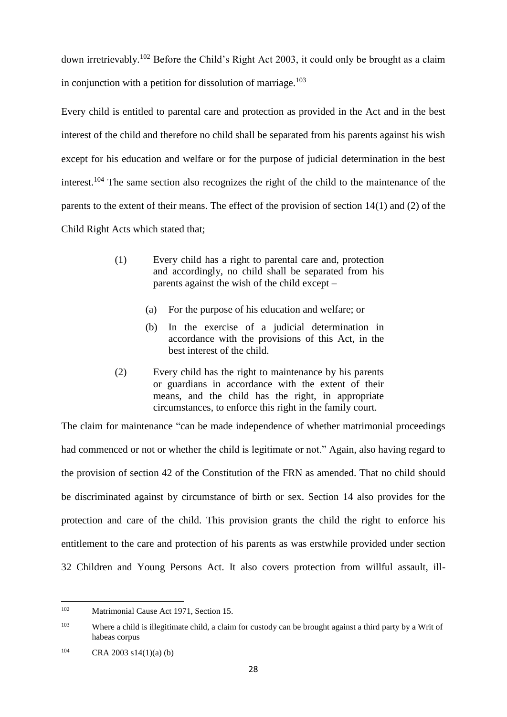down irretrievably.<sup>102</sup> Before the Child's Right Act 2003, it could only be brought as a claim in conjunction with a petition for dissolution of marriage.<sup>103</sup>

Every child is entitled to parental care and protection as provided in the Act and in the best interest of the child and therefore no child shall be separated from his parents against his wish except for his education and welfare or for the purpose of judicial determination in the best interest.<sup>104</sup> The same section also recognizes the right of the child to the maintenance of the parents to the extent of their means. The effect of the provision of section 14(1) and (2) of the Child Right Acts which stated that;

- (1) Every child has a right to parental care and, protection and accordingly, no child shall be separated from his parents against the wish of the child except –
	- (a) For the purpose of his education and welfare; or
	- (b) In the exercise of a judicial determination in accordance with the provisions of this Act, in the best interest of the child.
- (2) Every child has the right to maintenance by his parents or guardians in accordance with the extent of their means, and the child has the right, in appropriate circumstances, to enforce this right in the family court.

The claim for maintenance "can be made independence of whether matrimonial proceedings had commenced or not or whether the child is legitimate or not." Again, also having regard to the provision of section 42 of the Constitution of the FRN as amended. That no child should be discriminated against by circumstance of birth or sex. Section 14 also provides for the protection and care of the child. This provision grants the child the right to enforce his entitlement to the care and protection of his parents as was erstwhile provided under section 32 Children and Young Persons Act. It also covers protection from willful assault, ill-

<sup>102</sup> Matrimonial Cause Act 1971, Section 15.

<sup>&</sup>lt;sup>103</sup> Where a child is illegitimate child, a claim for custody can be brought against a third party by a Writ of habeas corpus

 $104$  CRA 2003 s14(1)(a) (b)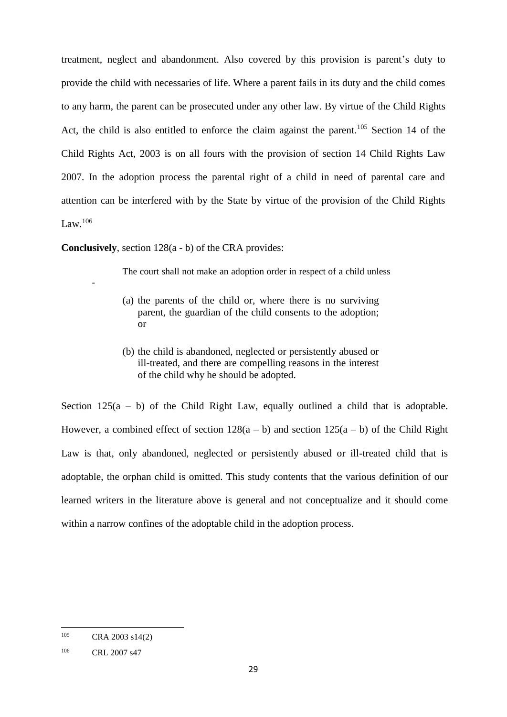treatment, neglect and abandonment. Also covered by this provision is parent's duty to provide the child with necessaries of life. Where a parent fails in its duty and the child comes to any harm, the parent can be prosecuted under any other law. By virtue of the Child Rights Act, the child is also entitled to enforce the claim against the parent.<sup>105</sup> Section 14 of the Child Rights Act, 2003 is on all fours with the provision of section 14 Child Rights Law 2007. In the adoption process the parental right of a child in need of parental care and attention can be interfered with by the State by virtue of the provision of the Child Rights  $Law<sup>106</sup>$ 

**Conclusively**, section 128(a - b) of the CRA provides:

The court shall not make an adoption order in respect of a child unless

- (a) the parents of the child or, where there is no surviving parent, the guardian of the child consents to the adoption; or
- (b) the child is abandoned, neglected or persistently abused or ill-treated, and there are compelling reasons in the interest of the child why he should be adopted.

Section  $125(a - b)$  of the Child Right Law, equally outlined a child that is adoptable. However, a combined effect of section  $128(a - b)$  and section  $125(a - b)$  of the Child Right Law is that, only abandoned, neglected or persistently abused or ill-treated child that is adoptable, the orphan child is omitted. This study contents that the various definition of our learned writers in the literature above is general and not conceptualize and it should come within a narrow confines of the adoptable child in the adoption process.

**.** 

-

<sup>105</sup> CRA 2003 s14(2)

<sup>106</sup> CRL 2007 s47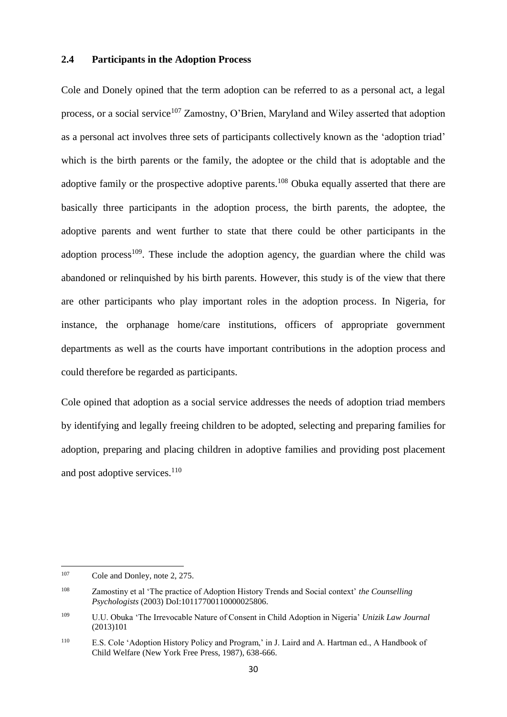#### **2.4 Participants in the Adoption Process**

Cole and Donely opined that the term adoption can be referred to as a personal act, a legal process, or a social service<sup>107</sup> Zamostny, O'Brien, Maryland and Wiley asserted that adoption as a personal act involves three sets of participants collectively known as the 'adoption triad' which is the birth parents or the family, the adoptee or the child that is adoptable and the adoptive family or the prospective adoptive parents.<sup>108</sup> Obuka equally asserted that there are basically three participants in the adoption process, the birth parents, the adoptee, the adoptive parents and went further to state that there could be other participants in the adoption process<sup>109</sup>. These include the adoption agency, the guardian where the child was abandoned or relinquished by his birth parents. However, this study is of the view that there are other participants who play important roles in the adoption process. In Nigeria, for instance, the orphanage home/care institutions, officers of appropriate government departments as well as the courts have important contributions in the adoption process and could therefore be regarded as participants.

Cole opined that adoption as a social service addresses the needs of adoption triad members by identifying and legally freeing children to be adopted, selecting and preparing families for adoption, preparing and placing children in adoptive families and providing post placement and post adoptive services.<sup>110</sup>

<sup>107</sup> Cole and Donley, note 2, 275.

<sup>108</sup> Zamostiny et al 'The practice of Adoption History Trends and Social context' *the Counselling Psychologists* (2003) DoI:10117700110000025806.

<sup>109</sup> U.U. Obuka 'The Irrevocable Nature of Consent in Child Adoption in Nigeria' *Unizik Law Journal*  (2013)101

<sup>110</sup> E.S. Cole 'Adoption History Policy and Program,' in J. Laird and A. Hartman ed., A Handbook of Child Welfare (New York Free Press, 1987), 638-666.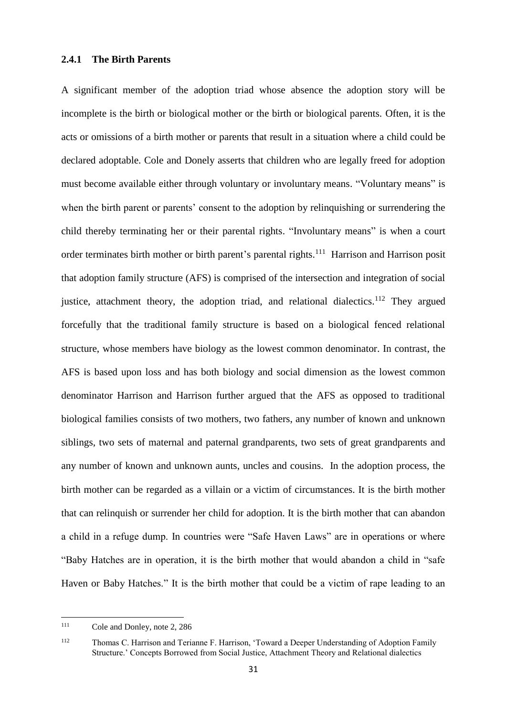#### **2.4.1 The Birth Parents**

A significant member of the adoption triad whose absence the adoption story will be incomplete is the birth or biological mother or the birth or biological parents. Often, it is the acts or omissions of a birth mother or parents that result in a situation where a child could be declared adoptable. Cole and Donely asserts that children who are legally freed for adoption must become available either through voluntary or involuntary means. "Voluntary means" is when the birth parent or parents' consent to the adoption by relinquishing or surrendering the child thereby terminating her or their parental rights. "Involuntary means" is when a court order terminates birth mother or birth parent's parental rights.<sup>111</sup> Harrison and Harrison posit that adoption family structure (AFS) is comprised of the intersection and integration of social justice, attachment theory, the adoption triad, and relational dialectics.<sup>112</sup> They argued forcefully that the traditional family structure is based on a biological fenced relational structure, whose members have biology as the lowest common denominator. In contrast, the AFS is based upon loss and has both biology and social dimension as the lowest common denominator Harrison and Harrison further argued that the AFS as opposed to traditional biological families consists of two mothers, two fathers, any number of known and unknown siblings, two sets of maternal and paternal grandparents, two sets of great grandparents and any number of known and unknown aunts, uncles and cousins. In the adoption process, the birth mother can be regarded as a villain or a victim of circumstances. It is the birth mother that can relinquish or surrender her child for adoption. It is the birth mother that can abandon a child in a refuge dump. In countries were "Safe Haven Laws" are in operations or where "Baby Hatches are in operation, it is the birth mother that would abandon a child in "safe Haven or Baby Hatches." It is the birth mother that could be a victim of rape leading to an

 $111$ Cole and Donley, note 2, 286

<sup>112</sup> Thomas C. Harrison and Terianne F. Harrison, 'Toward a Deeper Understanding of Adoption Family Structure.' Concepts Borrowed from Social Justice, Attachment Theory and Relational dialectics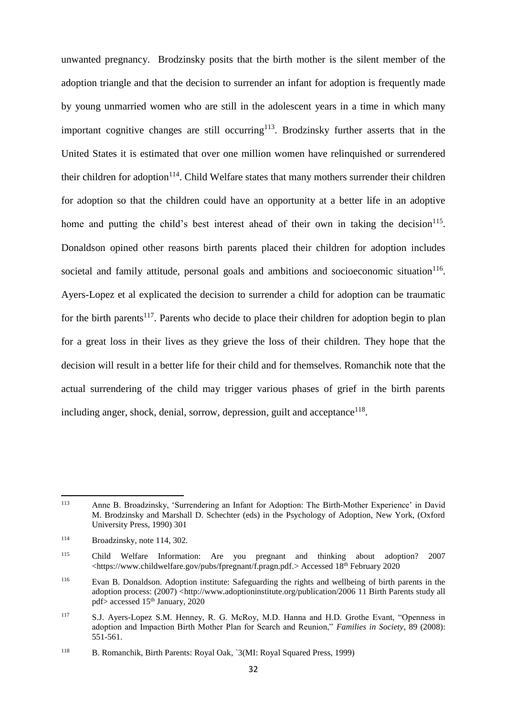unwanted pregnancy. Brodzinsky posits that the birth mother is the silent member of the adoption triangle and that the decision to surrender an infant for adoption is frequently made by young unmarried women who are still in the adolescent years in a time in which many important cognitive changes are still occurring<sup>113</sup>. Brodzinsky further asserts that in the United States it is estimated that over one million women have relinquished or surrendered their children for adoption<sup>114</sup>. Child Welfare states that many mothers surrender their children for adoption so that the children could have an opportunity at a better life in an adoptive home and putting the child's best interest ahead of their own in taking the decision<sup>115</sup>. Donaldson opined other reasons birth parents placed their children for adoption includes societal and family attitude, personal goals and ambitions and socioeconomic situation $116$ . Ayers-Lopez et al explicated the decision to surrender a child for adoption can be traumatic for the birth parents<sup>117</sup>. Parents who decide to place their children for adoption begin to plan for a great loss in their lives as they grieve the loss of their children. They hope that the decision will result in a better life for their child and for themselves. Romanchik note that the actual surrendering of the child may trigger various phases of grief in the birth parents including anger, shock, denial, sorrow, depression, guilt and acceptance<sup>118</sup>.

 $113$ Anne B. Broadzinsky, 'Surrendering an Infant for Adoption: The Birth-Mother Experience' in David M. Brodzinsky and Marshall D. Schechter (eds) in the Psychology of Adoption, New York, (Oxford University Press, 1990) 301

<sup>114</sup> Broadzinsky, note 114, 302.

<sup>115</sup> Child Welfare Information: Are you pregnant and thinking about adoption? 2007 [<https://www.childwelfare.gov/pubs/fpregnant/f.pragn.pdf.](https://www.childwelfare.gov/pubs/fpregnant/f.pragn.pdf)> Accessed 18th February 2020

<sup>116</sup> Evan B. Donaldson. Adoption institute: Safeguarding the rights and wellbeing of birth parents in the adoption process: (2007) [<http://www.adoptioninstitute.org/publication/2006](http://www.adoptioninstitute.org/publication/2006) 11 Birth Parents study all pdf> accessed 15<sup>th</sup> January, 2020

<sup>117</sup> S.J. Ayers-Lopez S.M. Henney, R. G. McRoy, M.D. Hanna and H.D. Grothe Evant, "Openness in adoption and Impaction Birth Mother Plan for Search and Reunion," *Families in Society*, 89 (2008): 551-561.

<sup>118</sup> B. Romanchik, Birth Parents: Royal Oak*,* `3(MI: Royal Squared Press, 1999)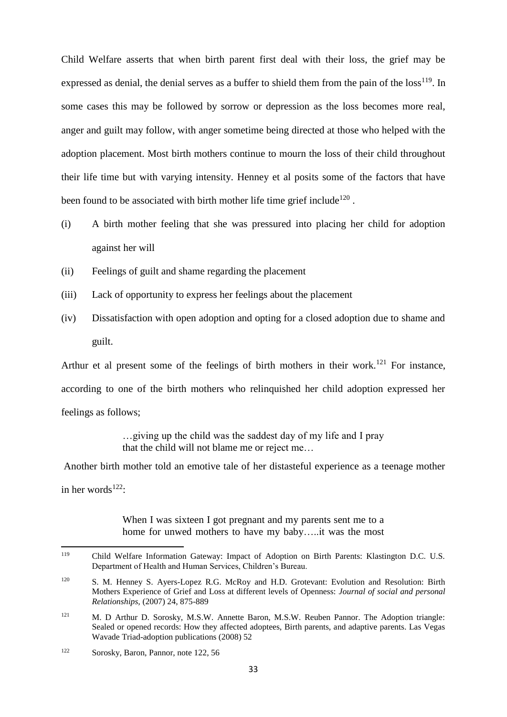Child Welfare asserts that when birth parent first deal with their loss, the grief may be expressed as denial, the denial serves as a buffer to shield them from the pain of the  $loss^{119}$ . In some cases this may be followed by sorrow or depression as the loss becomes more real, anger and guilt may follow, with anger sometime being directed at those who helped with the adoption placement. Most birth mothers continue to mourn the loss of their child throughout their life time but with varying intensity. Henney et al posits some of the factors that have been found to be associated with birth mother life time grief include<sup>120</sup>.

- (i) A birth mother feeling that she was pressured into placing her child for adoption against her will
- (ii) Feelings of guilt and shame regarding the placement
- (iii) Lack of opportunity to express her feelings about the placement
- (iv) Dissatisfaction with open adoption and opting for a closed adoption due to shame and guilt.

Arthur et al present some of the feelings of birth mothers in their work.<sup>121</sup> For instance, according to one of the birth mothers who relinquished her child adoption expressed her feelings as follows;

> …giving up the child was the saddest day of my life and I pray that the child will not blame me or reject me…

Another birth mother told an emotive tale of her distasteful experience as a teenage mother in her words $122$ :

> When I was sixteen I got pregnant and my parents sent me to a home for unwed mothers to have my baby…..it was the most

<sup>119</sup> <sup>119</sup> Child Welfare Information Gateway: Impact of Adoption on Birth Parents: Klastington D.C. U.S. Department of Health and Human Services, Children's Bureau.

<sup>&</sup>lt;sup>120</sup> S. M. Henney S. Ayers-Lopez R.G. McRoy and H.D. Grotevant: Evolution and Resolution: Birth Mothers Experience of Grief and Loss at different levels of Openness: *Journal of social and personal Relationships,* (2007) 24, 875-889

<sup>&</sup>lt;sup>121</sup> M. D Arthur D. Sorosky, M.S.W. Annette Baron, M.S.W. Reuben Pannor. The Adoption triangle: Sealed or opened records: How they affected adoptees, Birth parents, and adaptive parents. Las Vegas Wavade Triad-adoption publications (2008) 52

<sup>122</sup> Sorosky, Baron, Pannor, note 122, 56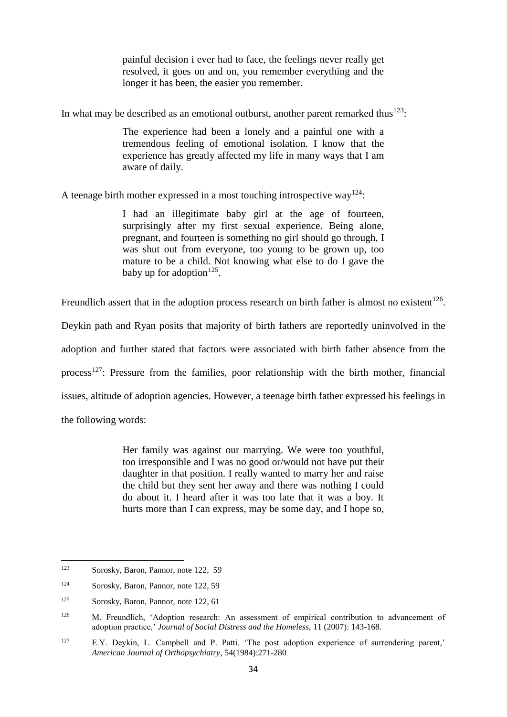painful decision i ever had to face, the feelings never really get resolved, it goes on and on, you remember everything and the longer it has been, the easier you remember.

In what may be described as an emotional outburst, another parent remarked thus $^{123}$ :

The experience had been a lonely and a painful one with a tremendous feeling of emotional isolation. I know that the experience has greatly affected my life in many ways that I am aware of daily.

A teenage birth mother expressed in a most touching introspective way<sup>124</sup>:

I had an illegitimate baby girl at the age of fourteen, surprisingly after my first sexual experience. Being alone, pregnant, and fourteen is something no girl should go through, I was shut out from everyone, too young to be grown up, too mature to be a child. Not knowing what else to do I gave the baby up for adoption<sup>125</sup>.

Freundlich assert that in the adoption process research on birth father is almost no existent<sup>126</sup>.

Deykin path and Ryan posits that majority of birth fathers are reportedly uninvolved in the

adoption and further stated that factors were associated with birth father absence from the

process<sup>127</sup>: Pressure from the families, poor relationship with the birth mother, financial

issues, altitude of adoption agencies. However, a teenage birth father expressed his feelings in

the following words:

Her family was against our marrying. We were too youthful, too irresponsible and I was no good or/would not have put their daughter in that position. I really wanted to marry her and raise the child but they sent her away and there was nothing I could do about it. I heard after it was too late that it was a boy. It hurts more than I can express, may be some day, and I hope so,

<sup>123</sup> Sorosky, Baron, Pannor, note 122, 59

<sup>124</sup> Sorosky, Baron, Pannor, note 122, 59

<sup>125</sup> Sorosky, Baron, Pannor, note 122, 61

<sup>&</sup>lt;sup>126</sup> M. Freundlich, 'Adoption research: An assessment of empirical contribution to advancement of adoption practice,' *Journal of Social Distress and the Homeless,* 11 (2007): 143-168.

<sup>127</sup> E.Y. Deykin, L. Campbell and P. Patti. 'The post adoption experience of surrendering parent,' *American Journal of Orthopsychiatry,* 54(1984):271-280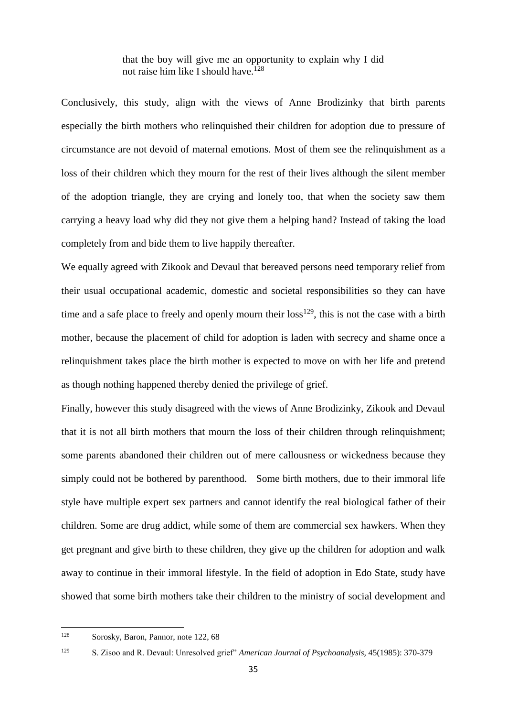that the boy will give me an opportunity to explain why I did not raise him like I should have.<sup>128</sup>

Conclusively, this study, align with the views of Anne Brodizinky that birth parents especially the birth mothers who relinquished their children for adoption due to pressure of circumstance are not devoid of maternal emotions. Most of them see the relinquishment as a loss of their children which they mourn for the rest of their lives although the silent member of the adoption triangle, they are crying and lonely too, that when the society saw them carrying a heavy load why did they not give them a helping hand? Instead of taking the load completely from and bide them to live happily thereafter.

We equally agreed with Zikook and Devaul that bereaved persons need temporary relief from their usual occupational academic, domestic and societal responsibilities so they can have time and a safe place to freely and openly mourn their  $loss^{129}$ , this is not the case with a birth mother, because the placement of child for adoption is laden with secrecy and shame once a relinquishment takes place the birth mother is expected to move on with her life and pretend as though nothing happened thereby denied the privilege of grief.

Finally, however this study disagreed with the views of Anne Brodizinky, Zikook and Devaul that it is not all birth mothers that mourn the loss of their children through relinquishment; some parents abandoned their children out of mere callousness or wickedness because they simply could not be bothered by parenthood. Some birth mothers, due to their immoral life style have multiple expert sex partners and cannot identify the real biological father of their children. Some are drug addict, while some of them are commercial sex hawkers. When they get pregnant and give birth to these children, they give up the children for adoption and walk away to continue in their immoral lifestyle. In the field of adoption in Edo State, study have showed that some birth mothers take their children to the ministry of social development and

<sup>128</sup> Sorosky, Baron, Pannor, note 122, 68

<sup>129</sup> S. Zisoo and R. Devaul: Unresolved grief" *American Journal of Psychoanalysis,* 45(1985): 370-379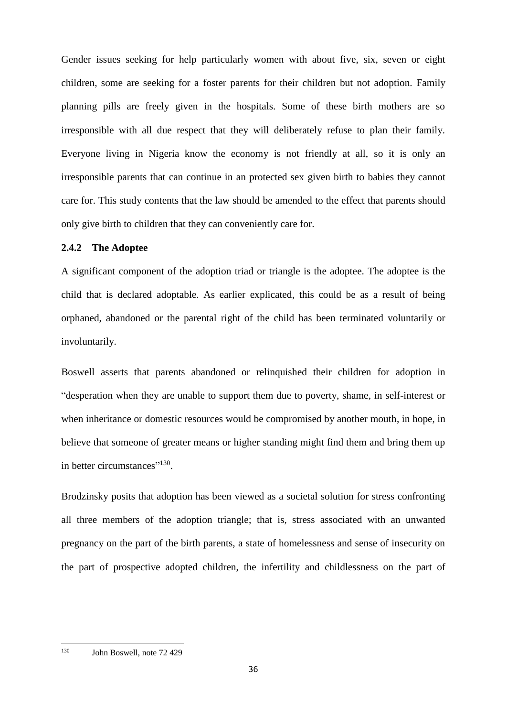Gender issues seeking for help particularly women with about five, six, seven or eight children, some are seeking for a foster parents for their children but not adoption. Family planning pills are freely given in the hospitals. Some of these birth mothers are so irresponsible with all due respect that they will deliberately refuse to plan their family. Everyone living in Nigeria know the economy is not friendly at all, so it is only an irresponsible parents that can continue in an protected sex given birth to babies they cannot care for. This study contents that the law should be amended to the effect that parents should only give birth to children that they can conveniently care for.

# **2.4.2 The Adoptee**

A significant component of the adoption triad or triangle is the adoptee. The adoptee is the child that is declared adoptable. As earlier explicated, this could be as a result of being orphaned, abandoned or the parental right of the child has been terminated voluntarily or involuntarily.

Boswell asserts that parents abandoned or relinquished their children for adoption in "desperation when they are unable to support them due to poverty, shame, in self-interest or when inheritance or domestic resources would be compromised by another mouth, in hope, in believe that someone of greater means or higher standing might find them and bring them up in better circumstances"<sup>130</sup>.

Brodzinsky posits that adoption has been viewed as a societal solution for stress confronting all three members of the adoption triangle; that is, stress associated with an unwanted pregnancy on the part of the birth parents, a state of homelessness and sense of insecurity on the part of prospective adopted children, the infertility and childlessness on the part of

<sup>130</sup> John Boswell, note 72 429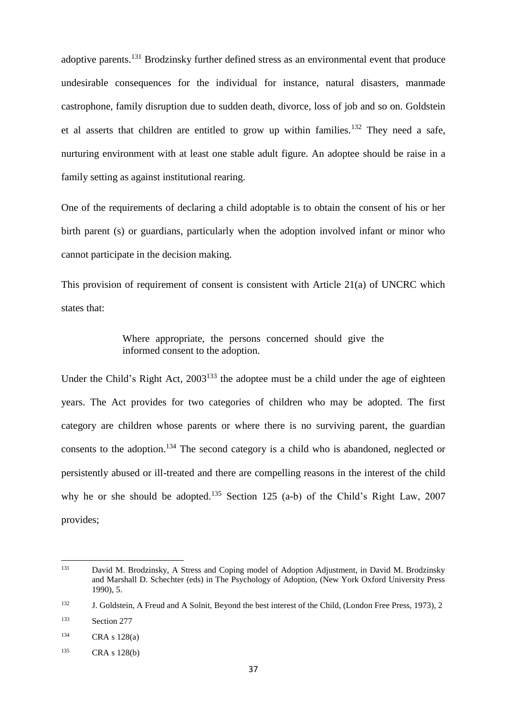adoptive parents.<sup>131</sup> Brodzinsky further defined stress as an environmental event that produce undesirable consequences for the individual for instance, natural disasters, manmade castrophone, family disruption due to sudden death, divorce, loss of job and so on. Goldstein et al asserts that children are entitled to grow up within families.<sup>132</sup> They need a safe, nurturing environment with at least one stable adult figure. An adoptee should be raise in a family setting as against institutional rearing.

One of the requirements of declaring a child adoptable is to obtain the consent of his or her birth parent (s) or guardians, particularly when the adoption involved infant or minor who cannot participate in the decision making.

This provision of requirement of consent is consistent with Article 21(a) of UNCRC which states that:

> Where appropriate, the persons concerned should give the informed consent to the adoption.

Under the Child's Right Act,  $2003^{133}$  the adoptee must be a child under the age of eighteen years. The Act provides for two categories of children who may be adopted. The first category are children whose parents or where there is no surviving parent, the guardian consents to the adoption.<sup>134</sup> The second category is a child who is abandoned, neglected or persistently abused or ill-treated and there are compelling reasons in the interest of the child why he or she should be adopted.<sup>135</sup> Section 125 (a-b) of the Child's Right Law, 2007 provides;

<sup>131</sup> <sup>131</sup> David M. Brodzinsky, A Stress and Coping model of Adoption Adjustment, in David M. Brodzinsky and Marshall D. Schechter (eds) in The Psychology of Adoption, (New York Oxford University Press 1990), 5.

<sup>132</sup> J. Goldstein, A Freud and A Solnit, Beyond the best interest of the Child, (London Free Press, 1973), 2

<sup>133</sup> Section 277

<sup>134</sup> CRA s 128(a)

<sup>135</sup> CRA s 128(b)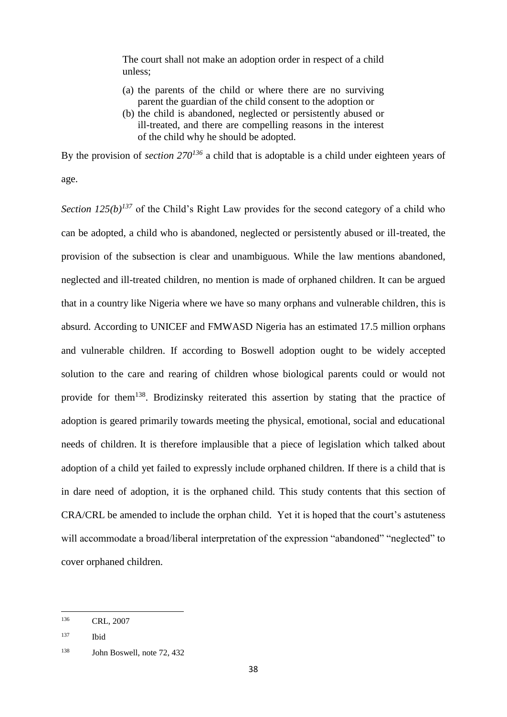The court shall not make an adoption order in respect of a child unless;

- (a) the parents of the child or where there are no surviving parent the guardian of the child consent to the adoption or
- (b) the child is abandoned, neglected or persistently abused or ill-treated, and there are compelling reasons in the interest of the child why he should be adopted.

By the provision of *section 270<sup>136</sup>* a child that is adoptable is a child under eighteen years of age.

*Section 125(b)*<sup>137</sup> of the Child's Right Law provides for the second category of a child who can be adopted, a child who is abandoned, neglected or persistently abused or ill-treated, the provision of the subsection is clear and unambiguous. While the law mentions abandoned, neglected and ill-treated children, no mention is made of orphaned children. It can be argued that in a country like Nigeria where we have so many orphans and vulnerable children, this is absurd. According to UNICEF and FMWASD Nigeria has an estimated 17.5 million orphans and vulnerable children. If according to Boswell adoption ought to be widely accepted solution to the care and rearing of children whose biological parents could or would not provide for them<sup>138</sup>. Brodizinsky reiterated this assertion by stating that the practice of adoption is geared primarily towards meeting the physical, emotional, social and educational needs of children. It is therefore implausible that a piece of legislation which talked about adoption of a child yet failed to expressly include orphaned children. If there is a child that is in dare need of adoption, it is the orphaned child. This study contents that this section of CRA/CRL be amended to include the orphan child. Yet it is hoped that the court's astuteness will accommodate a broad/liberal interpretation of the expression "abandoned" "neglected" to cover orphaned children.

<sup>136</sup> CRL, 2007

<sup>137</sup> Ibid

<sup>138</sup> John Boswell, note 72, 432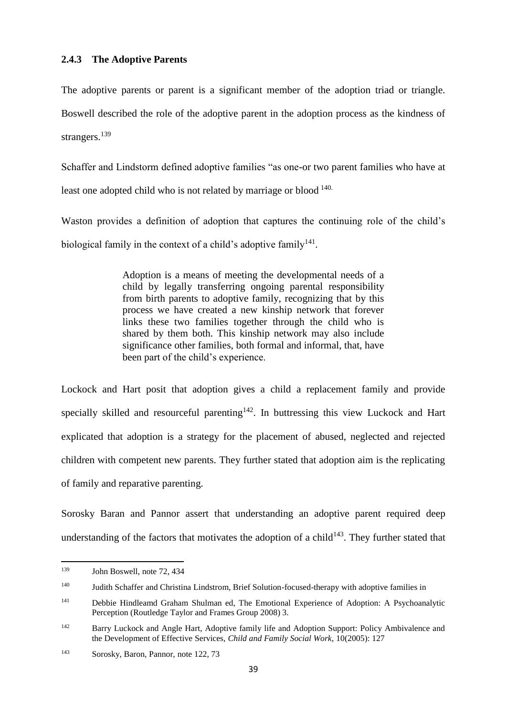The adoptive parents or parent is a significant member of the adoption triad or triangle. Boswell described the role of the adoptive parent in the adoption process as the kindness of strangers.<sup>139</sup>

Schaffer and Lindstorm defined adoptive families "as one-or two parent families who have at least one adopted child who is not related by marriage or blood 140.

Waston provides a definition of adoption that captures the continuing role of the child's biological family in the context of a child's adoptive family<sup>141</sup>.

> Adoption is a means of meeting the developmental needs of a child by legally transferring ongoing parental responsibility from birth parents to adoptive family, recognizing that by this process we have created a new kinship network that forever links these two families together through the child who is shared by them both. This kinship network may also include significance other families, both formal and informal, that, have been part of the child's experience.

Lockock and Hart posit that adoption gives a child a replacement family and provide specially skilled and resourceful parenting<sup>142</sup>. In buttressing this view Luckock and Hart explicated that adoption is a strategy for the placement of abused, neglected and rejected children with competent new parents. They further stated that adoption aim is the replicating of family and reparative parenting.

Sorosky Baran and Pannor assert that understanding an adoptive parent required deep understanding of the factors that motivates the adoption of a child<sup>143</sup>. They further stated that

**.** 

<sup>139</sup> John Boswell, note 72, 434

<sup>140</sup> Judith Schaffer and Christina Lindstrom, Brief Solution-focused-therapy with adoptive families in

<sup>141</sup> Debbie Hindleamd Graham Shulman ed, The Emotional Experience of Adoption: A Psychoanalytic Perception (Routledge Taylor and Frames Group 2008) 3.

<sup>&</sup>lt;sup>142</sup> Barry Luckock and Angle Hart, Adoptive family life and Adoption Support: Policy Ambivalence and the Development of Effective Services, *Child and Family Social Work,* 10(2005): 127

<sup>143</sup> Sorosky, Baron, Pannor, note 122, 73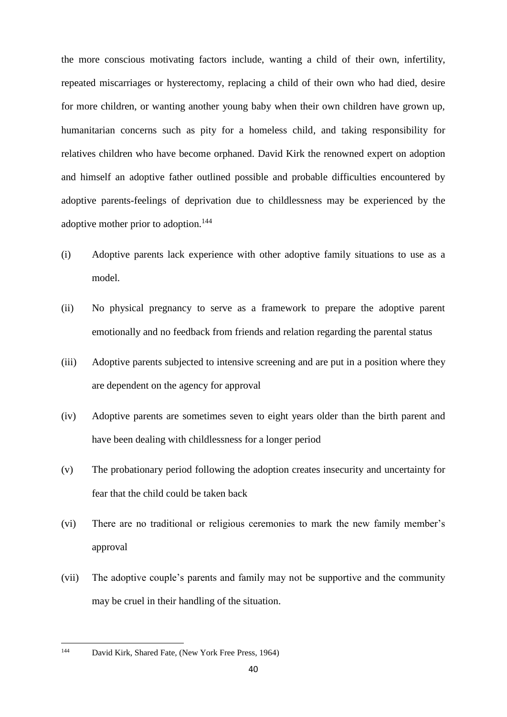the more conscious motivating factors include, wanting a child of their own, infertility, repeated miscarriages or hysterectomy, replacing a child of their own who had died, desire for more children, or wanting another young baby when their own children have grown up, humanitarian concerns such as pity for a homeless child, and taking responsibility for relatives children who have become orphaned. David Kirk the renowned expert on adoption and himself an adoptive father outlined possible and probable difficulties encountered by adoptive parents-feelings of deprivation due to childlessness may be experienced by the adoptive mother prior to adoption.<sup>144</sup>

- (i) Adoptive parents lack experience with other adoptive family situations to use as a model.
- (ii) No physical pregnancy to serve as a framework to prepare the adoptive parent emotionally and no feedback from friends and relation regarding the parental status
- (iii) Adoptive parents subjected to intensive screening and are put in a position where they are dependent on the agency for approval
- (iv) Adoptive parents are sometimes seven to eight years older than the birth parent and have been dealing with childlessness for a longer period
- (v) The probationary period following the adoption creates insecurity and uncertainty for fear that the child could be taken back
- (vi) There are no traditional or religious ceremonies to mark the new family member's approval
- (vii) The adoptive couple's parents and family may not be supportive and the community may be cruel in their handling of the situation.

<sup>144</sup> David Kirk, Shared Fate, (New York Free Press, 1964)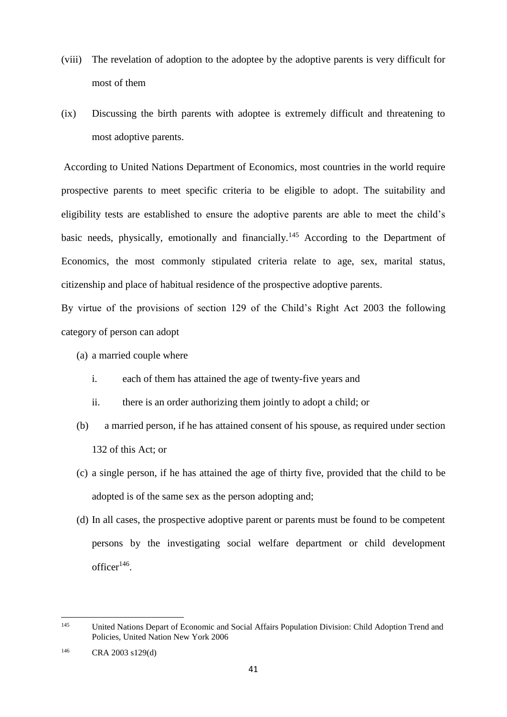- (viii) The revelation of adoption to the adoptee by the adoptive parents is very difficult for most of them
- (ix) Discussing the birth parents with adoptee is extremely difficult and threatening to most adoptive parents.

According to United Nations Department of Economics, most countries in the world require prospective parents to meet specific criteria to be eligible to adopt. The suitability and eligibility tests are established to ensure the adoptive parents are able to meet the child's basic needs, physically, emotionally and financially.<sup>145</sup> According to the Department of Economics, the most commonly stipulated criteria relate to age, sex, marital status, citizenship and place of habitual residence of the prospective adoptive parents.

By virtue of the provisions of section 129 of the Child's Right Act 2003 the following category of person can adopt

- (a) a married couple where
	- i. each of them has attained the age of twenty-five years and
	- ii. there is an order authorizing them jointly to adopt a child; or
- (b) a married person, if he has attained consent of his spouse, as required under section 132 of this Act; or
- (c) a single person, if he has attained the age of thirty five, provided that the child to be adopted is of the same sex as the person adopting and;
- (d) In all cases, the prospective adoptive parent or parents must be found to be competent persons by the investigating social welfare department or child development  $officer<sup>146</sup>$ .

<sup>145</sup> <sup>145</sup> United Nations Depart of Economic and Social Affairs Population Division: Child Adoption Trend and Policies, United Nation New York 2006

<sup>146</sup> CRA 2003 s129(d)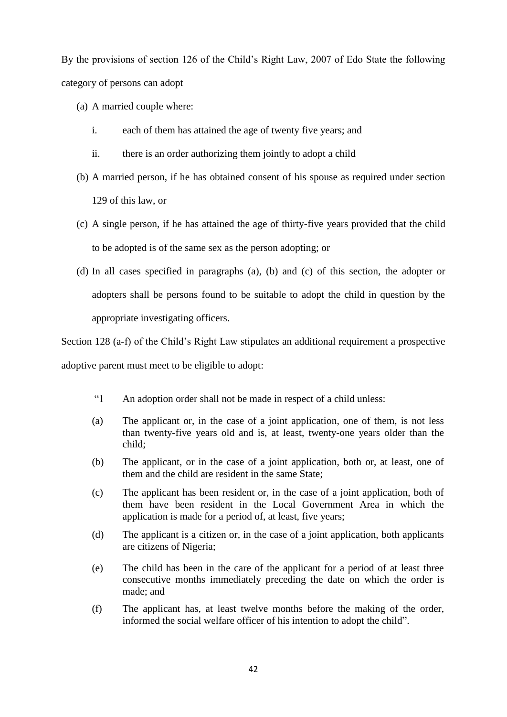By the provisions of section 126 of the Child's Right Law, 2007 of Edo State the following category of persons can adopt

- (a) A married couple where:
	- i. each of them has attained the age of twenty five years; and
	- ii. there is an order authorizing them jointly to adopt a child
- (b) A married person, if he has obtained consent of his spouse as required under section 129 of this law, or
- (c) A single person, if he has attained the age of thirty-five years provided that the child to be adopted is of the same sex as the person adopting; or
- (d) In all cases specified in paragraphs (a), (b) and (c) of this section, the adopter or adopters shall be persons found to be suitable to adopt the child in question by the appropriate investigating officers.

Section 128 (a-f) of the Child's Right Law stipulates an additional requirement a prospective adoptive parent must meet to be eligible to adopt:

- "1 An adoption order shall not be made in respect of a child unless:
- (a) The applicant or, in the case of a joint application, one of them, is not less than twenty-five years old and is, at least, twenty-one years older than the child;
- (b) The applicant, or in the case of a joint application, both or, at least, one of them and the child are resident in the same State;
- (c) The applicant has been resident or, in the case of a joint application, both of them have been resident in the Local Government Area in which the application is made for a period of, at least, five years;
- (d) The applicant is a citizen or, in the case of a joint application, both applicants are citizens of Nigeria;
- (e) The child has been in the care of the applicant for a period of at least three consecutive months immediately preceding the date on which the order is made; and
- (f) The applicant has, at least twelve months before the making of the order, informed the social welfare officer of his intention to adopt the child".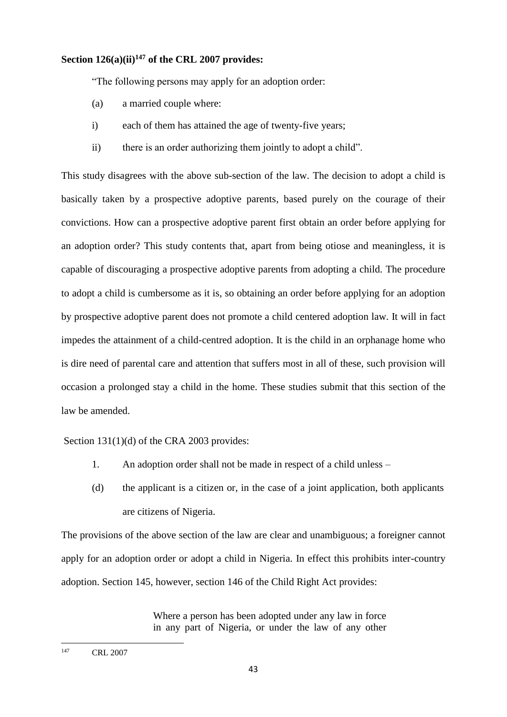# **Section 126(a)(ii)<sup>147</sup> of the CRL 2007 provides:**

"The following persons may apply for an adoption order:

- (a) a married couple where:
- i) each of them has attained the age of twenty-five years;
- ii) there is an order authorizing them jointly to adopt a child".

This study disagrees with the above sub-section of the law. The decision to adopt a child is basically taken by a prospective adoptive parents, based purely on the courage of their convictions. How can a prospective adoptive parent first obtain an order before applying for an adoption order? This study contents that, apart from being otiose and meaningless, it is capable of discouraging a prospective adoptive parents from adopting a child. The procedure to adopt a child is cumbersome as it is, so obtaining an order before applying for an adoption by prospective adoptive parent does not promote a child centered adoption law. It will in fact impedes the attainment of a child-centred adoption. It is the child in an orphanage home who is dire need of parental care and attention that suffers most in all of these, such provision will occasion a prolonged stay a child in the home. These studies submit that this section of the law be amended.

#### Section 131(1)(d) of the CRA 2003 provides:

- 1. An adoption order shall not be made in respect of a child unless –
- (d) the applicant is a citizen or, in the case of a joint application, both applicants are citizens of Nigeria.

The provisions of the above section of the law are clear and unambiguous; a foreigner cannot apply for an adoption order or adopt a child in Nigeria. In effect this prohibits inter-country adoption. Section 145, however, section 146 of the Child Right Act provides:

> Where a person has been adopted under any law in force in any part of Nigeria, or under the law of any other

<sup>147</sup> CRL 2007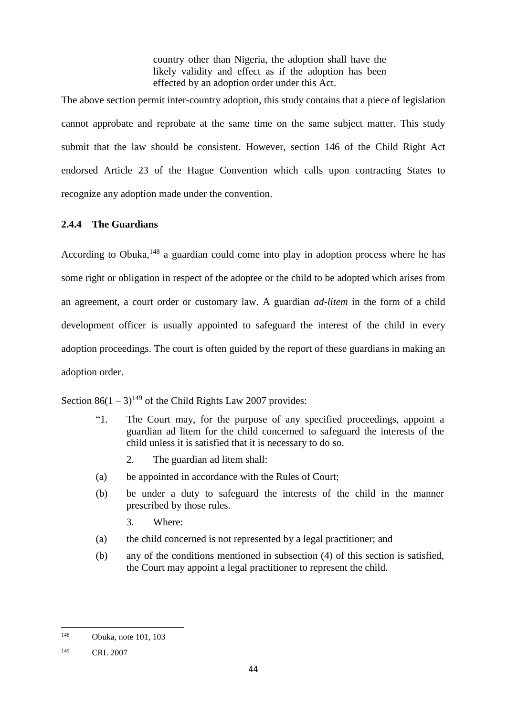country other than Nigeria, the adoption shall have the likely validity and effect as if the adoption has been effected by an adoption order under this Act.

The above section permit inter-country adoption, this study contains that a piece of legislation cannot approbate and reprobate at the same time on the same subject matter. This study submit that the law should be consistent. However, section 146 of the Child Right Act endorsed Article 23 of the Hague Convention which calls upon contracting States to recognize any adoption made under the convention.

# **2.4.4 The Guardians**

According to Obuka,<sup>148</sup> a guardian could come into play in adoption process where he has some right or obligation in respect of the adoptee or the child to be adopted which arises from an agreement, a court order or customary law. A guardian *ad-litem* in the form of a child development officer is usually appointed to safeguard the interest of the child in every adoption proceedings. The court is often guided by the report of these guardians in making an adoption order.

Section  $86(1-3)^{149}$  of the Child Rights Law 2007 provides:

- "1. The Court may, for the purpose of any specified proceedings, appoint a guardian ad litem for the child concerned to safeguard the interests of the child unless it is satisfied that it is necessary to do so.
	- 2. The guardian ad litem shall:
- (a) be appointed in accordance with the Rules of Court;
- (b) be under a duty to safeguard the interests of the child in the manner prescribed by those rules.
	- 3. Where:
- (a) the child concerned is not represented by a legal practitioner; and
- (b) any of the conditions mentioned in subsection (4) of this section is satisfied, the Court may appoint a legal practitioner to represent the child.

**<sup>.</sup>** <sup>148</sup> Obuka, note 101, 103

<sup>149</sup> CRL 2007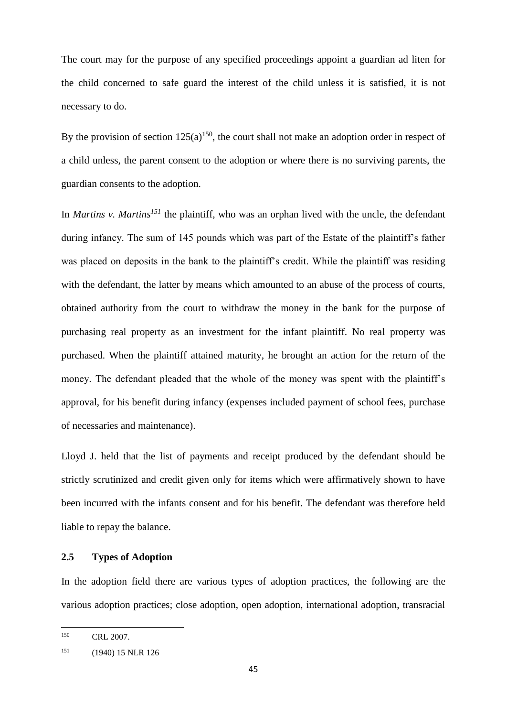The court may for the purpose of any specified proceedings appoint a guardian ad liten for the child concerned to safe guard the interest of the child unless it is satisfied, it is not necessary to do.

By the provision of section  $125(a)^{150}$ , the court shall not make an adoption order in respect of a child unless, the parent consent to the adoption or where there is no surviving parents, the guardian consents to the adoption.

In *Martins v. Martins<sup>151</sup>* the plaintiff, who was an orphan lived with the uncle, the defendant during infancy. The sum of 145 pounds which was part of the Estate of the plaintiff's father was placed on deposits in the bank to the plaintiff's credit. While the plaintiff was residing with the defendant, the latter by means which amounted to an abuse of the process of courts, obtained authority from the court to withdraw the money in the bank for the purpose of purchasing real property as an investment for the infant plaintiff. No real property was purchased. When the plaintiff attained maturity, he brought an action for the return of the money. The defendant pleaded that the whole of the money was spent with the plaintiff's approval, for his benefit during infancy (expenses included payment of school fees, purchase of necessaries and maintenance).

Lloyd J. held that the list of payments and receipt produced by the defendant should be strictly scrutinized and credit given only for items which were affirmatively shown to have been incurred with the infants consent and for his benefit. The defendant was therefore held liable to repay the balance.

#### **2.5 Types of Adoption**

In the adoption field there are various types of adoption practices, the following are the various adoption practices; close adoption, open adoption, international adoption, transracial

<sup>150</sup> CRL 2007.

<sup>&</sup>lt;sup>151</sup> (1940) 15 NLR 126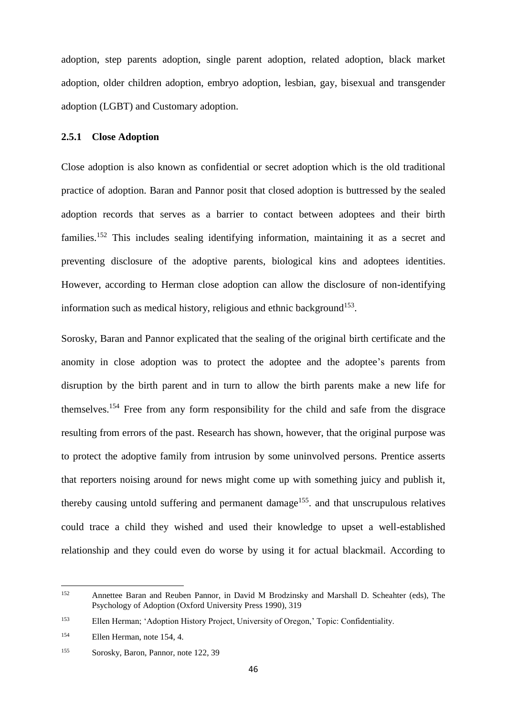adoption, step parents adoption, single parent adoption, related adoption, black market adoption, older children adoption, embryo adoption, lesbian, gay, bisexual and transgender adoption (LGBT) and Customary adoption.

### **2.5.1 Close Adoption**

Close adoption is also known as confidential or secret adoption which is the old traditional practice of adoption. Baran and Pannor posit that closed adoption is buttressed by the sealed adoption records that serves as a barrier to contact between adoptees and their birth families.<sup>152</sup> This includes sealing identifying information, maintaining it as a secret and preventing disclosure of the adoptive parents, biological kins and adoptees identities. However, according to Herman close adoption can allow the disclosure of non-identifying information such as medical history, religious and ethnic background<sup>153</sup>.

Sorosky, Baran and Pannor explicated that the sealing of the original birth certificate and the anomity in close adoption was to protect the adoptee and the adoptee's parents from disruption by the birth parent and in turn to allow the birth parents make a new life for themselves. <sup>154</sup> Free from any form responsibility for the child and safe from the disgrace resulting from errors of the past. Research has shown, however, that the original purpose was to protect the adoptive family from intrusion by some uninvolved persons. Prentice asserts that reporters noising around for news might come up with something juicy and publish it, thereby causing untold suffering and permanent damage<sup>155</sup>. and that unscrupulous relatives could trace a child they wished and used their knowledge to upset a well-established relationship and they could even do worse by using it for actual blackmail. According to

<sup>152</sup> <sup>152</sup> Annettee Baran and Reuben Pannor, in David M Brodzinsky and Marshall D. Scheahter (eds), The Psychology of Adoption (Oxford University Press 1990), 319

<sup>153</sup> Ellen Herman; 'Adoption History Project, University of Oregon,' Topic: Confidentiality.

<sup>154</sup> Ellen Herman, note 154, 4.

<sup>155</sup> Sorosky, Baron, Pannor, note 122, 39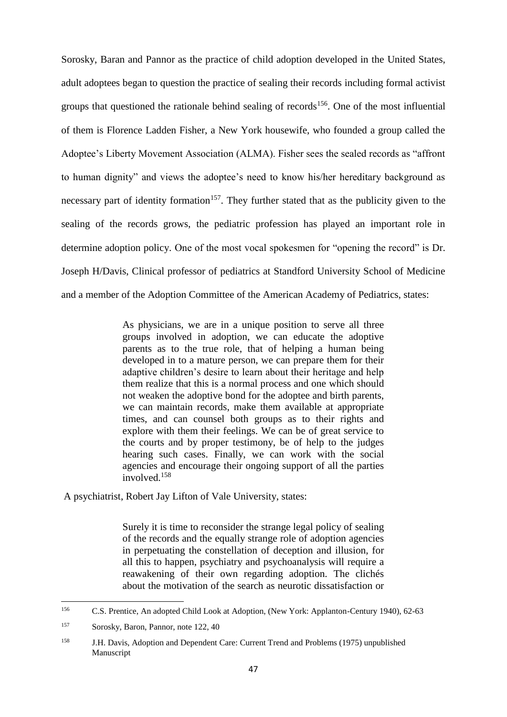Sorosky, Baran and Pannor as the practice of child adoption developed in the United States, adult adoptees began to question the practice of sealing their records including formal activist groups that questioned the rationale behind sealing of records<sup>156</sup>. One of the most influential of them is Florence Ladden Fisher, a New York housewife, who founded a group called the Adoptee's Liberty Movement Association (ALMA). Fisher sees the sealed records as "affront to human dignity" and views the adoptee's need to know his/her hereditary background as necessary part of identity formation<sup>157</sup>. They further stated that as the publicity given to the sealing of the records grows, the pediatric profession has played an important role in determine adoption policy. One of the most vocal spokesmen for "opening the record" is Dr. Joseph H/Davis, Clinical professor of pediatrics at Standford University School of Medicine and a member of the Adoption Committee of the American Academy of Pediatrics, states:

> As physicians, we are in a unique position to serve all three groups involved in adoption, we can educate the adoptive parents as to the true role, that of helping a human being developed in to a mature person, we can prepare them for their adaptive children's desire to learn about their heritage and help them realize that this is a normal process and one which should not weaken the adoptive bond for the adoptee and birth parents, we can maintain records, make them available at appropriate times, and can counsel both groups as to their rights and explore with them their feelings. We can be of great service to the courts and by proper testimony, be of help to the judges hearing such cases. Finally, we can work with the social agencies and encourage their ongoing support of all the parties involved.<sup>158</sup>

A psychiatrist, Robert Jay Lifton of Vale University, states:

Surely it is time to reconsider the strange legal policy of sealing of the records and the equally strange role of adoption agencies in perpetuating the constellation of deception and illusion, for all this to happen, psychiatry and psychoanalysis will require a reawakening of their own regarding adoption. The clichés about the motivation of the search as neurotic dissatisfaction or

<sup>156</sup> <sup>156</sup> C.S. Prentice, An adopted Child Look at Adoption, (New York: Applanton-Century 1940), 62-63

<sup>157</sup> Sorosky, Baron, Pannor, note 122, 40

<sup>158</sup> J.H. Davis, Adoption and Dependent Care: Current Trend and Problems (1975) unpublished Manuscript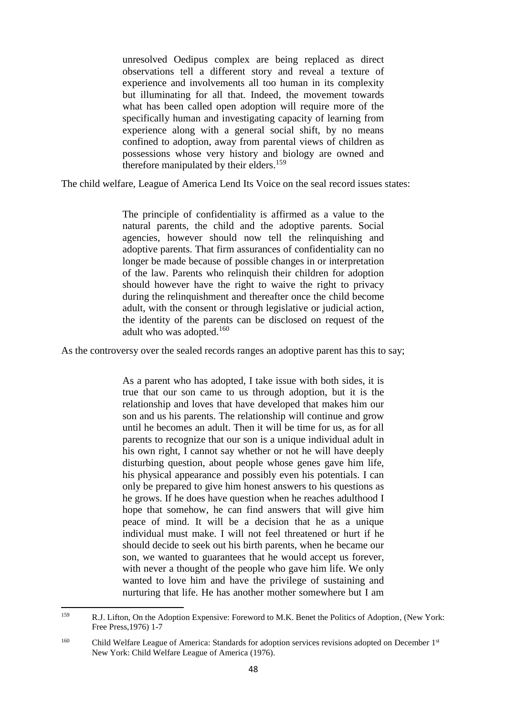unresolved Oedipus complex are being replaced as direct observations tell a different story and reveal a texture of experience and involvements all too human in its complexity but illuminating for all that. Indeed, the movement towards what has been called open adoption will require more of the specifically human and investigating capacity of learning from experience along with a general social shift, by no means confined to adoption, away from parental views of children as possessions whose very history and biology are owned and therefore manipulated by their elders.<sup>159</sup>

The child welfare, League of America Lend Its Voice on the seal record issues states:

The principle of confidentiality is affirmed as a value to the natural parents, the child and the adoptive parents. Social agencies, however should now tell the relinquishing and adoptive parents. That firm assurances of confidentiality can no longer be made because of possible changes in or interpretation of the law. Parents who relinquish their children for adoption should however have the right to waive the right to privacy during the relinquishment and thereafter once the child become adult, with the consent or through legislative or judicial action, the identity of the parents can be disclosed on request of the adult who was adopted.<sup>160</sup>

As the controversy over the sealed records ranges an adoptive parent has this to say;

As a parent who has adopted, I take issue with both sides, it is true that our son came to us through adoption, but it is the relationship and loves that have developed that makes him our son and us his parents. The relationship will continue and grow until he becomes an adult. Then it will be time for us, as for all parents to recognize that our son is a unique individual adult in his own right, I cannot say whether or not he will have deeply disturbing question, about people whose genes gave him life, his physical appearance and possibly even his potentials. I can only be prepared to give him honest answers to his questions as he grows. If he does have question when he reaches adulthood I hope that somehow, he can find answers that will give him peace of mind. It will be a decision that he as a unique individual must make. I will not feel threatened or hurt if he should decide to seek out his birth parents, when he became our son, we wanted to guarantees that he would accept us forever, with never a thought of the people who gave him life. We only wanted to love him and have the privilege of sustaining and nurturing that life. He has another mother somewhere but I am

<sup>159</sup> <sup>159</sup> R.J. Lifton, On the Adoption Expensive: Foreword to M.K. Benet the Politics of Adoption*,* (New York: Free Press,1976) 1-7

<sup>&</sup>lt;sup>160</sup> Child Welfare League of America: Standards for adoption services revisions adopted on December 1<sup>st</sup> New York: Child Welfare League of America (1976).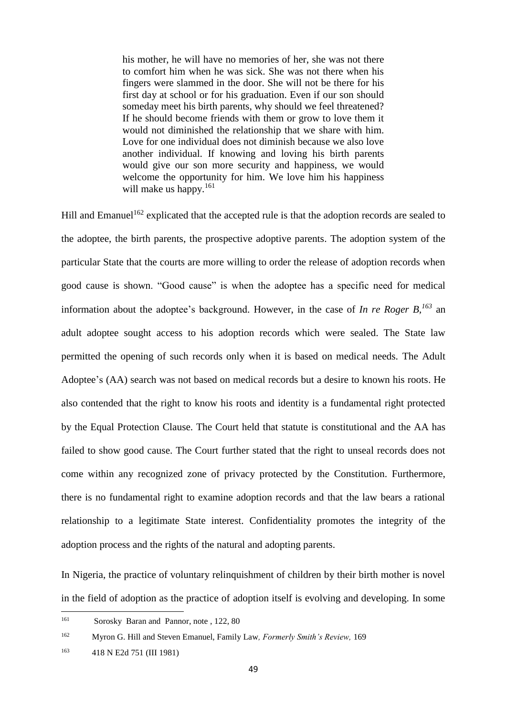his mother, he will have no memories of her, she was not there to comfort him when he was sick. She was not there when his fingers were slammed in the door. She will not be there for his first day at school or for his graduation. Even if our son should someday meet his birth parents, why should we feel threatened? If he should become friends with them or grow to love them it would not diminished the relationship that we share with him. Love for one individual does not diminish because we also love another individual. If knowing and loving his birth parents would give our son more security and happiness, we would welcome the opportunity for him. We love him his happiness will make us happy.<sup>161</sup>

Hill and Emanuel<sup>162</sup> explicated that the accepted rule is that the adoption records are sealed to the adoptee, the birth parents, the prospective adoptive parents. The adoption system of the particular State that the courts are more willing to order the release of adoption records when good cause is shown. "Good cause" is when the adoptee has a specific need for medical information about the adoptee's background. However, in the case of *In re Roger B,<sup>163</sup>* an adult adoptee sought access to his adoption records which were sealed. The State law permitted the opening of such records only when it is based on medical needs. The Adult Adoptee's (AA) search was not based on medical records but a desire to known his roots. He also contended that the right to know his roots and identity is a fundamental right protected by the Equal Protection Clause. The Court held that statute is constitutional and the AA has failed to show good cause. The Court further stated that the right to unseal records does not come within any recognized zone of privacy protected by the Constitution. Furthermore, there is no fundamental right to examine adoption records and that the law bears a rational relationship to a legitimate State interest. Confidentiality promotes the integrity of the adoption process and the rights of the natural and adopting parents.

In Nigeria, the practice of voluntary relinquishment of children by their birth mother is novel in the field of adoption as the practice of adoption itself is evolving and developing. In some

### <sup>162</sup> Myron G. Hill and Steven Emanuel, Family Law*, Formerly Smith's Review,* 169

<sup>161</sup> Sorosky Baran and Pannor, note , 122, 80

<sup>163</sup> 418 N E2d 751 (III 1981)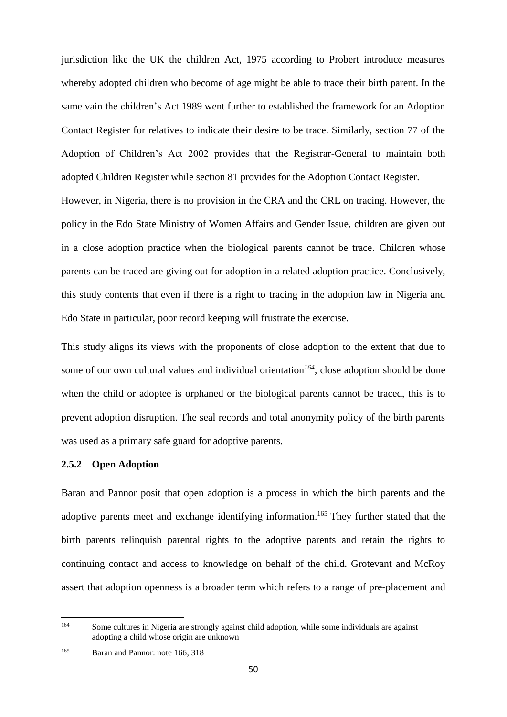jurisdiction like the UK the children Act, 1975 according to Probert introduce measures whereby adopted children who become of age might be able to trace their birth parent. In the same vain the children's Act 1989 went further to established the framework for an Adoption Contact Register for relatives to indicate their desire to be trace. Similarly, section 77 of the Adoption of Children's Act 2002 provides that the Registrar-General to maintain both adopted Children Register while section 81 provides for the Adoption Contact Register.

However, in Nigeria, there is no provision in the CRA and the CRL on tracing. However, the policy in the Edo State Ministry of Women Affairs and Gender Issue, children are given out in a close adoption practice when the biological parents cannot be trace. Children whose parents can be traced are giving out for adoption in a related adoption practice. Conclusively, this study contents that even if there is a right to tracing in the adoption law in Nigeria and Edo State in particular, poor record keeping will frustrate the exercise.

This study aligns its views with the proponents of close adoption to the extent that due to some of our own cultural values and individual orientation*<sup>164</sup>*, close adoption should be done when the child or adoptee is orphaned or the biological parents cannot be traced, this is to prevent adoption disruption. The seal records and total anonymity policy of the birth parents was used as a primary safe guard for adoptive parents.

### **2.5.2 Open Adoption**

Baran and Pannor posit that open adoption is a process in which the birth parents and the adoptive parents meet and exchange identifying information.<sup>165</sup> They further stated that the birth parents relinquish parental rights to the adoptive parents and retain the rights to continuing contact and access to knowledge on behalf of the child. Grotevant and McRoy assert that adoption openness is a broader term which refers to a range of pre-placement and

<sup>164</sup> <sup>164</sup> Some cultures in Nigeria are strongly against child adoption, while some individuals are against adopting a child whose origin are unknown

<sup>&</sup>lt;sup>165</sup> Baran and Pannor: note 166, 318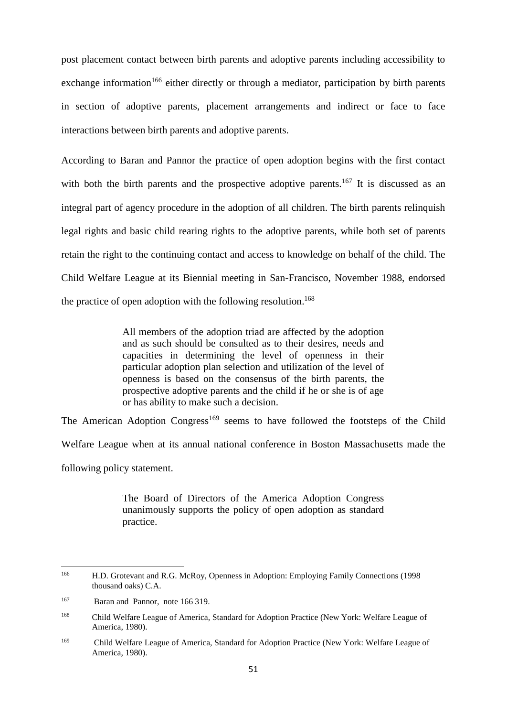post placement contact between birth parents and adoptive parents including accessibility to exchange information<sup>166</sup> either directly or through a mediator, participation by birth parents in section of adoptive parents, placement arrangements and indirect or face to face interactions between birth parents and adoptive parents.

According to Baran and Pannor the practice of open adoption begins with the first contact with both the birth parents and the prospective adoptive parents.<sup>167</sup> It is discussed as an integral part of agency procedure in the adoption of all children. The birth parents relinquish legal rights and basic child rearing rights to the adoptive parents, while both set of parents retain the right to the continuing contact and access to knowledge on behalf of the child. The Child Welfare League at its Biennial meeting in San-Francisco, November 1988, endorsed the practice of open adoption with the following resolution. 168

> All members of the adoption triad are affected by the adoption and as such should be consulted as to their desires, needs and capacities in determining the level of openness in their particular adoption plan selection and utilization of the level of openness is based on the consensus of the birth parents, the prospective adoptive parents and the child if he or she is of age or has ability to make such a decision.

The American Adoption Congress<sup>169</sup> seems to have followed the footsteps of the Child Welfare League when at its annual national conference in Boston Massachusetts made the

following policy statement.

The Board of Directors of the America Adoption Congress unanimously supports the policy of open adoption as standard practice.

<sup>166</sup> <sup>166</sup> H.D. Grotevant and R.G. McRoy, Openness in Adoption: Employing Family Connections (1998 thousand oaks) C.A.

<sup>&</sup>lt;sup>167</sup> Baran and Pannor, note 166 319.

<sup>168</sup> Child Welfare League of America, Standard for Adoption Practice (New York: Welfare League of America, 1980).

<sup>169</sup> Child Welfare League of America, Standard for Adoption Practice (New York: Welfare League of America, 1980).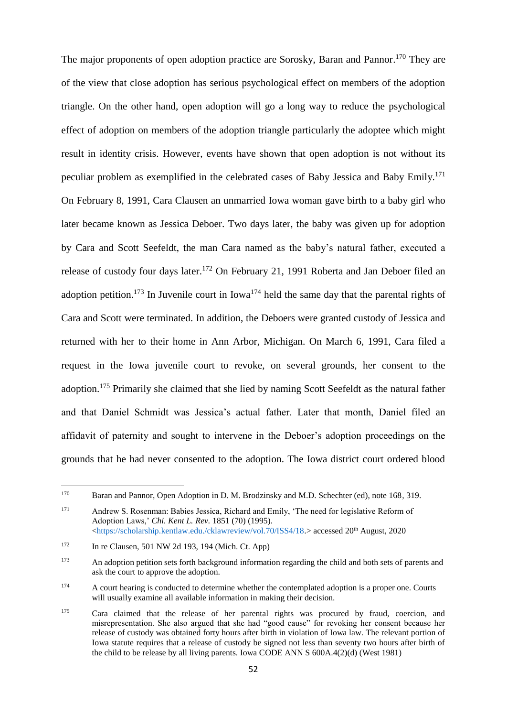The major proponents of open adoption practice are Sorosky, Baran and Pannor.<sup>170</sup> They are of the view that close adoption has serious psychological effect on members of the adoption triangle. On the other hand, open adoption will go a long way to reduce the psychological effect of adoption on members of the adoption triangle particularly the adoptee which might result in identity crisis. However, events have shown that open adoption is not without its peculiar problem as exemplified in the celebrated cases of Baby Jessica and Baby Emily.<sup>171</sup> On February 8, 1991, Cara Clausen an unmarried Iowa woman gave birth to a baby girl who later became known as Jessica Deboer. Two days later, the baby was given up for adoption by Cara and Scott Seefeldt, the man Cara named as the baby's natural father, executed a release of custody four days later.<sup>172</sup> On February 21, 1991 Roberta and Jan Deboer filed an adoption petition.<sup>173</sup> In Juvenile court in Iowa<sup>174</sup> held the same day that the parental rights of Cara and Scott were terminated. In addition, the Deboers were granted custody of Jessica and returned with her to their home in Ann Arbor, Michigan. On March 6, 1991, Cara filed a request in the Iowa juvenile court to revoke, on several grounds, her consent to the adoption.<sup>175</sup> Primarily she claimed that she lied by naming Scott Seefeldt as the natural father and that Daniel Schmidt was Jessica's actual father. Later that month, Daniel filed an affidavit of paternity and sought to intervene in the Deboer's adoption proceedings on the grounds that he had never consented to the adoption. The Iowa district court ordered blood

<sup>170</sup> <sup>170</sup> Baran and Pannor, Open Adoption in D. M. Brodzinsky and M.D. Schechter (ed), note 168*,* 319.

<sup>171</sup> Andrew S. Rosenman: Babies Jessica, Richard and Emily, 'The need for legislative Reform of Adoption Laws,' *Chi. Kent L. Rev.* 1851 (70) (1995). [<https://scholarship.kentlaw.edu./cklawreview/vol.70/ISS4/18.](https://scholarship.kentlaw.edu./cklawreview/vol.70/ISS4/18)> accessed 20th August, 2020

 $172$  In re Clausen, 501 NW 2d 193, 194 (Mich. Ct. App)

<sup>&</sup>lt;sup>173</sup> An adoption petition sets forth background information regarding the child and both sets of parents and ask the court to approve the adoption.

<sup>&</sup>lt;sup>174</sup> A court hearing is conducted to determine whether the contemplated adoption is a proper one. Courts will usually examine all available information in making their decision.

<sup>&</sup>lt;sup>175</sup> Cara claimed that the release of her parental rights was procured by fraud, coercion, and misrepresentation. She also argued that she had "good cause" for revoking her consent because her release of custody was obtained forty hours after birth in violation of Iowa law. The relevant portion of Iowa statute requires that a release of custody be signed not less than seventy two hours after birth of the child to be release by all living parents. Iowa CODE ANN S 600A.4(2)(d) (West 1981)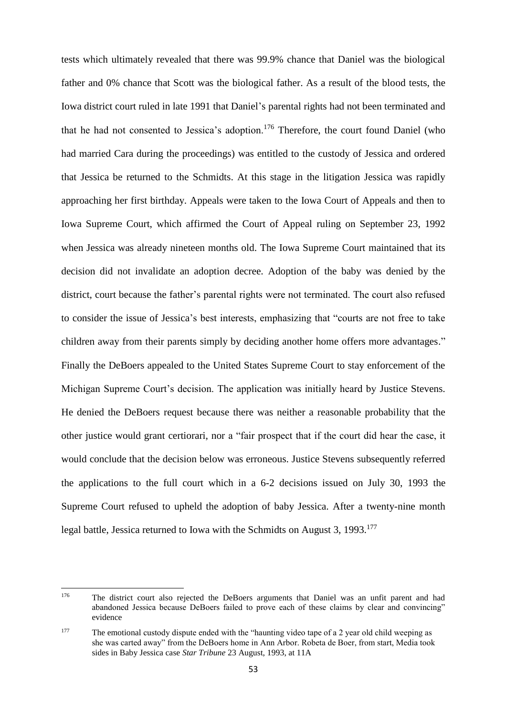tests which ultimately revealed that there was 99.9% chance that Daniel was the biological father and 0% chance that Scott was the biological father. As a result of the blood tests, the Iowa district court ruled in late 1991 that Daniel's parental rights had not been terminated and that he had not consented to Jessica's adoption.<sup>176</sup> Therefore, the court found Daniel (who had married Cara during the proceedings) was entitled to the custody of Jessica and ordered that Jessica be returned to the Schmidts. At this stage in the litigation Jessica was rapidly approaching her first birthday. Appeals were taken to the Iowa Court of Appeals and then to Iowa Supreme Court, which affirmed the Court of Appeal ruling on September 23, 1992 when Jessica was already nineteen months old. The Iowa Supreme Court maintained that its decision did not invalidate an adoption decree. Adoption of the baby was denied by the district, court because the father's parental rights were not terminated. The court also refused to consider the issue of Jessica's best interests, emphasizing that "courts are not free to take children away from their parents simply by deciding another home offers more advantages." Finally the DeBoers appealed to the United States Supreme Court to stay enforcement of the Michigan Supreme Court's decision. The application was initially heard by Justice Stevens. He denied the DeBoers request because there was neither a reasonable probability that the other justice would grant certiorari, nor a "fair prospect that if the court did hear the case, it would conclude that the decision below was erroneous. Justice Stevens subsequently referred the applications to the full court which in a 6-2 decisions issued on July 30, 1993 the Supreme Court refused to upheld the adoption of baby Jessica. After a twenty-nine month legal battle, Jessica returned to Iowa with the Schmidts on August 3, 1993.<sup>177</sup>

<sup>176</sup> <sup>176</sup> The district court also rejected the DeBoers arguments that Daniel was an unfit parent and had abandoned Jessica because DeBoers failed to prove each of these claims by clear and convincing" evidence

<sup>&</sup>lt;sup>177</sup> The emotional custody dispute ended with the "haunting video tape of a 2 year old child weeping as she was carted away" from the DeBoers home in Ann Arbor. Robeta de Boer, from start, Media took sides in Baby Jessica case *Star Tribune* 23 August, 1993, at 11A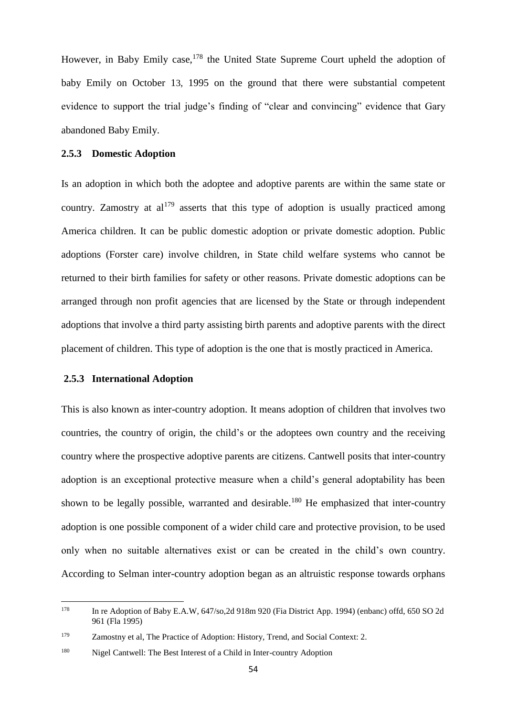However, in Baby Emily case,<sup>178</sup> the United State Supreme Court upheld the adoption of baby Emily on October 13, 1995 on the ground that there were substantial competent evidence to support the trial judge's finding of "clear and convincing" evidence that Gary abandoned Baby Emily.

### **2.5.3 Domestic Adoption**

Is an adoption in which both the adoptee and adoptive parents are within the same state or country. Zamostry at  $al^{179}$  asserts that this type of adoption is usually practiced among America children. It can be public domestic adoption or private domestic adoption. Public adoptions (Forster care) involve children, in State child welfare systems who cannot be returned to their birth families for safety or other reasons. Private domestic adoptions can be arranged through non profit agencies that are licensed by the State or through independent adoptions that involve a third party assisting birth parents and adoptive parents with the direct placement of children. This type of adoption is the one that is mostly practiced in America.

### **2.5.3 International Adoption**

This is also known as inter-country adoption. It means adoption of children that involves two countries, the country of origin, the child's or the adoptees own country and the receiving country where the prospective adoptive parents are citizens. Cantwell posits that inter-country adoption is an exceptional protective measure when a child's general adoptability has been shown to be legally possible, warranted and desirable.<sup>180</sup> He emphasized that inter-country adoption is one possible component of a wider child care and protective provision, to be used only when no suitable alternatives exist or can be created in the child's own country. According to Selman inter-country adoption began as an altruistic response towards orphans

<sup>178</sup> <sup>178</sup> In re Adoption of Baby E.A.W, 647/so,2d 918m 920 (Fia District App. 1994) (enbanc) offd, 650 SO 2d 961 (Fla 1995)

<sup>179</sup> Zamostny et al, The Practice of Adoption: History, Trend, and Social Context: 2.

<sup>&</sup>lt;sup>180</sup> Nigel Cantwell: The Best Interest of a Child in Inter-country Adoption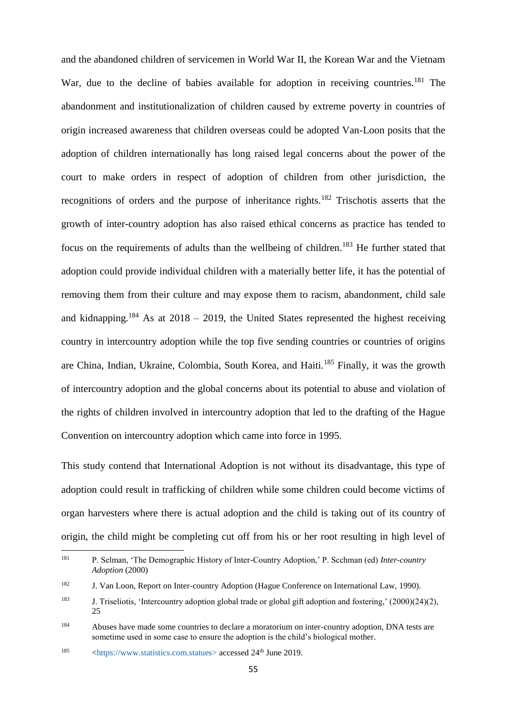and the abandoned children of servicemen in World War II, the Korean War and the Vietnam War, due to the decline of babies available for adoption in receiving countries.<sup>181</sup> The abandonment and institutionalization of children caused by extreme poverty in countries of origin increased awareness that children overseas could be adopted Van-Loon posits that the adoption of children internationally has long raised legal concerns about the power of the court to make orders in respect of adoption of children from other jurisdiction, the recognitions of orders and the purpose of inheritance rights.<sup>182</sup> Trischotis asserts that the growth of inter-country adoption has also raised ethical concerns as practice has tended to focus on the requirements of adults than the wellbeing of children.<sup>183</sup> He further stated that adoption could provide individual children with a materially better life, it has the potential of removing them from their culture and may expose them to racism, abandonment, child sale and kidnapping.<sup>184</sup> As at 2018 – 2019, the United States represented the highest receiving country in intercountry adoption while the top five sending countries or countries of origins are China, Indian, Ukraine, Colombia, South Korea, and Haiti.<sup>185</sup> Finally, it was the growth of intercountry adoption and the global concerns about its potential to abuse and violation of the rights of children involved in intercountry adoption that led to the drafting of the Hague Convention on intercountry adoption which came into force in 1995.

This study contend that International Adoption is not without its disadvantage, this type of adoption could result in trafficking of children while some children could become victims of organ harvesters where there is actual adoption and the child is taking out of its country of origin, the child might be completing cut off from his or her root resulting in high level of

<sup>181</sup> <sup>181</sup> P. Selman, 'The Demographic History of Inter-Country Adoption,' P. Scchman (ed) *Inter-country Adoption* (2000)

<sup>182</sup> J. Van Loon, Report on Inter-country Adoption (Hague Conference on International Law, 1990).

<sup>183</sup> J. Triseliotis, 'Intercountry adoption global trade or global gift adoption and fostering,' (2000)(24)(2), 25

<sup>184</sup> Abuses have made some countries to declare a moratorium on inter-country adoption, DNA tests are sometime used in some case to ensure the adoption is the child's biological mother.

<sup>&</sup>lt;sup>185</sup>  $\langle$ https://www.statistics.com.statues> accessed 24<sup>th</sup> June 2019.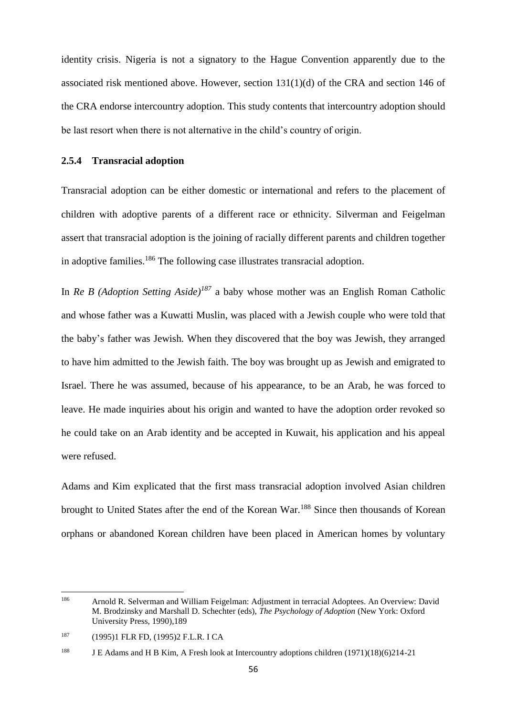identity crisis. Nigeria is not a signatory to the Hague Convention apparently due to the associated risk mentioned above. However, section 131(1)(d) of the CRA and section 146 of the CRA endorse intercountry adoption. This study contents that intercountry adoption should be last resort when there is not alternative in the child's country of origin.

#### **2.5.4 Transracial adoption**

Transracial adoption can be either domestic or international and refers to the placement of children with adoptive parents of a different race or ethnicity. Silverman and Feigelman assert that transracial adoption is the joining of racially different parents and children together in adoptive families.<sup>186</sup> The following case illustrates transracial adoption.

In *Re B (Adoption Setting Aside)<sup>187</sup>* a baby whose mother was an English Roman Catholic and whose father was a Kuwatti Muslin, was placed with a Jewish couple who were told that the baby's father was Jewish. When they discovered that the boy was Jewish, they arranged to have him admitted to the Jewish faith. The boy was brought up as Jewish and emigrated to Israel. There he was assumed, because of his appearance, to be an Arab, he was forced to leave. He made inquiries about his origin and wanted to have the adoption order revoked so he could take on an Arab identity and be accepted in Kuwait, his application and his appeal were refused.

Adams and Kim explicated that the first mass transracial adoption involved Asian children brought to United States after the end of the Korean War.<sup>188</sup> Since then thousands of Korean orphans or abandoned Korean children have been placed in American homes by voluntary

<sup>186</sup> <sup>186</sup> Arnold R. Selverman and William Feigelman: Adjustment in terracial Adoptees. An Overview: David M. Brodzinsky and Marshall D. Schechter (eds), *The Psychology of Adoption* (New York: Oxford University Press, 1990),189

<sup>187</sup> (1995)1 FLR FD, (1995)2 F.L.R. I CA

<sup>&</sup>lt;sup>188</sup> J E Adams and H B Kim, A Fresh look at Intercountry adoptions children (1971)(18)(6)214-21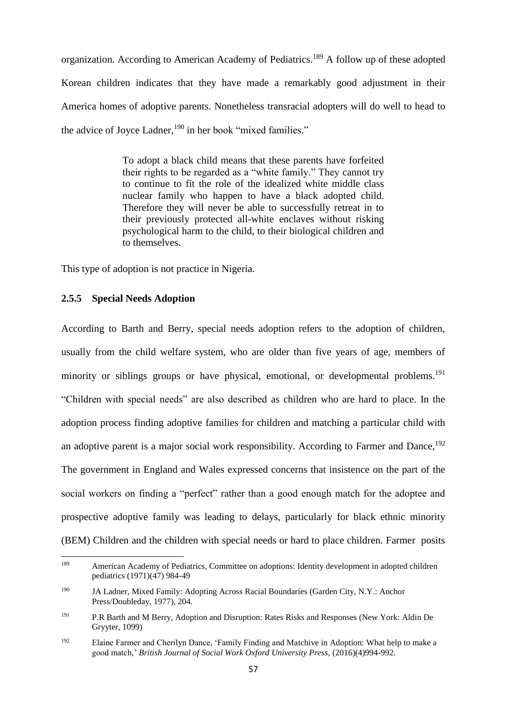organization. According to American Academy of Pediatrics.<sup>189</sup> A follow up of these adopted Korean children indicates that they have made a remarkably good adjustment in their America homes of adoptive parents. Nonetheless transracial adopters will do well to head to the advice of Joyce Ladner,<sup>190</sup> in her book "mixed families."

> To adopt a black child means that these parents have forfeited their rights to be regarded as a "white family." They cannot try to continue to fit the role of the idealized white middle class nuclear family who happen to have a black adopted child. Therefore they will never be able to successfully retreat in to their previously protected all-white enclaves without risking psychological harm to the child, to their biological children and to themselves.

This type of adoption is not practice in Nigeria.

### **2.5.5 Special Needs Adoption**

According to Barth and Berry, special needs adoption refers to the adoption of children, usually from the child welfare system, who are older than five years of age, members of minority or siblings groups or have physical, emotional, or developmental problems.<sup>191</sup> "Children with special needs" are also described as children who are hard to place. In the adoption process finding adoptive families for children and matching a particular child with an adoptive parent is a major social work responsibility. According to Farmer and Dance,<sup>192</sup> The government in England and Wales expressed concerns that insistence on the part of the social workers on finding a "perfect" rather than a good enough match for the adoptee and prospective adoptive family was leading to delays, particularly for black ethnic minority (BEM) Children and the children with special needs or hard to place children. Farmer posits

<sup>189</sup> <sup>189</sup> American Academy of Pediatrics, Committee on adoptions: Identity development in adopted children pediatrics (1971)(47) 984-49

<sup>190</sup> JA Ladner, Mixed Family: Adopting Across Racial Boundaries (Garden City, N.Y.: Anchor Press/Doubleday, 1977), 204.

<sup>191</sup> P.R Barth and M Berry, Adoption and Disruption: Rates Risks and Responses (New York: Aldin De Gryyter, 1099)

<sup>192</sup> Elaine Farmer and Cherilyn Dance, 'Family Finding and Matchive in Adoption: What help to make a good match,' *British Journal of Social Work Oxford University Press,* (2016)(4)994-992.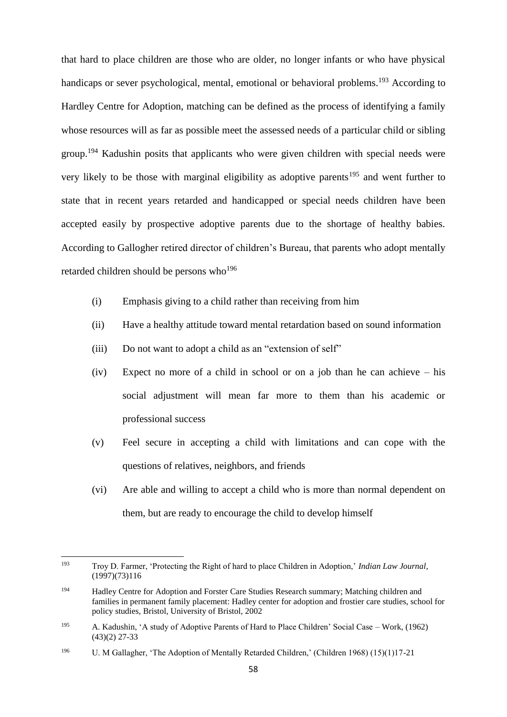that hard to place children are those who are older, no longer infants or who have physical handicaps or sever psychological, mental, emotional or behavioral problems.<sup>193</sup> According to Hardley Centre for Adoption, matching can be defined as the process of identifying a family whose resources will as far as possible meet the assessed needs of a particular child or sibling group.<sup>194</sup> Kadushin posits that applicants who were given children with special needs were very likely to be those with marginal eligibility as adoptive parents<sup>195</sup> and went further to state that in recent years retarded and handicapped or special needs children have been accepted easily by prospective adoptive parents due to the shortage of healthy babies. According to Gallogher retired director of children's Bureau, that parents who adopt mentally retarded children should be persons who<sup>196</sup>

- (i) Emphasis giving to a child rather than receiving from him
- (ii) Have a healthy attitude toward mental retardation based on sound information
- (iii) Do not want to adopt a child as an "extension of self"
- (iv) Expect no more of a child in school or on a job than he can achieve his social adjustment will mean far more to them than his academic or professional success
- (v) Feel secure in accepting a child with limitations and can cope with the questions of relatives, neighbors, and friends
- (vi) Are able and willing to accept a child who is more than normal dependent on them, but are ready to encourage the child to develop himself

<sup>193</sup> <sup>193</sup> Troy D. Farmer, 'Protecting the Right of hard to place Children in Adoption,' *Indian Law Journal*, (1997)(73)116

<sup>194</sup> Hadley Centre for Adoption and Forster Care Studies Research summary; Matching children and families in permanent family placement: Hadley center for adoption and frostier care studies, school for policy studies, Bristol, University of Bristol, 2002

<sup>195</sup> A. Kadushin, 'A study of Adoptive Parents of Hard to Place Children' Social Case – Work, (1962) (43)(2) 27-33

<sup>&</sup>lt;sup>196</sup> U. M Gallagher, 'The Adoption of Mentally Retarded Children,' (Children 1968) (15)(1)17-21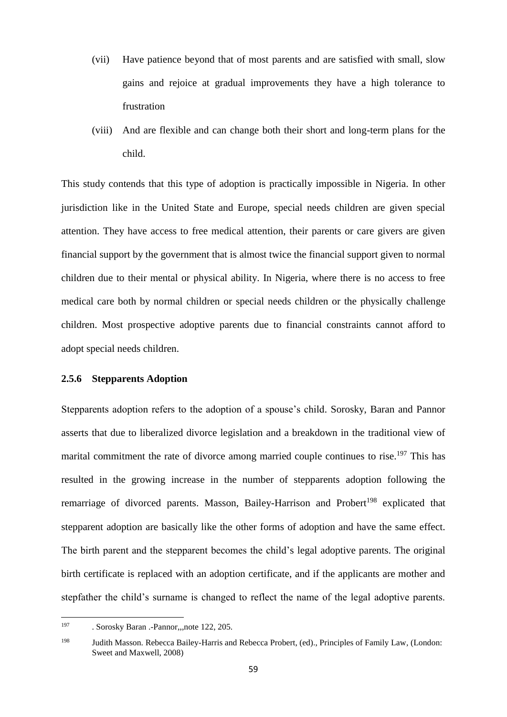- (vii) Have patience beyond that of most parents and are satisfied with small, slow gains and rejoice at gradual improvements they have a high tolerance to frustration
- (viii) And are flexible and can change both their short and long-term plans for the child.

This study contends that this type of adoption is practically impossible in Nigeria. In other jurisdiction like in the United State and Europe, special needs children are given special attention. They have access to free medical attention, their parents or care givers are given financial support by the government that is almost twice the financial support given to normal children due to their mental or physical ability. In Nigeria, where there is no access to free medical care both by normal children or special needs children or the physically challenge children. Most prospective adoptive parents due to financial constraints cannot afford to adopt special needs children.

### **2.5.6 Stepparents Adoption**

Stepparents adoption refers to the adoption of a spouse's child. Sorosky, Baran and Pannor asserts that due to liberalized divorce legislation and a breakdown in the traditional view of marital commitment the rate of divorce among married couple continues to rise.<sup>197</sup> This has resulted in the growing increase in the number of stepparents adoption following the remarriage of divorced parents. Masson, Bailey-Harrison and Probert<sup>198</sup> explicated that stepparent adoption are basically like the other forms of adoption and have the same effect. The birth parent and the stepparent becomes the child's legal adoptive parents. The original birth certificate is replaced with an adoption certificate, and if the applicants are mother and stepfather the child's surname is changed to reflect the name of the legal adoptive parents.

<sup>197</sup> . Sorosky Baran .-Pannor,,,note 122, 205.

<sup>198</sup> Judith Masson. Rebecca Bailey-Harris and Rebecca Probert, (ed)., Principles of Family Law*,* (London: Sweet and Maxwell, 2008)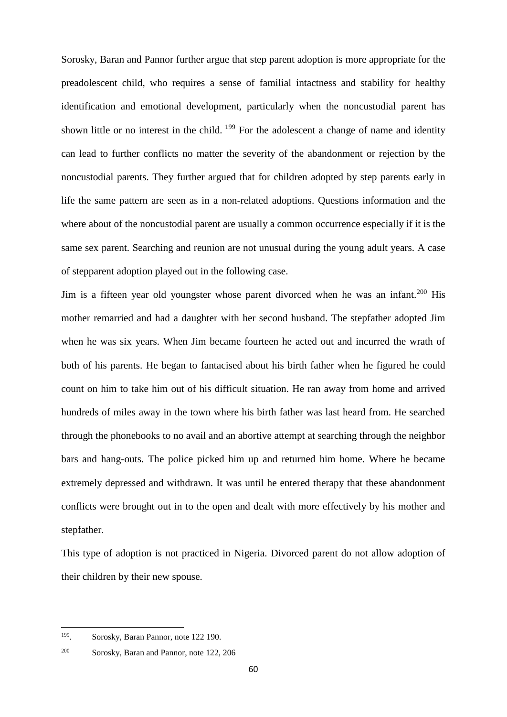Sorosky, Baran and Pannor further argue that step parent adoption is more appropriate for the preadolescent child, who requires a sense of familial intactness and stability for healthy identification and emotional development, particularly when the noncustodial parent has shown little or no interest in the child. <sup>199</sup> For the adolescent a change of name and identity can lead to further conflicts no matter the severity of the abandonment or rejection by the noncustodial parents. They further argued that for children adopted by step parents early in life the same pattern are seen as in a non-related adoptions. Questions information and the where about of the noncustodial parent are usually a common occurrence especially if it is the same sex parent. Searching and reunion are not unusual during the young adult years. A case of stepparent adoption played out in the following case.

Jim is a fifteen year old youngster whose parent divorced when he was an infant.<sup>200</sup> His mother remarried and had a daughter with her second husband. The stepfather adopted Jim when he was six years. When Jim became fourteen he acted out and incurred the wrath of both of his parents. He began to fantacised about his birth father when he figured he could count on him to take him out of his difficult situation. He ran away from home and arrived hundreds of miles away in the town where his birth father was last heard from. He searched through the phonebooks to no avail and an abortive attempt at searching through the neighbor bars and hang-outs. The police picked him up and returned him home. Where he became extremely depressed and withdrawn. It was until he entered therapy that these abandonment conflicts were brought out in to the open and dealt with more effectively by his mother and stepfather.

This type of adoption is not practiced in Nigeria. Divorced parent do not allow adoption of their children by their new spouse.

**.** 

<sup>199</sup> . Sorosky, Baran Pannor, note 122 190.

<sup>200</sup> Sorosky, Baran and Pannor, note 122, 206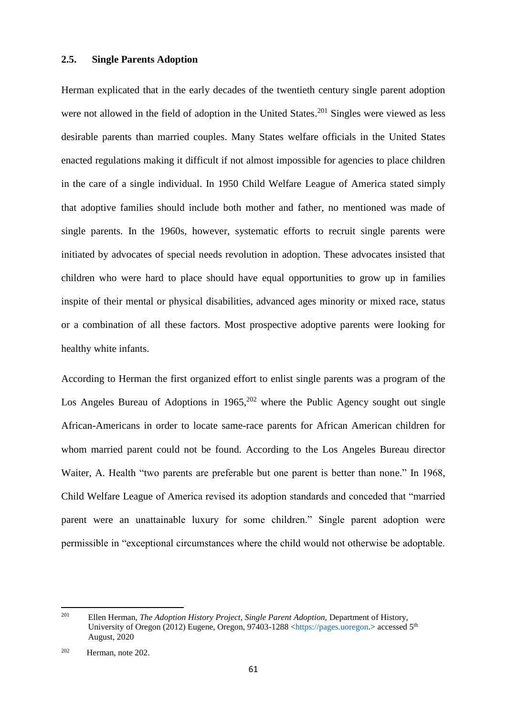#### **2.5. Single Parents Adoption**

Herman explicated that in the early decades of the twentieth century single parent adoption were not allowed in the field of adoption in the United States.<sup>201</sup> Singles were viewed as less desirable parents than married couples. Many States welfare officials in the United States enacted regulations making it difficult if not almost impossible for agencies to place children in the care of a single individual. In 1950 Child Welfare League of America stated simply that adoptive families should include both mother and father, no mentioned was made of single parents. In the 1960s, however, systematic efforts to recruit single parents were initiated by advocates of special needs revolution in adoption. These advocates insisted that children who were hard to place should have equal opportunities to grow up in families inspite of their mental or physical disabilities, advanced ages minority or mixed race, status or a combination of all these factors. Most prospective adoptive parents were looking for healthy white infants.

According to Herman the first organized effort to enlist single parents was a program of the Los Angeles Bureau of Adoptions in  $1965$ <sup>202</sup> where the Public Agency sought out single African-Americans in order to locate same-race parents for African American children for whom married parent could not be found. According to the Los Angeles Bureau director Waiter, A. Health "two parents are preferable but one parent is better than none." In 1968, Child Welfare League of America revised its adoption standards and conceded that "married parent were an unattainable luxury for some children." Single parent adoption were permissible in "exceptional circumstances where the child would not otherwise be adoptable.

<sup>201</sup> <sup>201</sup> Ellen Herman, *The Adoption History Project, Single Parent Adoption,* Department of History, University of Oregon (2012) Eugene, Oregon, 97403-1288 [<https://pages.uoregon.](https://pages.uoregon/)> accessed 5<sup>th</sup> August, 2020

<sup>202</sup> Herman, note 202.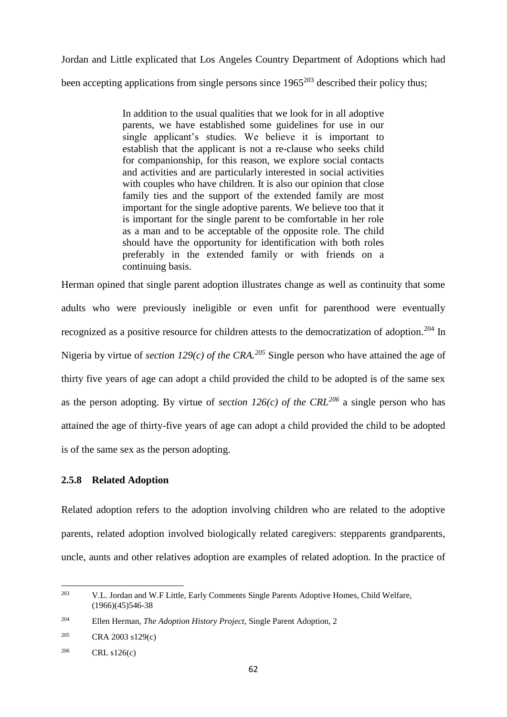Jordan and Little explicated that Los Angeles Country Department of Adoptions which had been accepting applications from single persons since  $1965^{203}$  described their policy thus:

> In addition to the usual qualities that we look for in all adoptive parents, we have established some guidelines for use in our single applicant's studies. We believe it is important to establish that the applicant is not a re-clause who seeks child for companionship, for this reason, we explore social contacts and activities and are particularly interested in social activities with couples who have children. It is also our opinion that close family ties and the support of the extended family are most important for the single adoptive parents. We believe too that it is important for the single parent to be comfortable in her role as a man and to be acceptable of the opposite role. The child should have the opportunity for identification with both roles preferably in the extended family or with friends on a continuing basis.

Herman opined that single parent adoption illustrates change as well as continuity that some adults who were previously ineligible or even unfit for parenthood were eventually recognized as a positive resource for children attests to the democratization of adoption.<sup>204</sup> In Nigeria by virtue of *section 129(c) of the CRA.<sup>205</sup>* Single person who have attained the age of thirty five years of age can adopt a child provided the child to be adopted is of the same sex as the person adopting. By virtue of *section 126(c)* of the CRL<sup>206</sup> a single person who has attained the age of thirty-five years of age can adopt a child provided the child to be adopted is of the same sex as the person adopting.

# **2.5.8 Related Adoption**

Related adoption refers to the adoption involving children who are related to the adoptive parents, related adoption involved biologically related caregivers: stepparents grandparents, uncle, aunts and other relatives adoption are examples of related adoption. In the practice of

<sup>203</sup> <sup>203</sup> V.L. Jordan and W.F Little, Early Comments Single Parents Adoptive Homes, Child Welfare,  $(1966)(45)546-38$ 

<sup>204</sup> Ellen Herman, *The Adoption History Project*, Single Parent Adoption, 2

<sup>205</sup> CRA 2003 s129(c)

 $206$  CRL s126(c)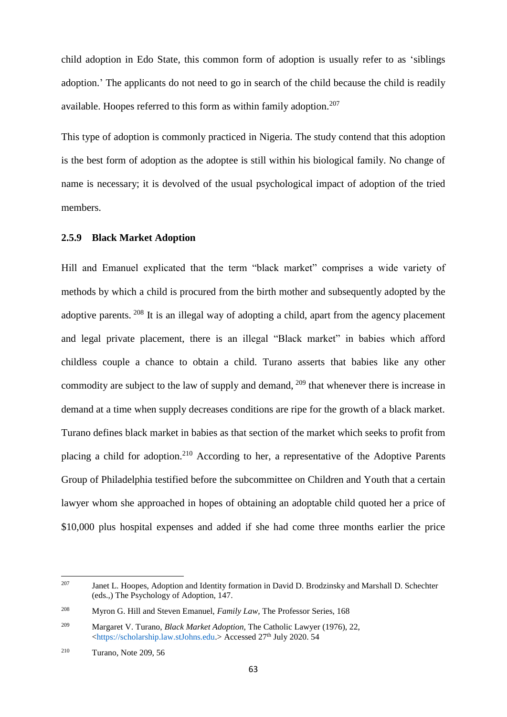child adoption in Edo State, this common form of adoption is usually refer to as 'siblings adoption.' The applicants do not need to go in search of the child because the child is readily available. Hoopes referred to this form as within family adoption.<sup>207</sup>

This type of adoption is commonly practiced in Nigeria. The study contend that this adoption is the best form of adoption as the adoptee is still within his biological family. No change of name is necessary; it is devolved of the usual psychological impact of adoption of the tried members.

# **2.5.9 Black Market Adoption**

Hill and Emanuel explicated that the term "black market" comprises a wide variety of methods by which a child is procured from the birth mother and subsequently adopted by the adoptive parents. <sup>208</sup> It is an illegal way of adopting a child, apart from the agency placement and legal private placement, there is an illegal "Black market" in babies which afford childless couple a chance to obtain a child. Turano asserts that babies like any other commodity are subject to the law of supply and demand, <sup>209</sup> that whenever there is increase in demand at a time when supply decreases conditions are ripe for the growth of a black market. Turano defines black market in babies as that section of the market which seeks to profit from placing a child for adoption.<sup>210</sup> According to her, a representative of the Adoptive Parents Group of Philadelphia testified before the subcommittee on Children and Youth that a certain lawyer whom she approached in hopes of obtaining an adoptable child quoted her a price of \$10,000 plus hospital expenses and added if she had come three months earlier the price

<sup>207</sup> Janet L. Hoopes, Adoption and Identity formation in David D. Brodzinsky and Marshall D. Schechter (eds.,) The Psychology of Adoption, 147.

<sup>208</sup> Myron G. Hill and Steven Emanuel, *Family Law,* The Professor Series, 168

<sup>209</sup> Margaret V. Turano, *Black Market Adoption,* The Catholic Lawyer (1976), 22, [<https://scholarship.law.stJohns.edu.](https://scholarship.law.stjohns.edu/)> Accessed 27<sup>th</sup> July 2020. 54

<sup>210</sup> Turano, Note 209, 56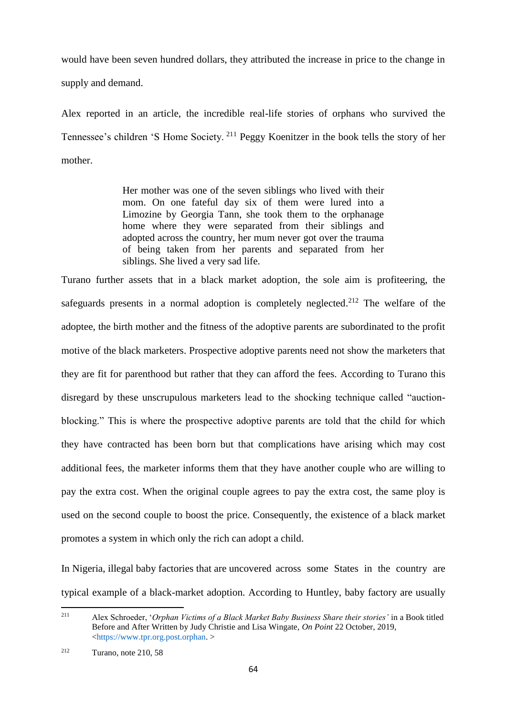would have been seven hundred dollars, they attributed the increase in price to the change in supply and demand.

Alex reported in an article, the incredible real-life stories of orphans who survived the Tennessee's children 'S Home Society. <sup>211</sup> Peggy Koenitzer in the book tells the story of her mother.

> Her mother was one of the seven siblings who lived with their mom. On one fateful day six of them were lured into a Limozine by Georgia Tann, she took them to the orphanage home where they were separated from their siblings and adopted across the country, her mum never got over the trauma of being taken from her parents and separated from her siblings. She lived a very sad life.

Turano further assets that in a black market adoption, the sole aim is profiteering, the safeguards presents in a normal adoption is completely neglected.<sup>212</sup> The welfare of the adoptee, the birth mother and the fitness of the adoptive parents are subordinated to the profit motive of the black marketers. Prospective adoptive parents need not show the marketers that they are fit for parenthood but rather that they can afford the fees. According to Turano this disregard by these unscrupulous marketers lead to the shocking technique called "auctionblocking." This is where the prospective adoptive parents are told that the child for which they have contracted has been born but that complications have arising which may cost additional fees, the marketer informs them that they have another couple who are willing to pay the extra cost. When the original couple agrees to pay the extra cost, the same ploy is used on the second couple to boost the price. Consequently, the existence of a black market promotes a system in which only the rich can adopt a child.

In Nigeria, illegal baby factories that are uncovered across some States in the country are typical example of a black-market adoption. According to Huntley, baby factory are usually

<sup>211</sup> <sup>211</sup> Alex Schroeder, '*Orphan Victims of a Black Market Baby Business Share their stories'* in a Book titled Before and After Written by Judy Christie and Lisa Wingate, *On Point* 22 October, 2019, [<https://www.tpr.org.post.orphan.](https://www.tpr.org.post.orphan/) >

<sup>212</sup> Turano, note 210, 58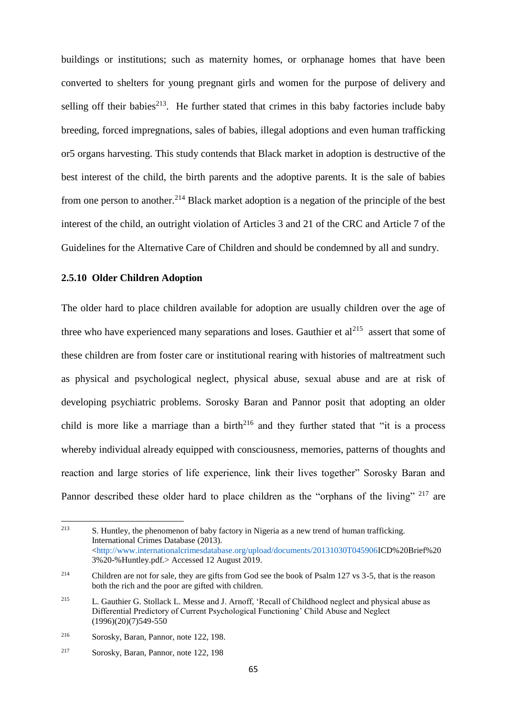buildings or institutions; such as maternity homes, or orphanage homes that have been converted to shelters for young pregnant girls and women for the purpose of delivery and selling off their babies<sup>213</sup>. He further stated that crimes in this baby factories include baby breeding, forced impregnations, sales of babies, illegal adoptions and even human trafficking or5 organs harvesting. This study contends that Black market in adoption is destructive of the best interest of the child, the birth parents and the adoptive parents. It is the sale of babies from one person to another.<sup>214</sup> Black market adoption is a negation of the principle of the best interest of the child, an outright violation of Articles 3 and 21 of the CRC and Article 7 of the Guidelines for the Alternative Care of Children and should be condemned by all and sundry.

### **2.5.10 Older Children Adoption**

The older hard to place children available for adoption are usually children over the age of three who have experienced many separations and loses. Gauthier et  $al<sup>215</sup>$  assert that some of these children are from foster care or institutional rearing with histories of maltreatment such as physical and psychological neglect, physical abuse, sexual abuse and are at risk of developing psychiatric problems. Sorosky Baran and Pannor posit that adopting an older child is more like a marriage than a birth $^{216}$  and they further stated that "it is a process whereby individual already equipped with consciousness, memories, patterns of thoughts and reaction and large stories of life experience, link their lives together" Sorosky Baran and Pannor described these older hard to place children as the "orphans of the living" <sup>217</sup> are

<sup>213</sup> <sup>213</sup> S. Huntley, the phenomenon of baby factory in Nigeria as a new trend of human trafficking. International Crimes Database (2013). [<http://www.internationalcrimesdatabase.org/upload/documents/20131030T045906I](http://www.internationalcrimesdatabase.org/upload/documents/20131030T045906)CD%20Brief%20 3%20-%Huntley.pdf.> Accessed 12 August 2019.

<sup>&</sup>lt;sup>214</sup> Children are not for sale, they are gifts from God see the book of Psalm 127 vs 3-5, that is the reason both the rich and the poor are gifted with children.

<sup>215</sup> L. Gauthier G. Stollack L. Messe and J. Arnoff, 'Recall of Childhood neglect and physical abuse as Differential Predictory of Current Psychological Functioning' Child Abuse and Neglect  $(1996)(20)(7)549-550$ 

<sup>216</sup> Sorosky, Baran, Pannor, note 122, 198.

<sup>217</sup> Sorosky, Baran, Pannor, note 122, 198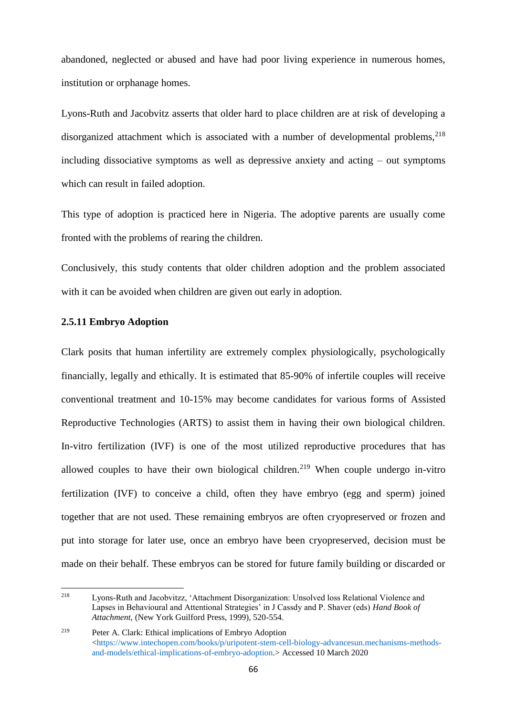abandoned, neglected or abused and have had poor living experience in numerous homes, institution or orphanage homes.

Lyons-Ruth and Jacobvitz asserts that older hard to place children are at risk of developing a disorganized attachment which is associated with a number of developmental problems,  $218$ including dissociative symptoms as well as depressive anxiety and acting – out symptoms which can result in failed adoption.

This type of adoption is practiced here in Nigeria. The adoptive parents are usually come fronted with the problems of rearing the children.

Conclusively, this study contents that older children adoption and the problem associated with it can be avoided when children are given out early in adoption.

# **2.5.11 Embryo Adoption**

Clark posits that human infertility are extremely complex physiologically, psychologically financially, legally and ethically. It is estimated that 85-90% of infertile couples will receive conventional treatment and 10-15% may become candidates for various forms of Assisted Reproductive Technologies (ARTS) to assist them in having their own biological children. In-vitro fertilization (IVF) is one of the most utilized reproductive procedures that has allowed couples to have their own biological children.<sup>219</sup> When couple undergo in-vitro fertilization (IVF) to conceive a child, often they have embryo (egg and sperm) joined together that are not used. These remaining embryos are often cryopreserved or frozen and put into storage for later use, once an embryo have been cryopreserved, decision must be made on their behalf. These embryos can be stored for future family building or discarded or

<sup>218</sup> <sup>218</sup> Lyons-Ruth and Jacobvitzz, 'Attachment Disorganization: Unsolved loss Relational Violence and Lapses in Behavioural and Attentional Strategies' in J Cassdy and P. Shaver (eds) *Hand Book of Attachment,* (New York Guilford Press, 1999), 520-554.

<sup>219</sup> Peter A. Clark: Ethical implications of Embryo Adoption  $\lt$ https://www.intechopen.com/books/p/uripotent-stem-cell-biology-advancesun.mechanisms-methods[and-models/ethical-implications-of-embryo-adoption.](https://www.intechopen.com/books/p/uripotent-stem-cell-biology-advancesun.mechanisms-methods-and-models/ethical-implications-of-embryo-adoption)> Accessed 10 March 2020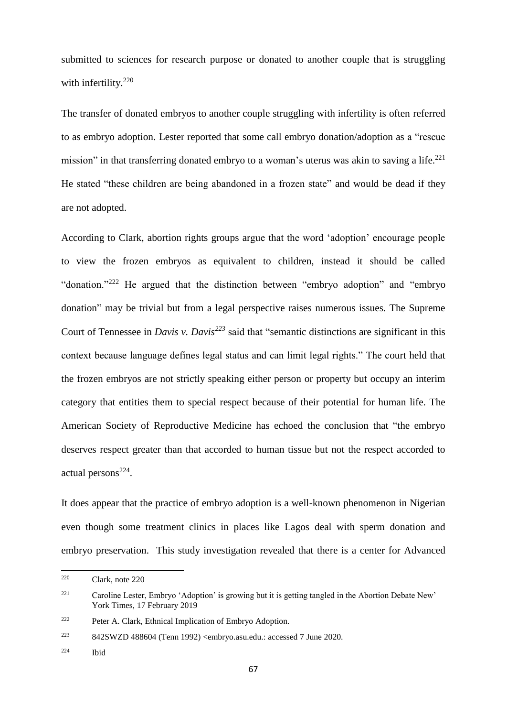submitted to sciences for research purpose or donated to another couple that is struggling with infertility.<sup>220</sup>

The transfer of donated embryos to another couple struggling with infertility is often referred to as embryo adoption. Lester reported that some call embryo donation/adoption as a "rescue mission" in that transferring donated embryo to a woman's uterus was akin to saving a life.<sup>221</sup> He stated "these children are being abandoned in a frozen state" and would be dead if they are not adopted.

According to Clark, abortion rights groups argue that the word 'adoption' encourage people to view the frozen embryos as equivalent to children, instead it should be called "donation."<sup>222</sup> He argued that the distinction between "embryo adoption" and "embryo donation" may be trivial but from a legal perspective raises numerous issues. The Supreme Court of Tennessee in *Davis v. Davis<sup>223</sup>* said that "semantic distinctions are significant in this context because language defines legal status and can limit legal rights." The court held that the frozen embryos are not strictly speaking either person or property but occupy an interim category that entities them to special respect because of their potential for human life. The American Society of Reproductive Medicine has echoed the conclusion that "the embryo deserves respect greater than that accorded to human tissue but not the respect accorded to actual persons<sup>224</sup>.

It does appear that the practice of embryo adoption is a well-known phenomenon in Nigerian even though some treatment clinics in places like Lagos deal with sperm donation and embryo preservation. This study investigation revealed that there is a center for Advanced

<sup>220</sup> <sup>220</sup> Clark, note 220

<sup>221</sup> Caroline Lester, Embryo 'Adoption' is growing but it is getting tangled in the Abortion Debate New' York Times, 17 February 2019

<sup>222</sup> Peter A. Clark, Ethnical Implication of Embryo Adoption.

<sup>223</sup> 842SWZD 488604 (Tenn 1992) <embryo.asu.edu.: accessed 7 June 2020.

<sup>224</sup> Ibid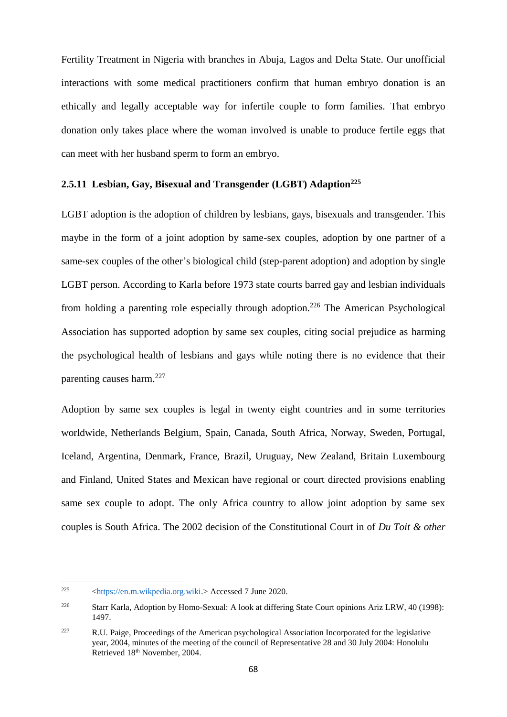Fertility Treatment in Nigeria with branches in Abuja, Lagos and Delta State. Our unofficial interactions with some medical practitioners confirm that human embryo donation is an ethically and legally acceptable way for infertile couple to form families. That embryo donation only takes place where the woman involved is unable to produce fertile eggs that can meet with her husband sperm to form an embryo.

# **2.5.11 Lesbian, Gay, Bisexual and Transgender (LGBT) Adaption<sup>225</sup>**

LGBT adoption is the adoption of children by lesbians, gays, bisexuals and transgender. This maybe in the form of a joint adoption by same-sex couples, adoption by one partner of a same-sex couples of the other's biological child (step-parent adoption) and adoption by single LGBT person. According to Karla before 1973 state courts barred gay and lesbian individuals from holding a parenting role especially through adoption.<sup>226</sup> The American Psychological Association has supported adoption by same sex couples, citing social prejudice as harming the psychological health of lesbians and gays while noting there is no evidence that their parenting causes harm.<sup>227</sup>

Adoption by same sex couples is legal in twenty eight countries and in some territories worldwide, Netherlands Belgium, Spain, Canada, South Africa, Norway, Sweden, Portugal, Iceland, Argentina, Denmark, France, Brazil, Uruguay, New Zealand, Britain Luxembourg and Finland, United States and Mexican have regional or court directed provisions enabling same sex couple to adopt. The only Africa country to allow joint adoption by same sex couples is South Africa. The 2002 decision of the Constitutional Court in of *Du Toit & other* 

<sup>225</sup> <sup>225</sup> [<https://en.m.wikpedia.org.wiki.>](https://en.m.wikpedia.org.wiki/) Accessed 7 June 2020.

<sup>226</sup> Starr Karla, Adoption by Homo-Sexual: A look at differing State Court opinions Ariz LRW, 40 (1998): 1497.

<sup>&</sup>lt;sup>227</sup> R.U. Paige, Proceedings of the American psychological Association Incorporated for the legislative year, 2004, minutes of the meeting of the council of Representative 28 and 30 July 2004: Honolulu Retrieved 18<sup>th</sup> November, 2004.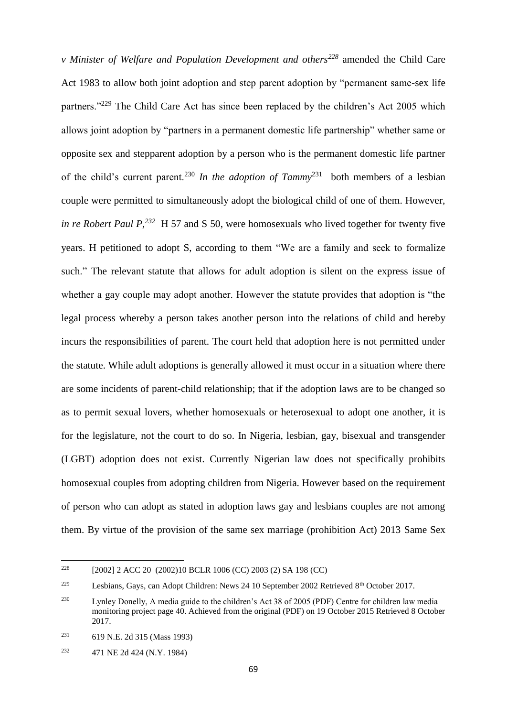*v Minister of Welfare and Population Development and others<sup>228</sup>* amended the Child Care Act 1983 to allow both joint adoption and step parent adoption by "permanent same-sex life partners."<sup>229</sup> The Child Care Act has since been replaced by the children's Act 2005 which allows joint adoption by "partners in a permanent domestic life partnership" whether same or opposite sex and stepparent adoption by a person who is the permanent domestic life partner of the child's current parent.<sup>230</sup> In the adoption of Tammy<sup>231</sup> both members of a lesbian couple were permitted to simultaneously adopt the biological child of one of them. However, *in re Robert Paul P,<sup>232</sup>* H 57 and S 50, were homosexuals who lived together for twenty five years. H petitioned to adopt S, according to them "We are a family and seek to formalize such." The relevant statute that allows for adult adoption is silent on the express issue of whether a gay couple may adopt another. However the statute provides that adoption is "the legal process whereby a person takes another person into the relations of child and hereby incurs the responsibilities of parent. The court held that adoption here is not permitted under the statute. While adult adoptions is generally allowed it must occur in a situation where there are some incidents of parent-child relationship; that if the adoption laws are to be changed so as to permit sexual lovers, whether homosexuals or heterosexual to adopt one another, it is for the legislature, not the court to do so. In Nigeria, lesbian, gay, bisexual and transgender (LGBT) adoption does not exist. Currently Nigerian law does not specifically prohibits homosexual couples from adopting children from Nigeria. However based on the requirement of person who can adopt as stated in adoption laws gay and lesbians couples are not among them. By virtue of the provision of the same sex marriage (prohibition Act) 2013 Same Sex

**.** 

<sup>228</sup> [2002] 2 ACC 20 (2002)10 BCLR 1006 (CC) 2003 (2) SA 198 (CC)

<sup>&</sup>lt;sup>229</sup> Lesbians, Gays, can Adopt Children: News 24 10 September 2002 Retrieved 8<sup>th</sup> October 2017.

<sup>230</sup> Lynley Donelly, A media guide to the children's Act 38 of 2005 (PDF) Centre for children law media monitoring project page 40. Achieved from the original (PDF) on 19 October 2015 Retrieved 8 October 2017.

<sup>231</sup> 619 N.E. 2d 315 (Mass 1993)

<sup>232</sup> 471 NE 2d 424 (N.Y. 1984)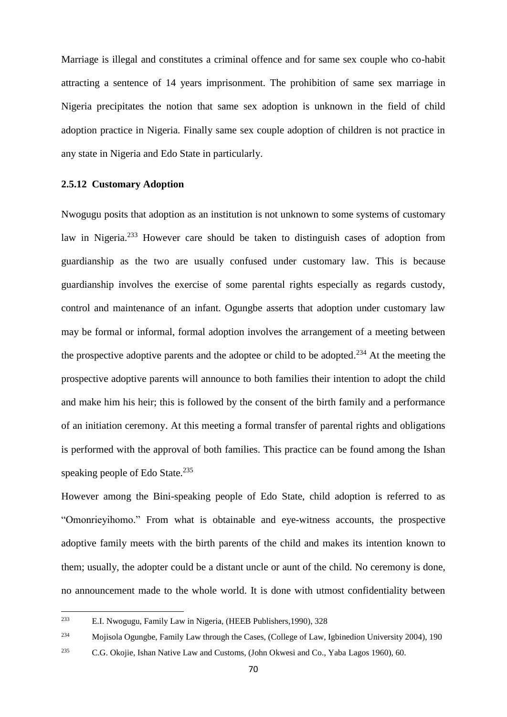Marriage is illegal and constitutes a criminal offence and for same sex couple who co-habit attracting a sentence of 14 years imprisonment. The prohibition of same sex marriage in Nigeria precipitates the notion that same sex adoption is unknown in the field of child adoption practice in Nigeria. Finally same sex couple adoption of children is not practice in any state in Nigeria and Edo State in particularly.

## **2.5.12 Customary Adoption**

Nwogugu posits that adoption as an institution is not unknown to some systems of customary law in Nigeria.<sup>233</sup> However care should be taken to distinguish cases of adoption from guardianship as the two are usually confused under customary law. This is because guardianship involves the exercise of some parental rights especially as regards custody, control and maintenance of an infant. Ogungbe asserts that adoption under customary law may be formal or informal, formal adoption involves the arrangement of a meeting between the prospective adoptive parents and the adoptee or child to be adopted.<sup>234</sup> At the meeting the prospective adoptive parents will announce to both families their intention to adopt the child and make him his heir; this is followed by the consent of the birth family and a performance of an initiation ceremony. At this meeting a formal transfer of parental rights and obligations is performed with the approval of both families. This practice can be found among the Ishan speaking people of Edo State.<sup>235</sup>

However among the Bini-speaking people of Edo State, child adoption is referred to as "Omonrieyihomo." From what is obtainable and eye-witness accounts, the prospective adoptive family meets with the birth parents of the child and makes its intention known to them; usually, the adopter could be a distant uncle or aunt of the child. No ceremony is done, no announcement made to the whole world. It is done with utmost confidentiality between

<sup>233</sup> <sup>233</sup> E.I. Nwogugu, Family Law in Nigeria, (HEEB Publishers,1990), 328

<sup>234</sup> Mojisola Ogungbe, Family Law through the Cases, (College of Law, Igbinedion University 2004), 190

<sup>235</sup> C.G. Okojie, Ishan Native Law and Customs, (John Okwesi and Co., Yaba Lagos 1960), 60.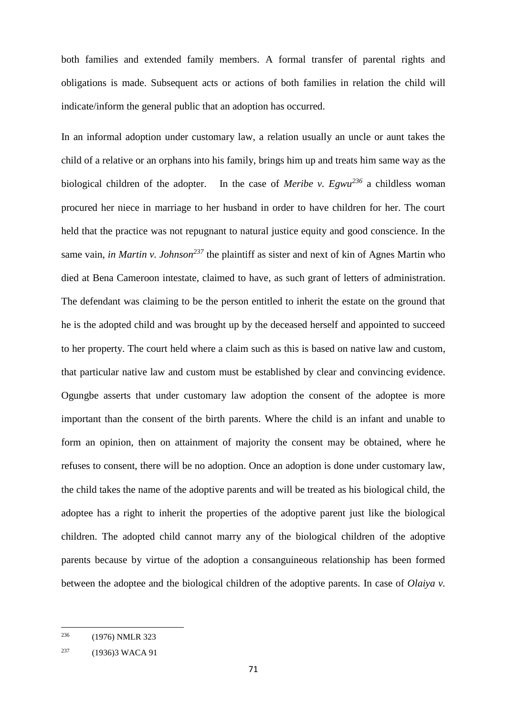both families and extended family members. A formal transfer of parental rights and obligations is made. Subsequent acts or actions of both families in relation the child will indicate/inform the general public that an adoption has occurred.

In an informal adoption under customary law, a relation usually an uncle or aunt takes the child of a relative or an orphans into his family, brings him up and treats him same way as the biological children of the adopter. In the case of *Meribe v. Egwu<sup>236</sup>* a childless woman procured her niece in marriage to her husband in order to have children for her. The court held that the practice was not repugnant to natural justice equity and good conscience. In the same vain, *in Martin v. Johnson<sup>237</sup>* the plaintiff as sister and next of kin of Agnes Martin who died at Bena Cameroon intestate, claimed to have, as such grant of letters of administration. The defendant was claiming to be the person entitled to inherit the estate on the ground that he is the adopted child and was brought up by the deceased herself and appointed to succeed to her property. The court held where a claim such as this is based on native law and custom, that particular native law and custom must be established by clear and convincing evidence. Ogungbe asserts that under customary law adoption the consent of the adoptee is more important than the consent of the birth parents. Where the child is an infant and unable to form an opinion, then on attainment of majority the consent may be obtained, where he refuses to consent, there will be no adoption. Once an adoption is done under customary law, the child takes the name of the adoptive parents and will be treated as his biological child, the adoptee has a right to inherit the properties of the adoptive parent just like the biological children. The adopted child cannot marry any of the biological children of the adoptive parents because by virtue of the adoption a consanguineous relationship has been formed between the adoptee and the biological children of the adoptive parents. In case of *Olaiya v.* 

**<sup>.</sup>** <sup>236</sup> (1976) NMLR 323

<sup>237</sup> (1936)3 WACA 91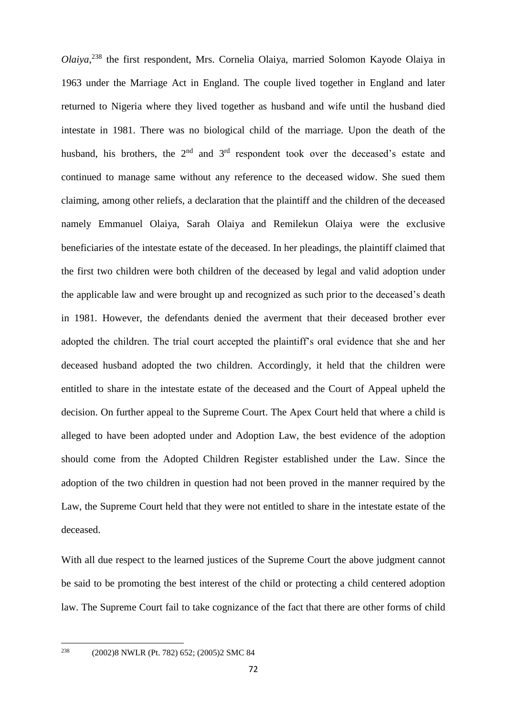*Olaiya*, <sup>238</sup> the first respondent, Mrs. Cornelia Olaiya, married Solomon Kayode Olaiya in 1963 under the Marriage Act in England. The couple lived together in England and later returned to Nigeria where they lived together as husband and wife until the husband died intestate in 1981. There was no biological child of the marriage. Upon the death of the husband, his brothers, the  $2<sup>nd</sup>$  and  $3<sup>rd</sup>$  respondent took over the deceased's estate and continued to manage same without any reference to the deceased widow. She sued them claiming, among other reliefs, a declaration that the plaintiff and the children of the deceased namely Emmanuel Olaiya, Sarah Olaiya and Remilekun Olaiya were the exclusive beneficiaries of the intestate estate of the deceased. In her pleadings, the plaintiff claimed that the first two children were both children of the deceased by legal and valid adoption under the applicable law and were brought up and recognized as such prior to the deceased's death in 1981. However, the defendants denied the averment that their deceased brother ever adopted the children. The trial court accepted the plaintiff's oral evidence that she and her deceased husband adopted the two children. Accordingly, it held that the children were entitled to share in the intestate estate of the deceased and the Court of Appeal upheld the decision. On further appeal to the Supreme Court. The Apex Court held that where a child is alleged to have been adopted under and Adoption Law, the best evidence of the adoption should come from the Adopted Children Register established under the Law. Since the adoption of the two children in question had not been proved in the manner required by the Law, the Supreme Court held that they were not entitled to share in the intestate estate of the deceased.

With all due respect to the learned justices of the Supreme Court the above judgment cannot be said to be promoting the best interest of the child or protecting a child centered adoption law. The Supreme Court fail to take cognizance of the fact that there are other forms of child

238

<sup>238</sup> (2002)8 NWLR (Pt. 782) 652; (2005)2 SMC 84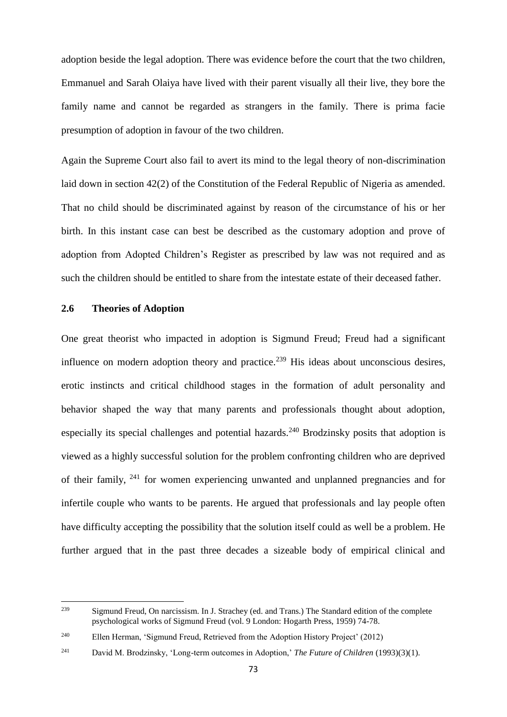adoption beside the legal adoption. There was evidence before the court that the two children, Emmanuel and Sarah Olaiya have lived with their parent visually all their live, they bore the family name and cannot be regarded as strangers in the family. There is prima facie presumption of adoption in favour of the two children.

Again the Supreme Court also fail to avert its mind to the legal theory of non-discrimination laid down in section 42(2) of the Constitution of the Federal Republic of Nigeria as amended. That no child should be discriminated against by reason of the circumstance of his or her birth. In this instant case can best be described as the customary adoption and prove of adoption from Adopted Children's Register as prescribed by law was not required and as such the children should be entitled to share from the intestate estate of their deceased father.

### **2.6 Theories of Adoption**

One great theorist who impacted in adoption is Sigmund Freud; Freud had a significant influence on modern adoption theory and practice.<sup>239</sup> His ideas about unconscious desires, erotic instincts and critical childhood stages in the formation of adult personality and behavior shaped the way that many parents and professionals thought about adoption, especially its special challenges and potential hazards.<sup>240</sup> Brodzinsky posits that adoption is viewed as a highly successful solution for the problem confronting children who are deprived of their family, <sup>241</sup> for women experiencing unwanted and unplanned pregnancies and for infertile couple who wants to be parents. He argued that professionals and lay people often have difficulty accepting the possibility that the solution itself could as well be a problem. He further argued that in the past three decades a sizeable body of empirical clinical and

<sup>239</sup> Sigmund Freud, On narcissism. In J. Strachey (ed. and Trans.) The Standard edition of the complete psychological works of Sigmund Freud (vol. 9 London: Hogarth Press, 1959) 74-78.

<sup>240</sup> Ellen Herman, 'Sigmund Freud, Retrieved from the Adoption History Project' (2012)

<sup>241</sup> David M. Brodzinsky, 'Long-term outcomes in Adoption,' *The Future of Children* (1993)(3)(1).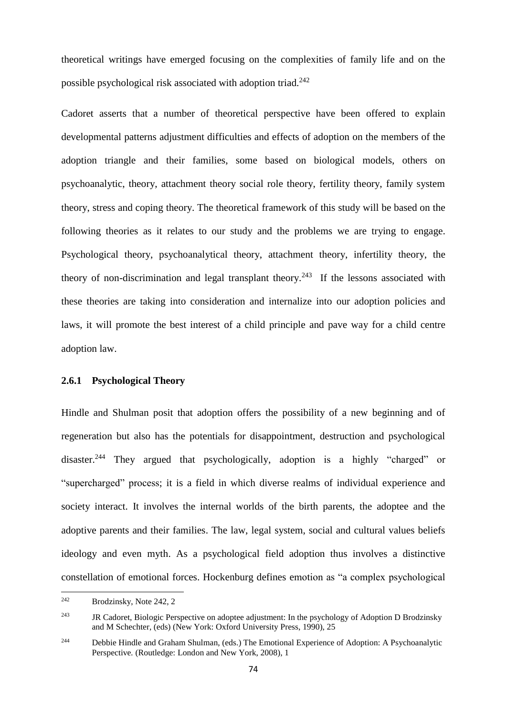theoretical writings have emerged focusing on the complexities of family life and on the possible psychological risk associated with adoption triad.<sup>242</sup>

Cadoret asserts that a number of theoretical perspective have been offered to explain developmental patterns adjustment difficulties and effects of adoption on the members of the adoption triangle and their families, some based on biological models, others on psychoanalytic, theory, attachment theory social role theory, fertility theory, family system theory, stress and coping theory. The theoretical framework of this study will be based on the following theories as it relates to our study and the problems we are trying to engage. Psychological theory, psychoanalytical theory, attachment theory, infertility theory, the theory of non-discrimination and legal transplant theory.<sup>243</sup> If the lessons associated with these theories are taking into consideration and internalize into our adoption policies and laws, it will promote the best interest of a child principle and pave way for a child centre adoption law.

## **2.6.1 Psychological Theory**

Hindle and Shulman posit that adoption offers the possibility of a new beginning and of regeneration but also has the potentials for disappointment, destruction and psychological disaster.<sup>244</sup> They argued that psychologically, adoption is a highly "charged" or "supercharged" process; it is a field in which diverse realms of individual experience and society interact. It involves the internal worlds of the birth parents, the adoptee and the adoptive parents and their families. The law, legal system, social and cultural values beliefs ideology and even myth. As a psychological field adoption thus involves a distinctive constellation of emotional forces. Hockenburg defines emotion as "a complex psychological

<sup>242</sup> Brodzinsky, Note 242, 2

<sup>&</sup>lt;sup>243</sup> JR Cadoret, Biologic Perspective on adoptee adjustment: In the psychology of Adoption D Brodzinsky and M Schechter, (eds) (New York: Oxford University Press, 1990), 25

<sup>244</sup> Debbie Hindle and Graham Shulman, (eds.) The Emotional Experience of Adoption: A Psychoanalytic Perspective*.* (Routledge: London and New York, 2008), 1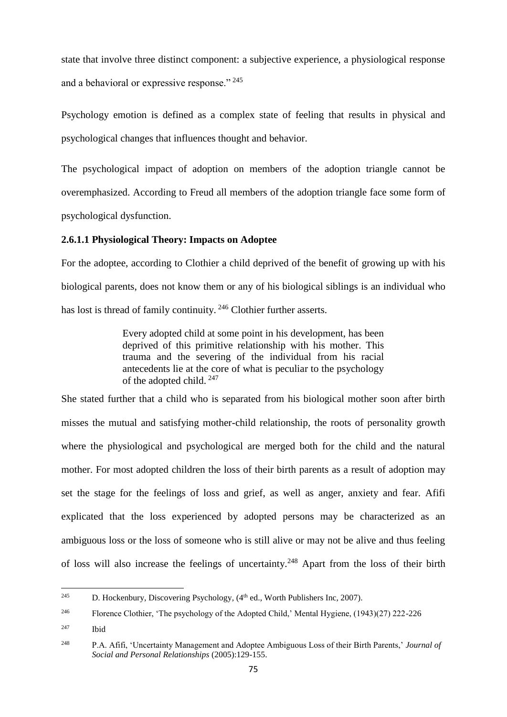state that involve three distinct component: a subjective experience, a physiological response and a behavioral or expressive response." <sup>245</sup>

Psychology emotion is defined as a complex state of feeling that results in physical and psychological changes that influences thought and behavior.

The psychological impact of adoption on members of the adoption triangle cannot be overemphasized. According to Freud all members of the adoption triangle face some form of psychological dysfunction.

# **2.6.1.1 Physiological Theory: Impacts on Adoptee**

For the adoptee, according to Clothier a child deprived of the benefit of growing up with his biological parents, does not know them or any of his biological siblings is an individual who has lost is thread of family continuity.<sup>246</sup> Clothier further asserts.

> Every adopted child at some point in his development, has been deprived of this primitive relationship with his mother. This trauma and the severing of the individual from his racial antecedents lie at the core of what is peculiar to the psychology of the adopted child. <sup>247</sup>

She stated further that a child who is separated from his biological mother soon after birth misses the mutual and satisfying mother-child relationship, the roots of personality growth where the physiological and psychological are merged both for the child and the natural mother. For most adopted children the loss of their birth parents as a result of adoption may set the stage for the feelings of loss and grief, as well as anger, anxiety and fear. Afifi explicated that the loss experienced by adopted persons may be characterized as an ambiguous loss or the loss of someone who is still alive or may not be alive and thus feeling of loss will also increase the feelings of uncertainty.<sup>248</sup> Apart from the loss of their birth

<sup>245</sup> D. Hockenbury, Discovering Psychology, (4<sup>th</sup> ed., Worth Publishers Inc, 2007).

<sup>&</sup>lt;sup>246</sup> Florence Clothier, 'The psychology of the Adopted Child,' Mental Hygiene, (1943)(27) 222-226

<sup>247</sup> Ibid

<sup>248</sup> P.A. Afifi, 'Uncertainty Management and Adoptee Ambiguous Loss of their Birth Parents,' *Journal of Social and Personal Relationships* (2005):129-155.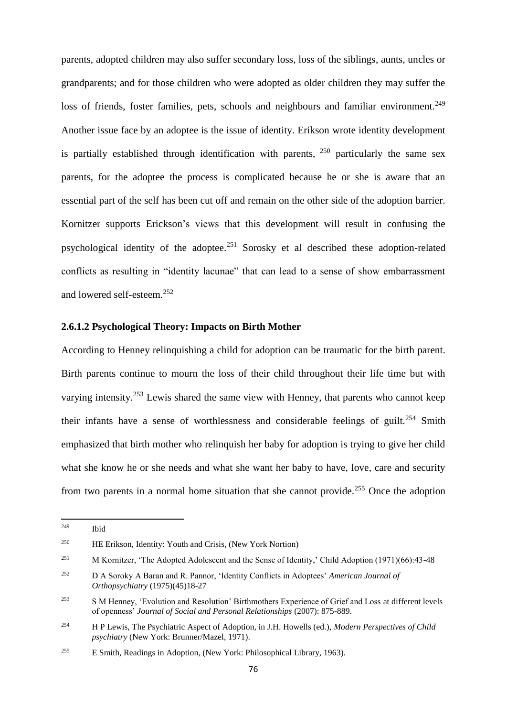parents, adopted children may also suffer secondary loss, loss of the siblings, aunts, uncles or grandparents; and for those children who were adopted as older children they may suffer the loss of friends, foster families, pets, schools and neighbours and familiar environment.<sup>249</sup> Another issue face by an adoptee is the issue of identity. Erikson wrote identity development is partially established through identification with parents,  $250$  particularly the same sex parents, for the adoptee the process is complicated because he or she is aware that an essential part of the self has been cut off and remain on the other side of the adoption barrier. Kornitzer supports Erickson's views that this development will result in confusing the psychological identity of the adoptee.<sup>251</sup> Sorosky et al described these adoption-related conflicts as resulting in "identity lacunae" that can lead to a sense of show embarrassment and lowered self-esteem.<sup>252</sup>

## **2.6.1.2 Psychological Theory: Impacts on Birth Mother**

According to Henney relinquishing a child for adoption can be traumatic for the birth parent. Birth parents continue to mourn the loss of their child throughout their life time but with varying intensity.<sup>253</sup> Lewis shared the same view with Henney, that parents who cannot keep their infants have a sense of worthlessness and considerable feelings of guilt.<sup>254</sup> Smith emphasized that birth mother who relinquish her baby for adoption is trying to give her child what she know he or she needs and what she want her baby to have, love, care and security from two parents in a normal home situation that she cannot provide.<sup>255</sup> Once the adoption

<sup>249</sup> **Ibid** 

<sup>250</sup> HE Erikson, Identity: Youth and Crisis, (New York Nortion)

<sup>&</sup>lt;sup>251</sup> M Kornitzer, 'The Adopted Adolescent and the Sense of Identity,' Child Adoption (1971)(66):43-48

<sup>252</sup> D A Soroky A Baran and R. Pannor, 'Identity Conflicts in Adoptees' *American Journal of Orthopsychiatry* (1975)(45)18-27

<sup>&</sup>lt;sup>253</sup> S M Henney, 'Evolution and Resolution' Birthmothers Experience of Grief and Loss at different levels of openness' *Journal of Social and Personal Relationships* (2007): 875-889.

<sup>254</sup> H P Lewis, The Psychiatric Aspect of Adoption, in J.H. Howells (ed.), *Modern Perspectives of Child psychiatry* (New York: Brunner/Mazel, 1971).

<sup>255</sup> E Smith, Readings in Adoption, (New York: Philosophical Library, 1963).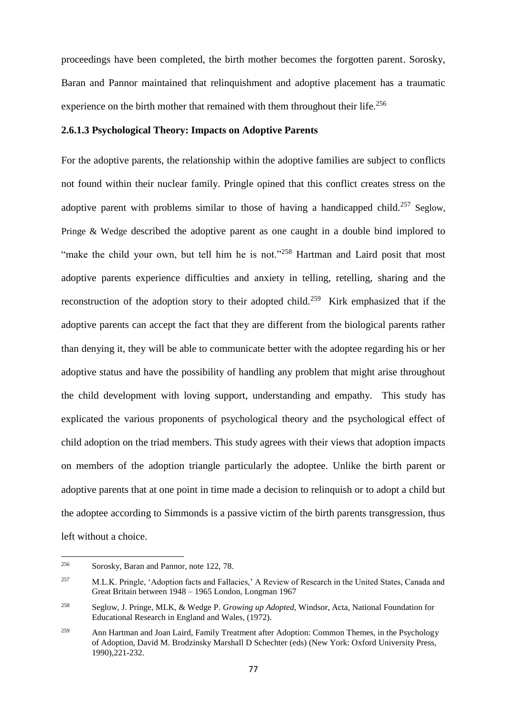proceedings have been completed, the birth mother becomes the forgotten parent. Sorosky, Baran and Pannor maintained that relinquishment and adoptive placement has a traumatic experience on the birth mother that remained with them throughout their life.<sup>256</sup>

### **2.6.1.3 Psychological Theory: Impacts on Adoptive Parents**

For the adoptive parents, the relationship within the adoptive families are subject to conflicts not found within their nuclear family. Pringle opined that this conflict creates stress on the adoptive parent with problems similar to those of having a handicapped child.<sup>257</sup> Seglow, Pringe & Wedge described the adoptive parent as one caught in a double bind implored to "make the child your own, but tell him he is not."<sup>258</sup> Hartman and Laird posit that most adoptive parents experience difficulties and anxiety in telling, retelling, sharing and the reconstruction of the adoption story to their adopted child.<sup>259</sup> Kirk emphasized that if the adoptive parents can accept the fact that they are different from the biological parents rather than denying it, they will be able to communicate better with the adoptee regarding his or her adoptive status and have the possibility of handling any problem that might arise throughout the child development with loving support, understanding and empathy. This study has explicated the various proponents of psychological theory and the psychological effect of child adoption on the triad members. This study agrees with their views that adoption impacts on members of the adoption triangle particularly the adoptee. Unlike the birth parent or adoptive parents that at one point in time made a decision to relinquish or to adopt a child but the adoptee according to Simmonds is a passive victim of the birth parents transgression, thus left without a choice.

<sup>256</sup> Sorosky, Baran and Pannor, note 122, 78.

<sup>&</sup>lt;sup>257</sup> M.L.K. Pringle, 'Adoption facts and Fallacies,' A Review of Research in the United States, Canada and Great Britain between 1948 – 1965 London, Longman 1967

<sup>258</sup> Seglow, J. Pringe, MLK, & Wedge P. *Growing up Adopted,* Windsor, Acta, National Foundation for Educational Research in England and Wales, (1972).

<sup>&</sup>lt;sup>259</sup> Ann Hartman and Joan Laird, Family Treatment after Adoption: Common Themes, in the Psychology of Adoption, David M. Brodzinsky Marshall D Schechter (eds) (New York: Oxford University Press, 1990),221-232.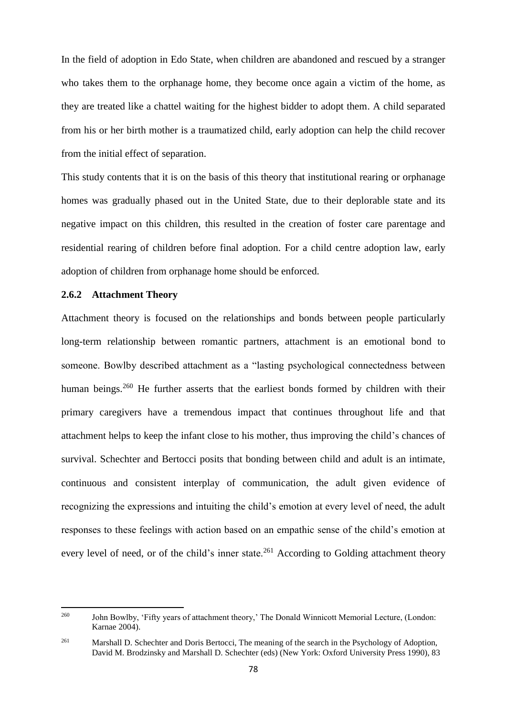In the field of adoption in Edo State, when children are abandoned and rescued by a stranger who takes them to the orphanage home, they become once again a victim of the home, as they are treated like a chattel waiting for the highest bidder to adopt them. A child separated from his or her birth mother is a traumatized child, early adoption can help the child recover from the initial effect of separation.

This study contents that it is on the basis of this theory that institutional rearing or orphanage homes was gradually phased out in the United State, due to their deplorable state and its negative impact on this children, this resulted in the creation of foster care parentage and residential rearing of children before final adoption. For a child centre adoption law, early adoption of children from orphanage home should be enforced.

## **2.6.2 Attachment Theory**

Attachment theory is focused on the relationships and bonds between people particularly long-term relationship between romantic partners, attachment is an emotional bond to someone. Bowlby described attachment as a "lasting psychological connectedness between human beings.<sup>260</sup> He further asserts that the earliest bonds formed by children with their primary caregivers have a tremendous impact that continues throughout life and that attachment helps to keep the infant close to his mother, thus improving the child's chances of survival. Schechter and Bertocci posits that bonding between child and adult is an intimate, continuous and consistent interplay of communication, the adult given evidence of recognizing the expressions and intuiting the child's emotion at every level of need, the adult responses to these feelings with action based on an empathic sense of the child's emotion at every level of need, or of the child's inner state.<sup>261</sup> According to Golding attachment theory

<sup>260</sup> <sup>260</sup> John Bowlby, 'Fifty years of attachment theory,' The Donald Winnicott Memorial Lecture, (London: Karnae 2004).

<sup>&</sup>lt;sup>261</sup> Marshall D. Schechter and Doris Bertocci, The meaning of the search in the Psychology of Adoption, David M. Brodzinsky and Marshall D. Schechter (eds) (New York: Oxford University Press 1990), 83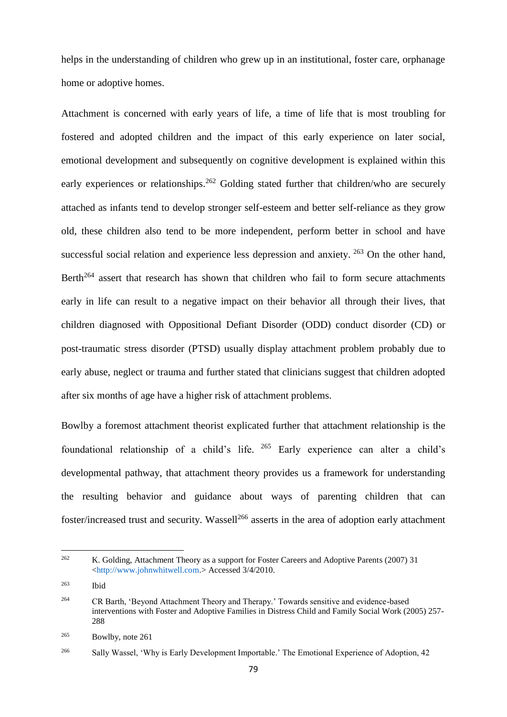helps in the understanding of children who grew up in an institutional, foster care, orphanage home or adoptive homes.

Attachment is concerned with early years of life, a time of life that is most troubling for fostered and adopted children and the impact of this early experience on later social, emotional development and subsequently on cognitive development is explained within this early experiences or relationships.<sup>262</sup> Golding stated further that children/who are securely attached as infants tend to develop stronger self-esteem and better self-reliance as they grow old, these children also tend to be more independent, perform better in school and have successful social relation and experience less depression and anxiety. <sup>263</sup> On the other hand, Berth<sup>264</sup> assert that research has shown that children who fail to form secure attachments early in life can result to a negative impact on their behavior all through their lives, that children diagnosed with Oppositional Defiant Disorder (ODD) conduct disorder (CD) or post-traumatic stress disorder (PTSD) usually display attachment problem probably due to early abuse, neglect or trauma and further stated that clinicians suggest that children adopted after six months of age have a higher risk of attachment problems.

Bowlby a foremost attachment theorist explicated further that attachment relationship is the foundational relationship of a child's life. <sup>265</sup> Early experience can alter a child's developmental pathway, that attachment theory provides us a framework for understanding the resulting behavior and guidance about ways of parenting children that can foster/increased trust and security. Wassell<sup>266</sup> asserts in the area of adoption early attachment

<sup>262</sup> K. Golding, Attachment Theory as a support for Foster Careers and Adoptive Parents (2007) 31 [<http://www.johnwhitwell.com.](http://www.johnwhitwell.com/)> Accessed 3/4/2010.

<sup>263</sup> Ibid

<sup>264</sup> CR Barth, 'Beyond Attachment Theory and Therapy.' Towards sensitive and evidence-based interventions with Foster and Adoptive Families in Distress Child and Family Social Work (2005) 257- 288

<sup>265</sup> Bowlby, note 261

<sup>&</sup>lt;sup>266</sup> Sally Wassel, 'Why is Early Development Importable.' The Emotional Experience of Adoption, 42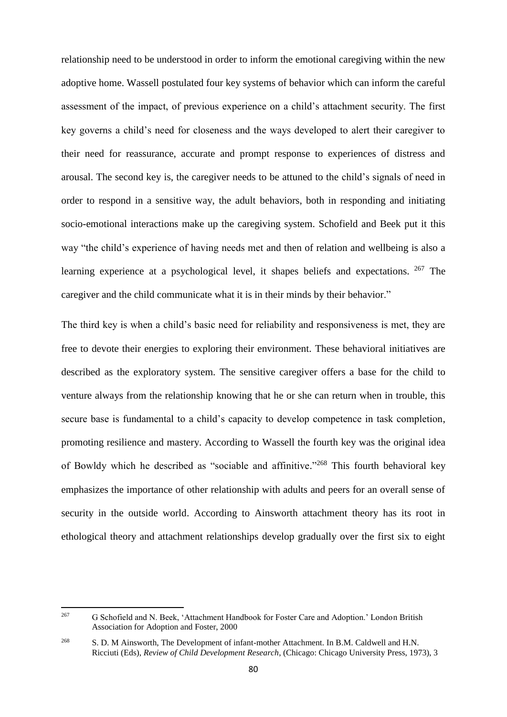relationship need to be understood in order to inform the emotional caregiving within the new adoptive home. Wassell postulated four key systems of behavior which can inform the careful assessment of the impact, of previous experience on a child's attachment security. The first key governs a child's need for closeness and the ways developed to alert their caregiver to their need for reassurance, accurate and prompt response to experiences of distress and arousal. The second key is, the caregiver needs to be attuned to the child's signals of need in order to respond in a sensitive way, the adult behaviors, both in responding and initiating socio-emotional interactions make up the caregiving system. Schofield and Beek put it this way "the child's experience of having needs met and then of relation and wellbeing is also a learning experience at a psychological level, it shapes beliefs and expectations. <sup>267</sup> The caregiver and the child communicate what it is in their minds by their behavior."

The third key is when a child's basic need for reliability and responsiveness is met, they are free to devote their energies to exploring their environment. These behavioral initiatives are described as the exploratory system. The sensitive caregiver offers a base for the child to venture always from the relationship knowing that he or she can return when in trouble, this secure base is fundamental to a child's capacity to develop competence in task completion, promoting resilience and mastery. According to Wassell the fourth key was the original idea of Bowldy which he described as "sociable and affinitive."<sup>268</sup> This fourth behavioral key emphasizes the importance of other relationship with adults and peers for an overall sense of security in the outside world. According to Ainsworth attachment theory has its root in ethological theory and attachment relationships develop gradually over the first six to eight

<sup>267</sup> <sup>267</sup> G Schofield and N. Beek, 'Attachment Handbook for Foster Care and Adoption.' London British Association for Adoption and Foster, 2000

<sup>&</sup>lt;sup>268</sup> S. D. M Ainsworth, The Development of infant-mother Attachment. In B.M. Caldwell and H.N. Ricciuti (Eds), *Review of Child Development Research*, (Chicago: Chicago University Press, 1973), 3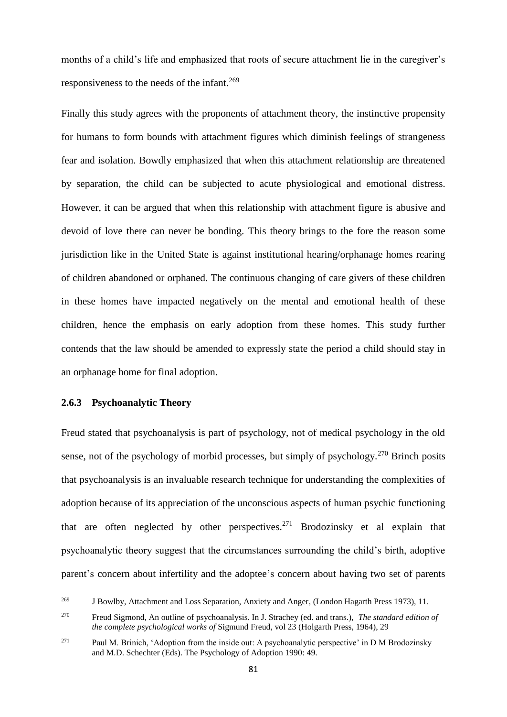months of a child's life and emphasized that roots of secure attachment lie in the caregiver's responsiveness to the needs of the infant.<sup>269</sup>

Finally this study agrees with the proponents of attachment theory, the instinctive propensity for humans to form bounds with attachment figures which diminish feelings of strangeness fear and isolation. Bowdly emphasized that when this attachment relationship are threatened by separation, the child can be subjected to acute physiological and emotional distress. However, it can be argued that when this relationship with attachment figure is abusive and devoid of love there can never be bonding. This theory brings to the fore the reason some jurisdiction like in the United State is against institutional hearing/orphanage homes rearing of children abandoned or orphaned. The continuous changing of care givers of these children in these homes have impacted negatively on the mental and emotional health of these children, hence the emphasis on early adoption from these homes. This study further contends that the law should be amended to expressly state the period a child should stay in an orphanage home for final adoption.

### **2.6.3 Psychoanalytic Theory**

Freud stated that psychoanalysis is part of psychology, not of medical psychology in the old sense, not of the psychology of morbid processes, but simply of psychology.<sup>270</sup> Brinch posits that psychoanalysis is an invaluable research technique for understanding the complexities of adoption because of its appreciation of the unconscious aspects of human psychic functioning that are often neglected by other perspectives.<sup>271</sup> Brodozinsky et al explain that psychoanalytic theory suggest that the circumstances surrounding the child's birth, adoptive parent's concern about infertility and the adoptee's concern about having two set of parents

<sup>269</sup> <sup>269</sup> J Bowlby, Attachment and Loss Separation, Anxiety and Anger*,* (London Hagarth Press 1973), 11.

<sup>270</sup> Freud Sigmond, An outline of psychoanalysis. In J. Strachey (ed. and trans.), *The standard edition of the complete psychological works of* Sigmund Freud, vol 23 (Holgarth Press, 1964), 29

<sup>271</sup> Paul M. Brinich, 'Adoption from the inside out: A psychoanalytic perspective' in D M Brodozinsky and M.D. Schechter (Eds). The Psychology of Adoption 1990: 49.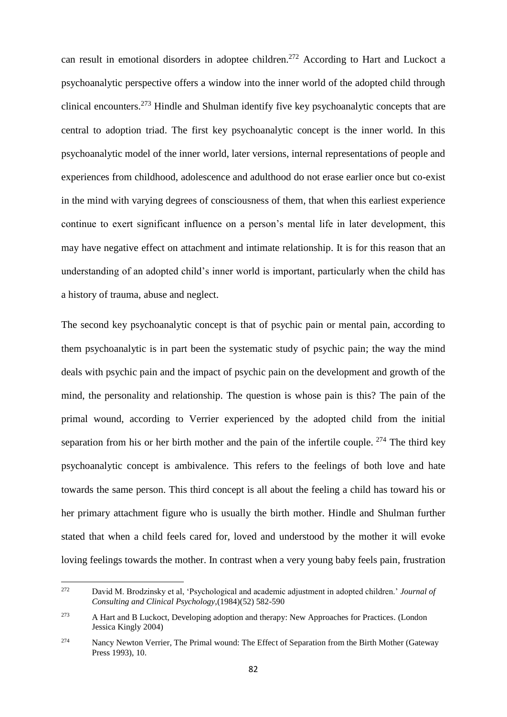can result in emotional disorders in adoptee children.<sup>272</sup> According to Hart and Luckoct a psychoanalytic perspective offers a window into the inner world of the adopted child through clinical encounters.<sup>273</sup> Hindle and Shulman identify five key psychoanalytic concepts that are central to adoption triad. The first key psychoanalytic concept is the inner world. In this psychoanalytic model of the inner world, later versions, internal representations of people and experiences from childhood, adolescence and adulthood do not erase earlier once but co-exist in the mind with varying degrees of consciousness of them, that when this earliest experience continue to exert significant influence on a person's mental life in later development, this may have negative effect on attachment and intimate relationship. It is for this reason that an understanding of an adopted child's inner world is important, particularly when the child has a history of trauma, abuse and neglect.

The second key psychoanalytic concept is that of psychic pain or mental pain, according to them psychoanalytic is in part been the systematic study of psychic pain; the way the mind deals with psychic pain and the impact of psychic pain on the development and growth of the mind, the personality and relationship. The question is whose pain is this? The pain of the primal wound, according to Verrier experienced by the adopted child from the initial separation from his or her birth mother and the pain of the infertile couple.  $274$  The third key psychoanalytic concept is ambivalence. This refers to the feelings of both love and hate towards the same person. This third concept is all about the feeling a child has toward his or her primary attachment figure who is usually the birth mother. Hindle and Shulman further stated that when a child feels cared for, loved and understood by the mother it will evoke loving feelings towards the mother. In contrast when a very young baby feels pain, frustration

<sup>272</sup> <sup>272</sup> David M. Brodzinsky et al, 'Psychological and academic adjustment in adopted children.' *Journal of Consulting and Clinical Psychology,*(1984)(52) 582-590

<sup>273</sup> A Hart and B Luckoct, Developing adoption and therapy: New Approaches for Practices*.* (London Jessica Kingly 2004)

<sup>&</sup>lt;sup>274</sup> Nancy Newton Verrier, The Primal wound: The Effect of Separation from the Birth Mother (Gateway Press 1993), 10.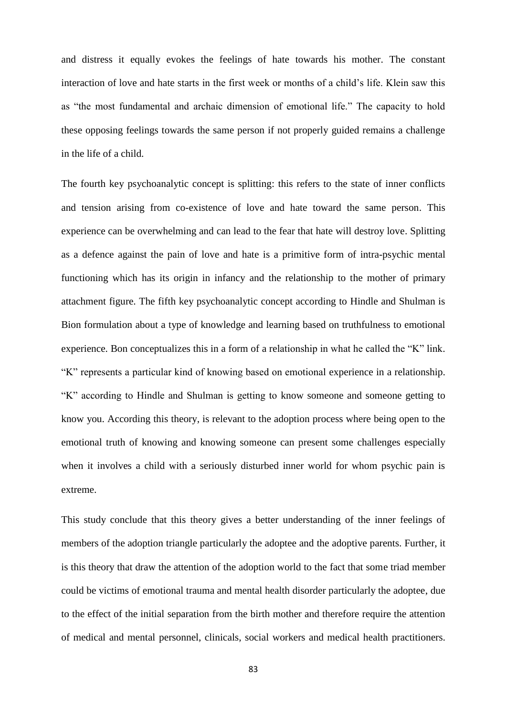and distress it equally evokes the feelings of hate towards his mother. The constant interaction of love and hate starts in the first week or months of a child's life. Klein saw this as "the most fundamental and archaic dimension of emotional life." The capacity to hold these opposing feelings towards the same person if not properly guided remains a challenge in the life of a child.

The fourth key psychoanalytic concept is splitting: this refers to the state of inner conflicts and tension arising from co-existence of love and hate toward the same person. This experience can be overwhelming and can lead to the fear that hate will destroy love. Splitting as a defence against the pain of love and hate is a primitive form of intra-psychic mental functioning which has its origin in infancy and the relationship to the mother of primary attachment figure. The fifth key psychoanalytic concept according to Hindle and Shulman is Bion formulation about a type of knowledge and learning based on truthfulness to emotional experience. Bon conceptualizes this in a form of a relationship in what he called the "K" link. "K" represents a particular kind of knowing based on emotional experience in a relationship. "K" according to Hindle and Shulman is getting to know someone and someone getting to know you. According this theory, is relevant to the adoption process where being open to the emotional truth of knowing and knowing someone can present some challenges especially when it involves a child with a seriously disturbed inner world for whom psychic pain is extreme.

This study conclude that this theory gives a better understanding of the inner feelings of members of the adoption triangle particularly the adoptee and the adoptive parents. Further, it is this theory that draw the attention of the adoption world to the fact that some triad member could be victims of emotional trauma and mental health disorder particularly the adoptee, due to the effect of the initial separation from the birth mother and therefore require the attention of medical and mental personnel, clinicals, social workers and medical health practitioners.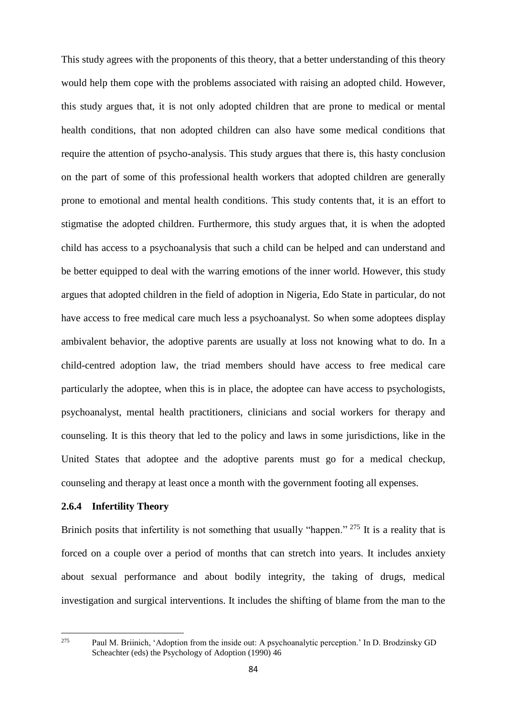This study agrees with the proponents of this theory, that a better understanding of this theory would help them cope with the problems associated with raising an adopted child. However, this study argues that, it is not only adopted children that are prone to medical or mental health conditions, that non adopted children can also have some medical conditions that require the attention of psycho-analysis. This study argues that there is, this hasty conclusion on the part of some of this professional health workers that adopted children are generally prone to emotional and mental health conditions. This study contents that, it is an effort to stigmatise the adopted children. Furthermore, this study argues that, it is when the adopted child has access to a psychoanalysis that such a child can be helped and can understand and be better equipped to deal with the warring emotions of the inner world. However, this study argues that adopted children in the field of adoption in Nigeria, Edo State in particular, do not have access to free medical care much less a psychoanalyst. So when some adoptees display ambivalent behavior, the adoptive parents are usually at loss not knowing what to do. In a child-centred adoption law, the triad members should have access to free medical care particularly the adoptee, when this is in place, the adoptee can have access to psychologists, psychoanalyst, mental health practitioners, clinicians and social workers for therapy and counseling. It is this theory that led to the policy and laws in some jurisdictions, like in the United States that adoptee and the adoptive parents must go for a medical checkup, counseling and therapy at least once a month with the government footing all expenses.

#### **2.6.4 Infertility Theory**

Brinich posits that infertility is not something that usually "happen." <sup>275</sup> It is a reality that is forced on a couple over a period of months that can stretch into years. It includes anxiety about sexual performance and about bodily integrity, the taking of drugs, medical investigation and surgical interventions. It includes the shifting of blame from the man to the

275

<sup>275</sup> Paul M. Briinich, 'Adoption from the inside out: A psychoanalytic perception.' In D. Brodzinsky GD Scheachter (eds) the Psychology of Adoption (1990) 46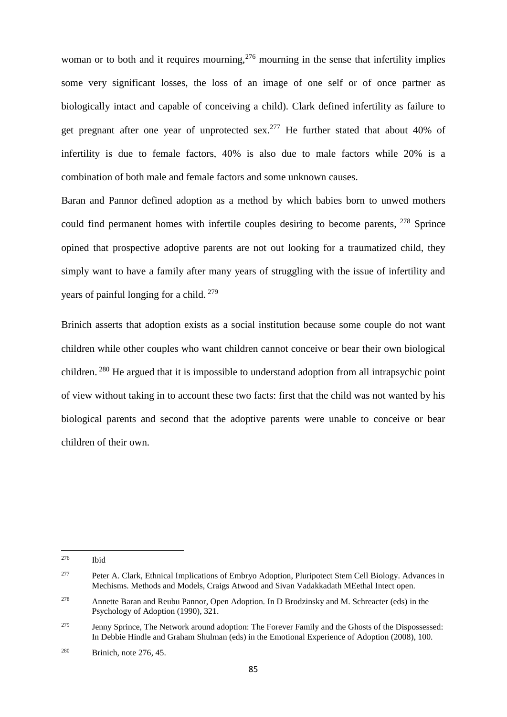woman or to both and it requires mourning,  $276$  mourning in the sense that infertility implies some very significant losses, the loss of an image of one self or of once partner as biologically intact and capable of conceiving a child). Clark defined infertility as failure to get pregnant after one year of unprotected sex.<sup>277</sup> He further stated that about 40% of infertility is due to female factors, 40% is also due to male factors while 20% is a combination of both male and female factors and some unknown causes.

Baran and Pannor defined adoption as a method by which babies born to unwed mothers could find permanent homes with infertile couples desiring to become parents, <sup>278</sup> Sprince opined that prospective adoptive parents are not out looking for a traumatized child, they simply want to have a family after many years of struggling with the issue of infertility and years of painful longing for a child. <sup>279</sup>

Brinich asserts that adoption exists as a social institution because some couple do not want children while other couples who want children cannot conceive or bear their own biological children.<sup>280</sup> He argued that it is impossible to understand adoption from all intrapsychic point of view without taking in to account these two facts: first that the child was not wanted by his biological parents and second that the adoptive parents were unable to conceive or bear children of their own.

<sup>276</sup> Ibid

<sup>277</sup> Peter A. Clark, Ethnical Implications of Embryo Adoption, Pluripotect Stem Cell Biology. Advances in Mechisms. Methods and Models, Craigs Atwood and Sivan Vadakkadath MEethal Intect open.

<sup>278</sup> Annette Baran and Reubu Pannor, Open Adoption*.* In D Brodzinsky and M. Schreacter (eds) in the Psychology of Adoption (1990), 321.

<sup>&</sup>lt;sup>279</sup> Jenny Sprince, The Network around adoption: The Forever Family and the Ghosts of the Dispossessed: In Debbie Hindle and Graham Shulman (eds) in the Emotional Experience of Adoption (2008), 100.

<sup>280</sup> Brinich, note 276, 45.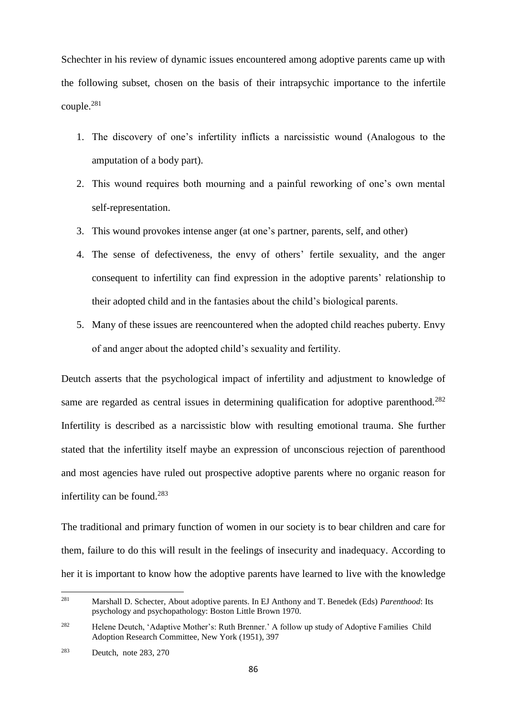Schechter in his review of dynamic issues encountered among adoptive parents came up with the following subset, chosen on the basis of their intrapsychic importance to the infertile couple.<sup>281</sup>

- 1. The discovery of one's infertility inflicts a narcissistic wound (Analogous to the amputation of a body part).
- 2. This wound requires both mourning and a painful reworking of one's own mental self-representation.
- 3. This wound provokes intense anger (at one's partner, parents, self, and other)
- 4. The sense of defectiveness, the envy of others' fertile sexuality, and the anger consequent to infertility can find expression in the adoptive parents' relationship to their adopted child and in the fantasies about the child's biological parents.
- 5. Many of these issues are reencountered when the adopted child reaches puberty. Envy of and anger about the adopted child's sexuality and fertility.

Deutch asserts that the psychological impact of infertility and adjustment to knowledge of same are regarded as central issues in determining qualification for adoptive parenthood.<sup>282</sup> Infertility is described as a narcissistic blow with resulting emotional trauma. She further stated that the infertility itself maybe an expression of unconscious rejection of parenthood and most agencies have ruled out prospective adoptive parents where no organic reason for infertility can be found.<sup>283</sup>

The traditional and primary function of women in our society is to bear children and care for them, failure to do this will result in the feelings of insecurity and inadequacy. According to her it is important to know how the adoptive parents have learned to live with the knowledge

<sup>281</sup> <sup>281</sup> Marshall D. Schecter, About adoptive parents. In EJ Anthony and T. Benedek (Eds) *Parenthood*: Its psychology and psychopathology: Boston Little Brown 1970.

<sup>282</sup> Helene Deutch, 'Adaptive Mother's: Ruth Brenner.' A follow up study of Adoptive Families Child Adoption Research Committee, New York (1951), 397

<sup>283</sup> Deutch, note 283, 270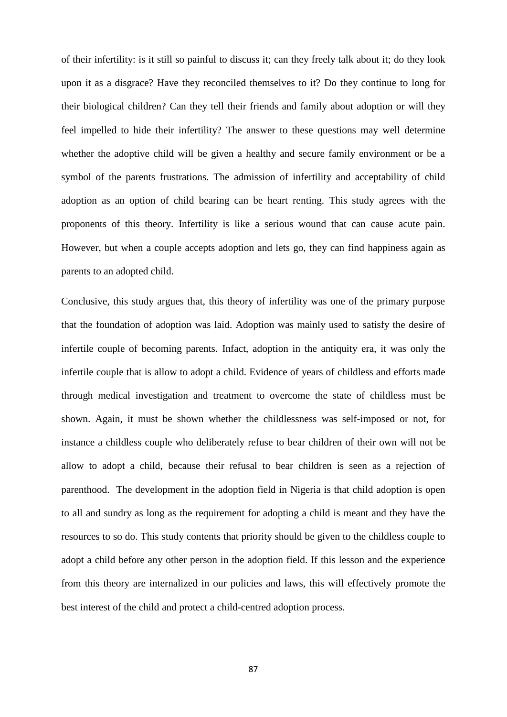of their infertility: is it still so painful to discuss it; can they freely talk about it; do they look upon it as a disgrace? Have they reconciled themselves to it? Do they continue to long for their biological children? Can they tell their friends and family about adoption or will they feel impelled to hide their infertility? The answer to these questions may well determine whether the adoptive child will be given a healthy and secure family environment or be a symbol of the parents frustrations. The admission of infertility and acceptability of child adoption as an option of child bearing can be heart renting. This study agrees with the proponents of this theory. Infertility is like a serious wound that can cause acute pain. However, but when a couple accepts adoption and lets go, they can find happiness again as parents to an adopted child.

Conclusive, this study argues that, this theory of infertility was one of the primary purpose that the foundation of adoption was laid. Adoption was mainly used to satisfy the desire of infertile couple of becoming parents. Infact, adoption in the antiquity era, it was only the infertile couple that is allow to adopt a child. Evidence of years of childless and efforts made through medical investigation and treatment to overcome the state of childless must be shown. Again, it must be shown whether the childlessness was self-imposed or not, for instance a childless couple who deliberately refuse to bear children of their own will not be allow to adopt a child, because their refusal to bear children is seen as a rejection of parenthood. The development in the adoption field in Nigeria is that child adoption is open to all and sundry as long as the requirement for adopting a child is meant and they have the resources to so do. This study contents that priority should be given to the childless couple to adopt a child before any other person in the adoption field. If this lesson and the experience from this theory are internalized in our policies and laws, this will effectively promote the best interest of the child and protect a child-centred adoption process.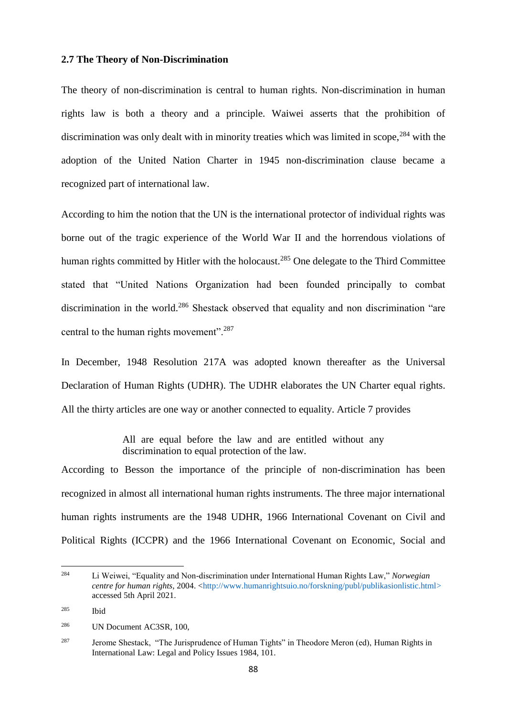#### **2.7 The Theory of Non-Discrimination**

The theory of non-discrimination is central to human rights. Non-discrimination in human rights law is both a theory and a principle. Waiwei asserts that the prohibition of discrimination was only dealt with in minority treaties which was limited in scope,<sup>284</sup> with the adoption of the United Nation Charter in 1945 non-discrimination clause became a recognized part of international law.

According to him the notion that the UN is the international protector of individual rights was borne out of the tragic experience of the World War II and the horrendous violations of human rights committed by Hitler with the holocaust.<sup>285</sup> One delegate to the Third Committee stated that "United Nations Organization had been founded principally to combat discrimination in the world.<sup>286</sup> Shestack observed that equality and non discrimination "are central to the human rights movement".<sup>287</sup>

In December, 1948 Resolution 217A was adopted known thereafter as the Universal Declaration of Human Rights (UDHR). The UDHR elaborates the UN Charter equal rights. All the thirty articles are one way or another connected to equality. Article 7 provides

> All are equal before the law and are entitled without any discrimination to equal protection of the law.

According to Besson the importance of the principle of non-discrimination has been recognized in almost all international human rights instruments. The three major international human rights instruments are the 1948 UDHR, 1966 International Covenant on Civil and Political Rights (ICCPR) and the 1966 International Covenant on Economic, Social and

<sup>284</sup> <sup>284</sup> Li Weiwei, "Equality and Non-discrimination under International Human Rights Law," *Norwegian centre for human rights,* 2004. [<http://www.humanrightsuio.no/forskning/publ/publikasionlistic.html>](http://www.humanrightsuio.no/forskning/publ/publikasionlistic.html) accessed 5th April 2021.

<sup>285</sup> Ibid

<sup>286</sup> UN Document AC3SR, 100,

<sup>&</sup>lt;sup>287</sup> Jerome Shestack, "The Jurisprudence of Human Tights" in Theodore Meron (ed), Human Rights in International Law: Legal and Policy Issues 1984, 101.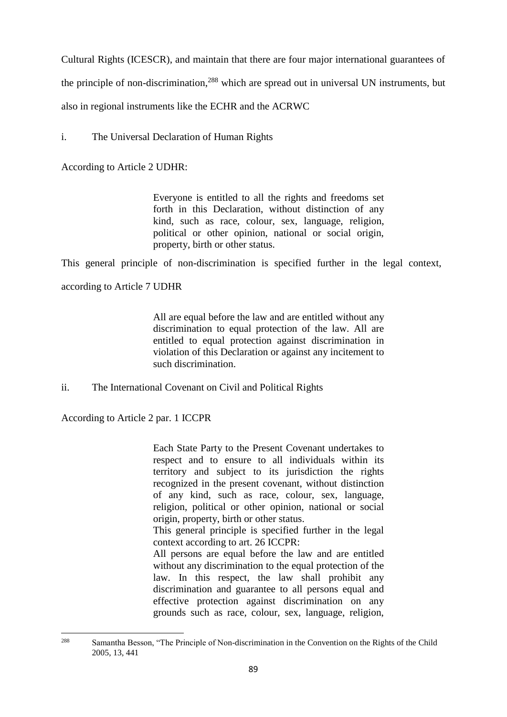Cultural Rights (ICESCR), and maintain that there are four major international guarantees of

the principle of non-discrimination,<sup>288</sup> which are spread out in universal UN instruments, but

also in regional instruments like the ECHR and the ACRWC

i. The Universal Declaration of Human Rights

According to Article 2 UDHR:

Everyone is entitled to all the rights and freedoms set forth in this Declaration, without distinction of any kind, such as race, colour, sex, language, religion, political or other opinion, national or social origin, property, birth or other status.

This general principle of non-discrimination is specified further in the legal context,

according to Article 7 UDHR

All are equal before the law and are entitled without any discrimination to equal protection of the law. All are entitled to equal protection against discrimination in violation of this Declaration or against any incitement to such discrimination.

ii. The International Covenant on Civil and Political Rights

According to Article 2 par. 1 ICCPR

Each State Party to the Present Covenant undertakes to respect and to ensure to all individuals within its territory and subject to its jurisdiction the rights recognized in the present covenant, without distinction of any kind, such as race, colour, sex, language, religion, political or other opinion, national or social origin, property, birth or other status.

This general principle is specified further in the legal context according to art. 26 ICCPR:

All persons are equal before the law and are entitled without any discrimination to the equal protection of the law. In this respect, the law shall prohibit any discrimination and guarantee to all persons equal and effective protection against discrimination on any grounds such as race, colour, sex, language, religion,

<sup>288</sup> <sup>288</sup> Samantha Besson, "The Principle of Non-discrimination in the Convention on the Rights of the Child 2005, 13, 441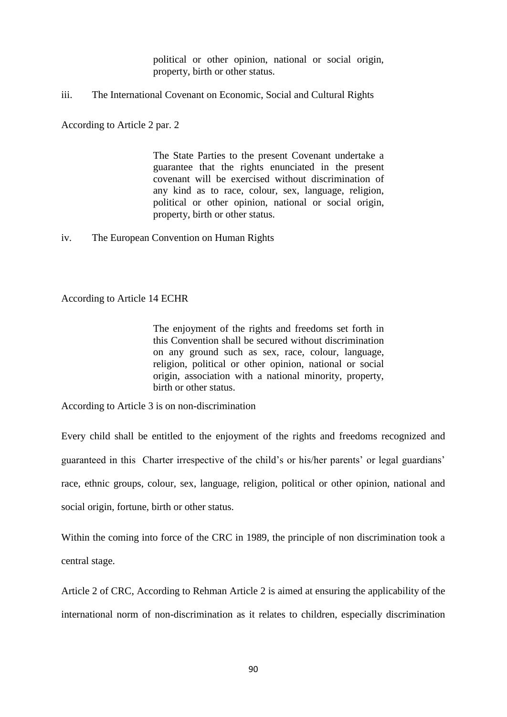political or other opinion, national or social origin, property, birth or other status.

iii. The International Covenant on Economic, Social and Cultural Rights

According to Article 2 par. 2

The State Parties to the present Covenant undertake a guarantee that the rights enunciated in the present covenant will be exercised without discrimination of any kind as to race, colour, sex, language, religion, political or other opinion, national or social origin, property, birth or other status.

iv. The European Convention on Human Rights

According to Article 14 ECHR

The enjoyment of the rights and freedoms set forth in this Convention shall be secured without discrimination on any ground such as sex, race, colour, language, religion, political or other opinion, national or social origin, association with a national minority, property, birth or other status.

According to Article 3 is on non-discrimination

Every child shall be entitled to the enjoyment of the rights and freedoms recognized and guaranteed in this Charter irrespective of the child's or his/her parents' or legal guardians' race, ethnic groups, colour, sex, language, religion, political or other opinion, national and social origin, fortune, birth or other status.

Within the coming into force of the CRC in 1989, the principle of non discrimination took a central stage.

Article 2 of CRC, According to Rehman Article 2 is aimed at ensuring the applicability of the international norm of non-discrimination as it relates to children, especially discrimination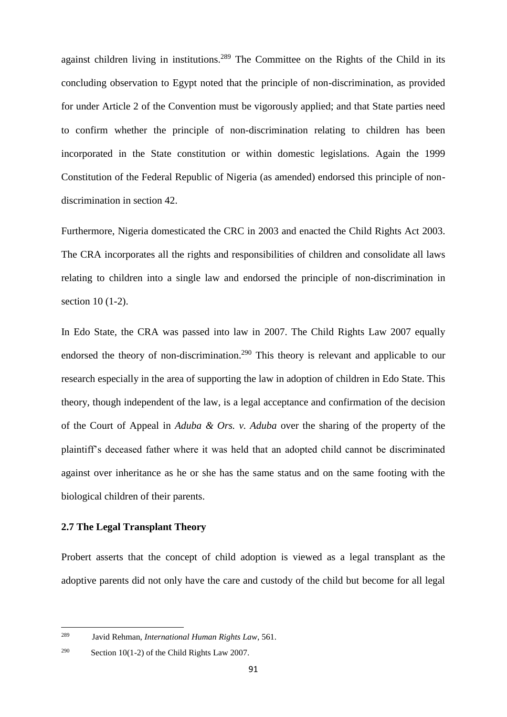against children living in institutions.<sup>289</sup> The Committee on the Rights of the Child in its concluding observation to Egypt noted that the principle of non-discrimination, as provided for under Article 2 of the Convention must be vigorously applied; and that State parties need to confirm whether the principle of non-discrimination relating to children has been incorporated in the State constitution or within domestic legislations. Again the 1999 Constitution of the Federal Republic of Nigeria (as amended) endorsed this principle of nondiscrimination in section 42.

Furthermore, Nigeria domesticated the CRC in 2003 and enacted the Child Rights Act 2003. The CRA incorporates all the rights and responsibilities of children and consolidate all laws relating to children into a single law and endorsed the principle of non-discrimination in section 10 (1-2).

In Edo State, the CRA was passed into law in 2007. The Child Rights Law 2007 equally endorsed the theory of non-discrimination.<sup>290</sup> This theory is relevant and applicable to our research especially in the area of supporting the law in adoption of children in Edo State. This theory, though independent of the law, is a legal acceptance and confirmation of the decision of the Court of Appeal in *Aduba & Ors. v. Aduba* over the sharing of the property of the plaintiff's deceased father where it was held that an adopted child cannot be discriminated against over inheritance as he or she has the same status and on the same footing with the biological children of their parents.

# **2.7 The Legal Transplant Theory**

Probert asserts that the concept of child adoption is viewed as a legal transplant as the adoptive parents did not only have the care and custody of the child but become for all legal

**.** 

<sup>289</sup> Javid Rehman, *International Human Rights Law*, 561.

<sup>290</sup> Section 10(1-2) of the Child Rights Law 2007.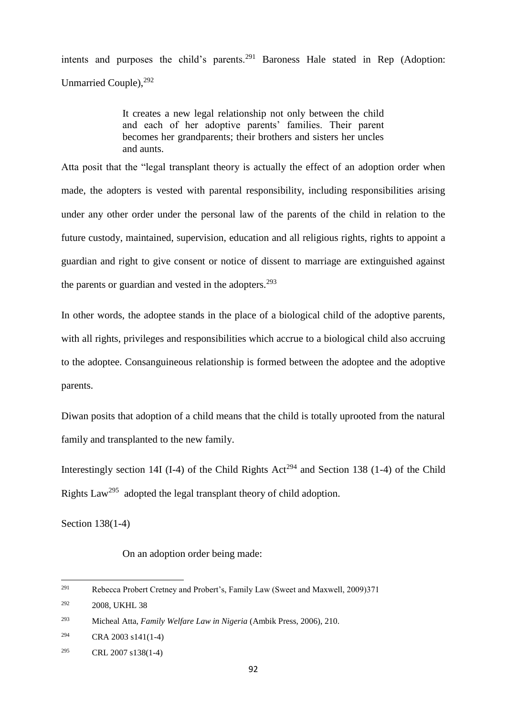intents and purposes the child's parents.<sup>291</sup> Baroness Hale stated in Rep (Adoption: Unmarried Couple),  $^{292}$ 

> It creates a new legal relationship not only between the child and each of her adoptive parents' families. Their parent becomes her grandparents; their brothers and sisters her uncles and aunts.

Atta posit that the "legal transplant theory is actually the effect of an adoption order when made, the adopters is vested with parental responsibility, including responsibilities arising under any other order under the personal law of the parents of the child in relation to the future custody, maintained, supervision, education and all religious rights, rights to appoint a guardian and right to give consent or notice of dissent to marriage are extinguished against the parents or guardian and vested in the adopters.<sup>293</sup>

In other words, the adoptee stands in the place of a biological child of the adoptive parents, with all rights, privileges and responsibilities which accrue to a biological child also accruing to the adoptee. Consanguineous relationship is formed between the adoptee and the adoptive parents.

Diwan posits that adoption of a child means that the child is totally uprooted from the natural family and transplanted to the new family.

Interestingly section 14I (I-4) of the Child Rights Act<sup>294</sup> and Section 138 (1-4) of the Child Rights Law<sup>295</sup> adopted the legal transplant theory of child adoption.

Section 138(1-4)

**.** 

On an adoption order being made:

<sup>291</sup> Rebecca Probert Cretney and Probert's, Family Law (Sweet and Maxwell, 2009)371

<sup>292</sup> 2008, UKHL 38

<sup>293</sup> Micheal Atta, *Family Welfare Law in Nigeria* (Ambik Press, 2006), 210.

<sup>294</sup> CRA 2003 s141(1-4)

<sup>295</sup> CRL 2007 s138(1-4)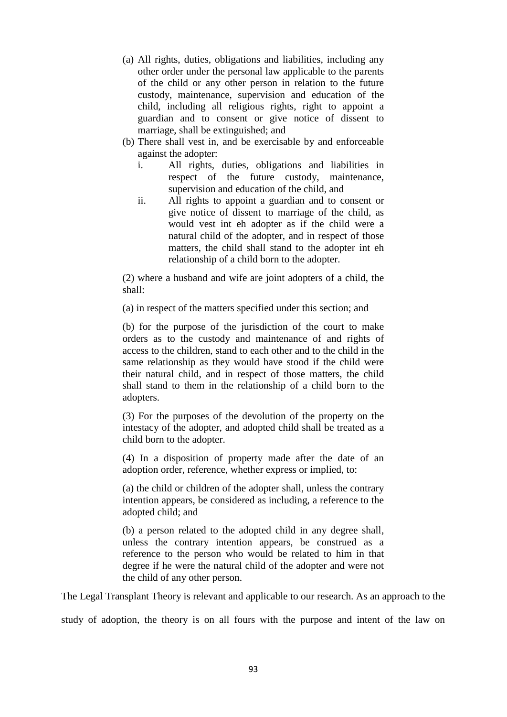- (a) All rights, duties, obligations and liabilities, including any other order under the personal law applicable to the parents of the child or any other person in relation to the future custody, maintenance, supervision and education of the child, including all religious rights, right to appoint a guardian and to consent or give notice of dissent to marriage, shall be extinguished; and
- (b) There shall vest in, and be exercisable by and enforceable against the adopter:
	- i. All rights, duties, obligations and liabilities in respect of the future custody, maintenance, supervision and education of the child, and
	- ii. All rights to appoint a guardian and to consent or give notice of dissent to marriage of the child, as would vest int eh adopter as if the child were a natural child of the adopter, and in respect of those matters, the child shall stand to the adopter int eh relationship of a child born to the adopter.

(2) where a husband and wife are joint adopters of a child, the shall:

(a) in respect of the matters specified under this section; and

(b) for the purpose of the jurisdiction of the court to make orders as to the custody and maintenance of and rights of access to the children, stand to each other and to the child in the same relationship as they would have stood if the child were their natural child, and in respect of those matters, the child shall stand to them in the relationship of a child born to the adopters.

(3) For the purposes of the devolution of the property on the intestacy of the adopter, and adopted child shall be treated as a child born to the adopter.

(4) In a disposition of property made after the date of an adoption order, reference, whether express or implied, to:

(a) the child or children of the adopter shall, unless the contrary intention appears, be considered as including, a reference to the adopted child; and

(b) a person related to the adopted child in any degree shall, unless the contrary intention appears, be construed as a reference to the person who would be related to him in that degree if he were the natural child of the adopter and were not the child of any other person.

The Legal Transplant Theory is relevant and applicable to our research. As an approach to the

study of adoption, the theory is on all fours with the purpose and intent of the law on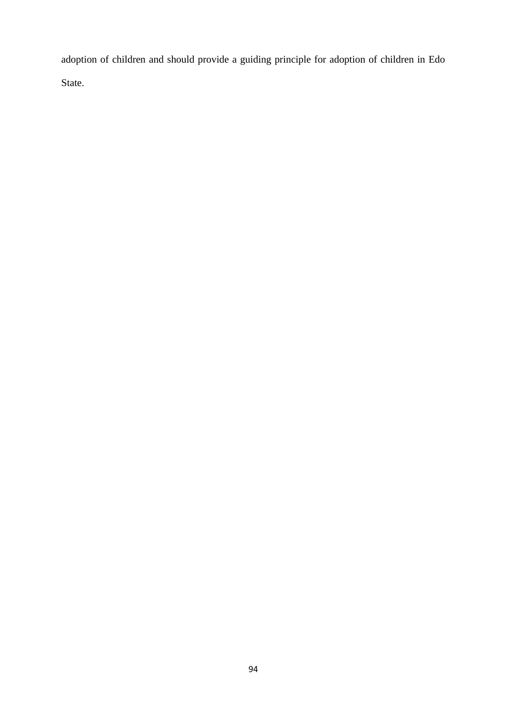adoption of children and should provide a guiding principle for adoption of children in Edo State.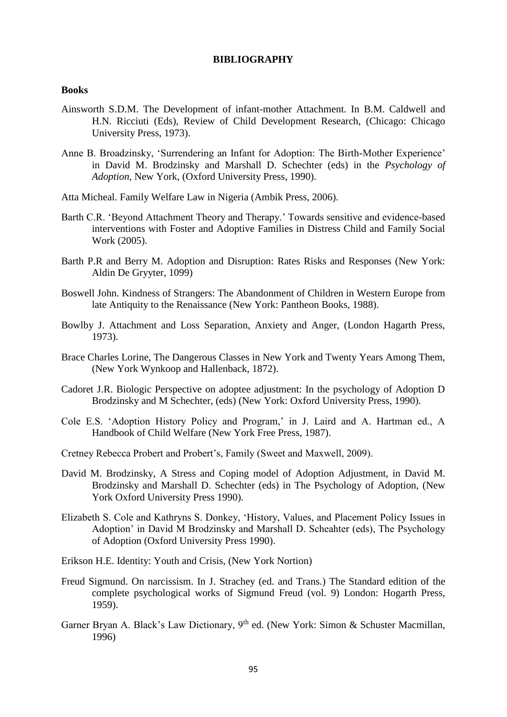#### **BIBLIOGRAPHY**

### **Books**

- Ainsworth S.D.M. The Development of infant-mother Attachment. In B.M. Caldwell and H.N. Ricciuti (Eds), Review of Child Development Research, (Chicago: Chicago University Press, 1973).
- Anne B. Broadzinsky, 'Surrendering an Infant for Adoption: The Birth-Mother Experience' in David M. Brodzinsky and Marshall D. Schechter (eds) in the *Psychology of Adoption,* New York, (Oxford University Press, 1990).
- Atta Micheal. Family Welfare Law in Nigeria (Ambik Press, 2006).
- Barth C.R. 'Beyond Attachment Theory and Therapy.' Towards sensitive and evidence-based interventions with Foster and Adoptive Families in Distress Child and Family Social Work (2005).
- Barth P.R and Berry M. Adoption and Disruption: Rates Risks and Responses (New York: Aldin De Gryyter, 1099)
- Boswell John. Kindness of Strangers: The Abandonment of Children in Western Europe from late Antiquity to the Renaissance (New York: Pantheon Books, 1988).
- Bowlby J. Attachment and Loss Separation, Anxiety and Anger, (London Hagarth Press, 1973).
- Brace Charles Lorine, The Dangerous Classes in New York and Twenty Years Among Them, (New York Wynkoop and Hallenback, 1872).
- Cadoret J.R. Biologic Perspective on adoptee adjustment: In the psychology of Adoption D Brodzinsky and M Schechter, (eds) (New York: Oxford University Press, 1990).
- Cole E.S. 'Adoption History Policy and Program,' in J. Laird and A. Hartman ed., A Handbook of Child Welfare (New York Free Press, 1987).
- Cretney Rebecca Probert and Probert's, Family (Sweet and Maxwell, 2009).
- David M. Brodzinsky, A Stress and Coping model of Adoption Adjustment, in David M. Brodzinsky and Marshall D. Schechter (eds) in The Psychology of Adoption, (New York Oxford University Press 1990).
- Elizabeth S. Cole and Kathryns S. Donkey, 'History, Values, and Placement Policy Issues in Adoption' in David M Brodzinsky and Marshall D. Scheahter (eds), The Psychology of Adoption (Oxford University Press 1990).
- Erikson H.E. Identity: Youth and Crisis, (New York Nortion)
- Freud Sigmund. On narcissism. In J. Strachey (ed. and Trans.) The Standard edition of the complete psychological works of Sigmund Freud (vol. 9) London: Hogarth Press, 1959).
- Garner Bryan A. Black's Law Dictionary, 9<sup>th</sup> ed. (New York: Simon & Schuster Macmillan, 1996)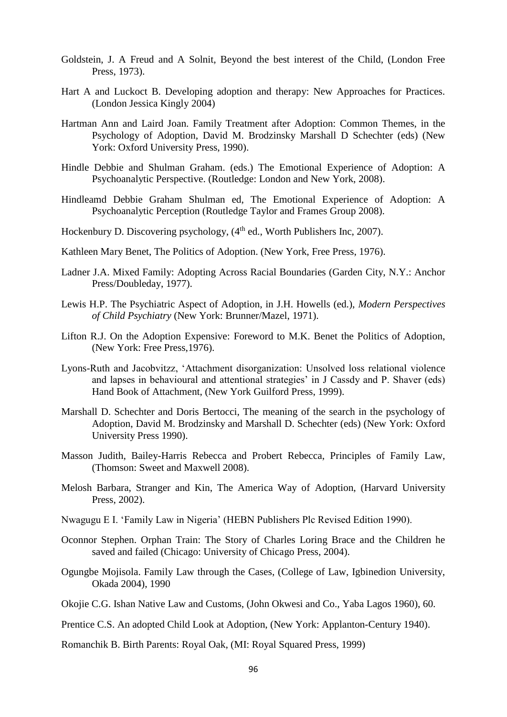- Goldstein, J. A Freud and A Solnit, Beyond the best interest of the Child, (London Free Press, 1973).
- Hart A and Luckoct B. Developing adoption and therapy: New Approaches for Practices. (London Jessica Kingly 2004)
- Hartman Ann and Laird Joan. Family Treatment after Adoption: Common Themes, in the Psychology of Adoption, David M. Brodzinsky Marshall D Schechter (eds) (New York: Oxford University Press, 1990).
- Hindle Debbie and Shulman Graham. (eds.) The Emotional Experience of Adoption: A Psychoanalytic Perspective. (Routledge: London and New York, 2008).
- Hindleamd Debbie Graham Shulman ed, The Emotional Experience of Adoption: A Psychoanalytic Perception (Routledge Taylor and Frames Group 2008).
- Hockenbury D. Discovering psychology,  $(4<sup>th</sup>$  ed., Worth Publishers Inc, 2007).
- Kathleen Mary Benet, The Politics of Adoption. (New York, Free Press, 1976).
- Ladner J.A. Mixed Family: Adopting Across Racial Boundaries (Garden City, N.Y.: Anchor Press/Doubleday, 1977).
- Lewis H.P. The Psychiatric Aspect of Adoption, in J.H. Howells (ed.), *Modern Perspectives of Child Psychiatry* (New York: Brunner/Mazel, 1971).
- Lifton R.J. On the Adoption Expensive: Foreword to M.K. Benet the Politics of Adoption, (New York: Free Press,1976).
- Lyons-Ruth and Jacobvitzz, 'Attachment disorganization: Unsolved loss relational violence and lapses in behavioural and attentional strategies' in J Cassdy and P. Shaver (eds) Hand Book of Attachment, (New York Guilford Press, 1999).
- Marshall D. Schechter and Doris Bertocci, The meaning of the search in the psychology of Adoption, David M. Brodzinsky and Marshall D. Schechter (eds) (New York: Oxford University Press 1990).
- Masson Judith, Bailey-Harris Rebecca and Probert Rebecca, Principles of Family Law, (Thomson: Sweet and Maxwell 2008).
- Melosh Barbara, Stranger and Kin, The America Way of Adoption, (Harvard University Press, 2002).
- Nwagugu E I. 'Family Law in Nigeria' (HEBN Publishers Plc Revised Edition 1990).
- Oconnor Stephen. Orphan Train: The Story of Charles Loring Brace and the Children he saved and failed (Chicago: University of Chicago Press, 2004).
- Ogungbe Mojisola. Family Law through the Cases, (College of Law, Igbinedion University, Okada 2004), 1990
- Okojie C.G. Ishan Native Law and Customs, (John Okwesi and Co., Yaba Lagos 1960), 60.
- Prentice C.S. An adopted Child Look at Adoption, (New York: Applanton-Century 1940).
- Romanchik B. Birth Parents: Royal Oak, (MI: Royal Squared Press, 1999)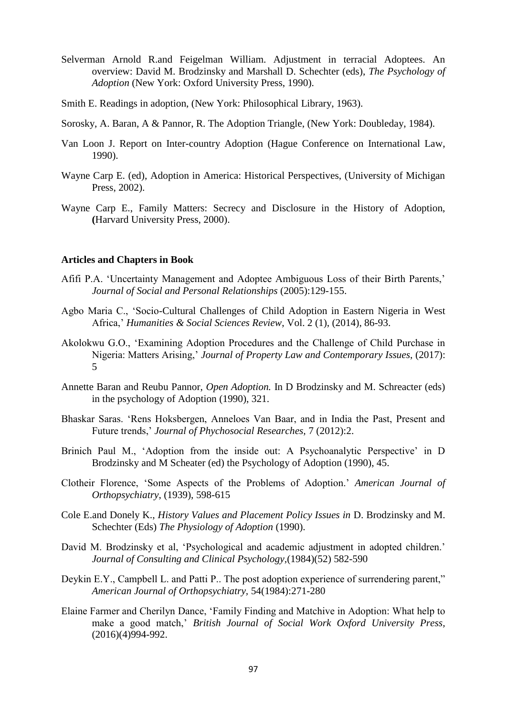- Selverman Arnold R.and Feigelman William. Adjustment in terracial Adoptees. An overview: David M. Brodzinsky and Marshall D. Schechter (eds), *The Psychology of Adoption* (New York: Oxford University Press, 1990).
- Smith E. Readings in adoption, (New York: Philosophical Library, 1963).
- Sorosky, A. Baran, A & Pannor, R. The Adoption Triangle, (New York: Doubleday, 1984).
- Van Loon J. Report on Inter-country Adoption (Hague Conference on International Law, 1990).
- Wayne Carp E. (ed), Adoption in America: Historical Perspectives, (University of Michigan Press, 2002).
- Wayne Carp E., Family Matters: Secrecy and Disclosure in the History of Adoption, **(**Harvard University Press, 2000).

#### **Articles and Chapters in Book**

- Afifi P.A. 'Uncertainty Management and Adoptee Ambiguous Loss of their Birth Parents,' *Journal of Social and Personal Relationships* (2005):129-155.
- Agbo Maria C., 'Socio-Cultural Challenges of Child Adoption in Eastern Nigeria in West Africa,' *Humanities & Social Sciences Review*, Vol. 2 (1), (2014), 86-93.
- Akolokwu G.O., 'Examining Adoption Procedures and the Challenge of Child Purchase in Nigeria: Matters Arising,' *Journal of Property Law and Contemporary Issues*, (2017): 5
- Annette Baran and Reubu Pannor, *Open Adoption.* In D Brodzinsky and M. Schreacter (eds) in the psychology of Adoption (1990), 321.
- Bhaskar Saras. 'Rens Hoksbergen, Anneloes Van Baar, and in India the Past, Present and Future trends,' *Journal of Phychosocial Researches,* 7 (2012):2.
- Brinich Paul M., 'Adoption from the inside out: A Psychoanalytic Perspective' in D Brodzinsky and M Scheater (ed) the Psychology of Adoption (1990), 45.
- Clotheir Florence, 'Some Aspects of the Problems of Adoption.' *American Journal of Orthopsychiatry*, (1939), 598-615
- Cole E.and Donely K., *History Values and Placement Policy Issues in* D. Brodzinsky and M. Schechter (Eds) *The Physiology of Adoption* (1990).
- David M. Brodzinsky et al, 'Psychological and academic adjustment in adopted children.' *Journal of Consulting and Clinical Psychology,*(1984)(52) 582-590
- Deykin E.Y., Campbell L. and Patti P.. The post adoption experience of surrendering parent," *American Journal of Orthopsychiatry,* 54(1984):271-280
- Elaine Farmer and Cherilyn Dance, 'Family Finding and Matchive in Adoption: What help to make a good match,' *British Journal of Social Work Oxford University Press,* (2016)(4)994-992.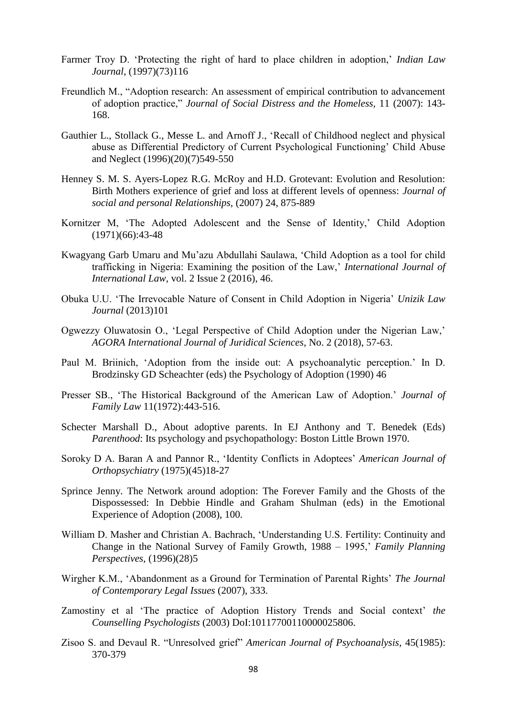- Farmer Troy D. 'Protecting the right of hard to place children in adoption,' *Indian Law Journal*, (1997)(73)116
- Freundlich M., "Adoption research: An assessment of empirical contribution to advancement of adoption practice," *Journal of Social Distress and the Homeless,* 11 (2007): 143- 168.
- Gauthier L., Stollack G., Messe L. and Arnoff J., 'Recall of Childhood neglect and physical abuse as Differential Predictory of Current Psychological Functioning' Child Abuse and Neglect (1996)(20)(7)549-550
- Henney S. M. S. Ayers-Lopez R.G. McRoy and H.D. Grotevant: Evolution and Resolution: Birth Mothers experience of grief and loss at different levels of openness: *Journal of social and personal Relationships,* (2007) 24, 875-889
- Kornitzer M, 'The Adopted Adolescent and the Sense of Identity,' Child Adoption  $(1971)(66):43-48$
- Kwagyang Garb Umaru and Mu'azu Abdullahi Saulawa, 'Child Adoption as a tool for child trafficking in Nigeria: Examining the position of the Law,' *International Journal of International Law,* vol. 2 Issue 2 (2016), 46.
- Obuka U.U. 'The Irrevocable Nature of Consent in Child Adoption in Nigeria' *Unizik Law Journal* (2013)101
- Ogwezzy Oluwatosin O., 'Legal Perspective of Child Adoption under the Nigerian Law,' *AGORA International Journal of Juridical Sciences*, No. 2 (2018), 57-63.
- Paul M. Briinich, 'Adoption from the inside out: A psychoanalytic perception.' In D. Brodzinsky GD Scheachter (eds) the Psychology of Adoption (1990) 46
- Presser SB., 'The Historical Background of the American Law of Adoption.' *Journal of Family Law* 11(1972):443-516.
- Schecter Marshall D., About adoptive parents. In EJ Anthony and T. Benedek (Eds) *Parenthood*: Its psychology and psychopathology: Boston Little Brown 1970.
- Soroky D A. Baran A and Pannor R., 'Identity Conflicts in Adoptees' *American Journal of Orthopsychiatry* (1975)(45)18-27
- Sprince Jenny. The Network around adoption: The Forever Family and the Ghosts of the Dispossessed: In Debbie Hindle and Graham Shulman (eds) in the Emotional Experience of Adoption (2008), 100.
- William D. Masher and Christian A. Bachrach, 'Understanding U.S. Fertility: Continuity and Change in the National Survey of Family Growth, 1988 – 1995,' *Family Planning Perspectives,* (1996)(28)5
- Wirgher K.M., 'Abandonment as a Ground for Termination of Parental Rights' *The Journal of Contemporary Legal Issues* (2007), 333.
- Zamostiny et al 'The practice of Adoption History Trends and Social context' *the Counselling Psychologists* (2003) DoI:10117700110000025806.
- Zisoo S. and Devaul R. "Unresolved grief" *American Journal of Psychoanalysis,* 45(1985): 370-379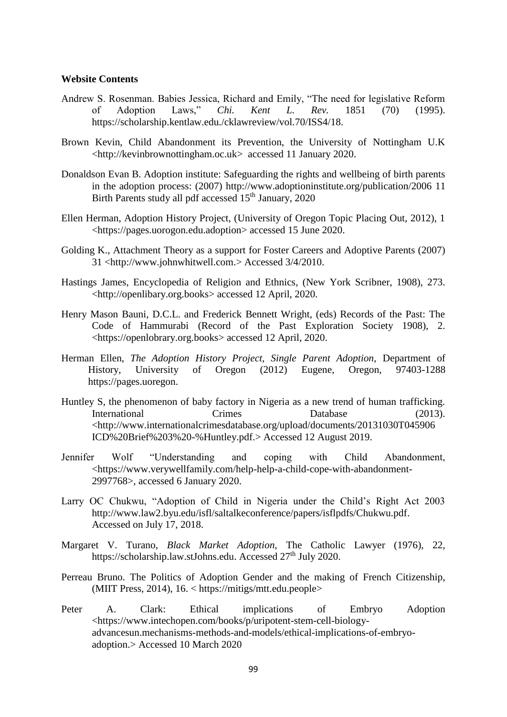#### **Website Contents**

- Andrew S. Rosenman. Babies Jessica, Richard and Emily, "The need for legislative Reform of Adoption Laws," *Chi. Kent L. Rev.* 1851 (70) (1995). [https://scholarship.kentlaw.edu./cklawreview/vol.70/ISS4/18.](https://scholarship.kentlaw.edu./cklawreview/vol.70/ISS4/18)
- Brown Kevin, Child Abandonment its Prevention, the University of Nottingham U.K [<http://kevinbrownottingham.oc.uk>](http://kevinbrownottingham.oc.uk/) accessed 11 January 2020.
- Donaldson Evan B. Adoption institute: Safeguarding the rights and wellbeing of birth parents in the adoption process: (2007)<http://www.adoptioninstitute.org/publication/2006> 11 Birth Parents study all pdf accessed 15<sup>th</sup> January, 2020
- Ellen Herman, Adoption History Project, (University of Oregon Topic Placing Out, 2012), 1 <https://pages.uorogon.edu.adoption> accessed 15 June 2020.
- Golding K., Attachment Theory as a support for Foster Careers and Adoptive Parents (2007) 31 [<http://www.johnwhitwell.com.](http://www.johnwhitwell.com/)> Accessed 3/4/2010.
- Hastings James, Encyclopedia of Religion and Ethnics*,* (New York Scribner, 1908), 273. [<http://openlibary.org.books>](http://openlibary.org.books/) accessed 12 April, 2020.
- Henry Mason Bauni, D.C.L. and Frederick Bennett Wright, (eds) Records of the Past: The Code of Hammurabi (Record of the Past Exploration Society 1908), 2. [<https://openlobrary.org.books>](https://openlobrary.org.books/) accessed 12 April, 2020.
- Herman Ellen, *The Adoption History Project, Single Parent Adoption,* Department of History, University of Oregon (2012) Eugene, Oregon, 97403-1288 [https://pages.uoregon.](https://pages.uoregon/)
- Huntley S, the phenomenon of baby factory in Nigeria as a new trend of human trafficking. International Crimes Database (2013). [<http://www.internationalcrimesdatabase.org/upload/documents/20131030T045906](http://www.internationalcrimesdatabase.org/upload/documents/20131030T045906) ICD%20Brief%203%20-%Huntley.pdf.> Accessed 12 August 2019.
- Jennifer Wolf "Understanding and coping with Child Abandonment, [<https://www.verywellfamily.com/help-help-a-child-cope-with-abandonment-](https://www.verywellfamily.com/help-help-a-child-cope-with-abandonment-2997768)[2997768>](https://www.verywellfamily.com/help-help-a-child-cope-with-abandonment-2997768), accessed 6 January 2020.
- Larry OC Chukwu, "Adoption of Child in Nigeria under the Child's Right Act 2003 [http://www.law2.byu.edu/isfl/saltalkeconference/papers/isflpdfs/Chukwu.pdf.](http://www.law2.byu.edu/isfl/saltalkeconference/papers/isflpdfs/Chukwu.pdf) Accessed on July 17, 2018.
- Margaret V. Turano, *Black Market Adoption,* The Catholic Lawyer (1976), 22, [https://scholarship.law.stJohns.edu.](https://scholarship.law.stjohns.edu/) Accessed 27<sup>th</sup> July 2020.
- Perreau Bruno. The Politics of Adoption Gender and the making of French Citizenship, (MIIT Press, 2014), 16. < https://mitigs/mtt.edu.people>
- Peter A. Clark: Ethical implications of Embryo Adoption [<https://www.intechopen.com/books/p/uripotent-stem-cell-biology](https://www.intechopen.com/books/p/uripotent-stem-cell-biology-advancesun.mechanisms-methods-and-models/ethical-implications-of-embryo-adoption)[advancesun.mechanisms-methods-and-models/ethical-implications-of-embryo](https://www.intechopen.com/books/p/uripotent-stem-cell-biology-advancesun.mechanisms-methods-and-models/ethical-implications-of-embryo-adoption)[adoption.](https://www.intechopen.com/books/p/uripotent-stem-cell-biology-advancesun.mechanisms-methods-and-models/ethical-implications-of-embryo-adoption)> Accessed 10 March 2020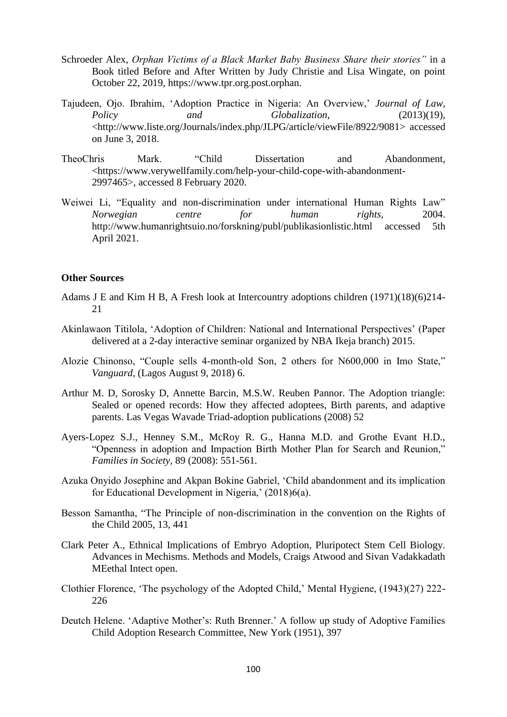- Schroeder Alex, *Orphan Victims of a Black Market Baby Business Share their stories"* in a Book titled Before and After Written by Judy Christie and Lisa Wingate, on point October 22, 2019, [https://www.tpr.org.post.orphan.](https://www.tpr.org.post.orphan/)
- Tajudeen, Ojo. Ibrahim, 'Adoption Practice in Nigeria: An Overview,' *Journal of Law, Policy and Globalization,* (2013)(19), [<http://www.liste.org/Journals/index.php/JLPG/article/viewFile/8922/9081>](http://www.liste.org/Journals/index.php/JLPG/article/viewFile/8922/9081) accessed on June 3, 2018.
- TheoChris Mark. "Child Dissertation and Abandonment, [<https://www.verywellfamily.com/help-your-child-cope-with-abandonment-](https://www.verywellfamily.com/help-your-child-cope-with-abandonment-2997465)[2997465>](https://www.verywellfamily.com/help-your-child-cope-with-abandonment-2997465), accessed 8 February 2020.
- Weiwei Li, "Equality and non-discrimination under international Human Rights Law" *Norwegian centre for human rights,* 2004. <http://www.humanrightsuio.no/forskning/publ/publikasionlistic.html> accessed 5th April 2021.

# **Other Sources**

- Adams J E and Kim H B, A Fresh look at Intercountry adoptions children (1971)(18)(6)214- 21
- Akinlawaon Titilola, 'Adoption of Children: National and International Perspectives' (Paper delivered at a 2-day interactive seminar organized by NBA Ikeja branch) 2015.
- Alozie Chinonso, "Couple sells 4-month-old Son, 2 others for N600,000 in Imo State," *Vanguard,* (Lagos August 9, 2018) 6.
- Arthur M. D, Sorosky D, Annette Barcin, M.S.W. Reuben Pannor. The Adoption triangle: Sealed or opened records: How they affected adoptees, Birth parents, and adaptive parents. Las Vegas Wavade Triad-adoption publications (2008) 52
- Ayers-Lopez S.J., Henney S.M., McRoy R. G., Hanna M.D. and Grothe Evant H.D., "Openness in adoption and Impaction Birth Mother Plan for Search and Reunion," *Families in Society*, 89 (2008): 551-561.
- Azuka Onyido Josephine and Akpan Bokine Gabriel, 'Child abandonment and its implication for Educational Development in Nigeria,' (2018)6(a).
- Besson Samantha, "The Principle of non-discrimination in the convention on the Rights of the Child 2005, 13, 441
- Clark Peter A., Ethnical Implications of Embryo Adoption, Pluripotect Stem Cell Biology. Advances in Mechisms. Methods and Models, Craigs Atwood and Sivan Vadakkadath MEethal Intect open.
- Clothier Florence, 'The psychology of the Adopted Child,' Mental Hygiene, (1943)(27) 222- 226
- Deutch Helene. 'Adaptive Mother's: Ruth Brenner.' A follow up study of Adoptive Families Child Adoption Research Committee, New York (1951), 397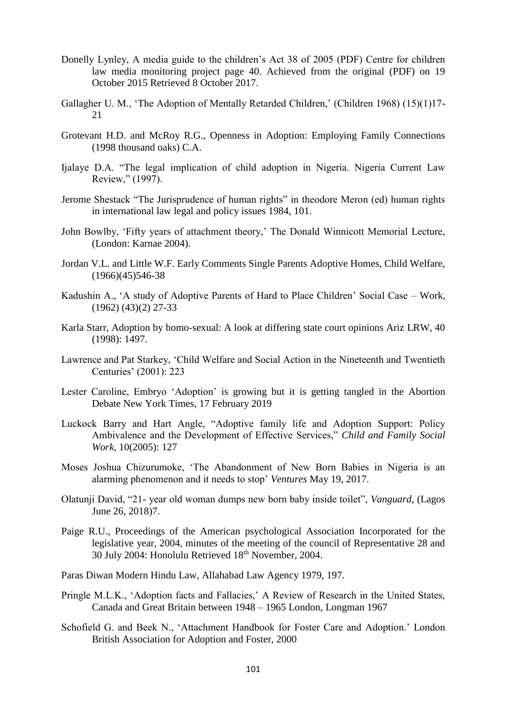- Donelly Lynley, A media guide to the children's Act 38 of 2005 (PDF) Centre for children law media monitoring project page 40. Achieved from the original (PDF) on 19 October 2015 Retrieved 8 October 2017.
- Gallagher U. M., 'The Adoption of Mentally Retarded Children,' (Children 1968) (15)(1)17- 21
- Grotevant H.D. and McRoy R.G., Openness in Adoption: Employing Family Connections (1998 thousand oaks) C.A.
- Ijalaye D.A. "The legal implication of child adoption in Nigeria. Nigeria Current Law Review," (1997).
- Jerome Shestack "The Jurisprudence of human rights" in theodore Meron (ed) human rights in international law legal and policy issues 1984, 101.
- John Bowlby, 'Fifty years of attachment theory,' The Donald Winnicott Memorial Lecture, (London: Karnae 2004).
- Jordan V.L. and Little W.F. Early Comments Single Parents Adoptive Homes, Child Welfare,  $(1966)(45)546-38$
- Kadushin A., 'A study of Adoptive Parents of Hard to Place Children' Social Case Work, (1962) (43)(2) 27-33
- Karla Starr, Adoption by homo-sexual: A look at differing state court opinions Ariz LRW, 40 (1998): 1497.
- Lawrence and Pat Starkey, 'Child Welfare and Social Action in the Nineteenth and Twentieth Centuries' (2001): 223
- Lester Caroline, Embryo 'Adoption' is growing but it is getting tangled in the Abortion Debate New York Times, 17 February 2019
- Luckock Barry and Hart Angle, "Adoptive family life and Adoption Support: Policy Ambivalence and the Development of Effective Services," *Child and Family Social Work,* 10(2005): 127
- Moses Joshua Chizurumoke, 'The Abandonment of New Born Babies in Nigeria is an alarming phenomenon and it needs to stop' *Ventures* May 19, 2017.
- Olatunji David, "21- year old woman dumps new born baby inside toilet", *Vanguard*, (Lagos June 26, 2018)7.
- Paige R.U., Proceedings of the American psychological Association Incorporated for the legislative year, 2004, minutes of the meeting of the council of Representative 28 and 30 July 2004: Honolulu Retrieved 18<sup>th</sup> November, 2004.
- Paras Diwan Modern Hindu Law, Allahabad Law Agency 1979, 197.
- Pringle M.L.K., 'Adoption facts and Fallacies,' A Review of Research in the United States, Canada and Great Britain between 1948 – 1965 London, Longman 1967
- Schofield G. and Beek N., 'Attachment Handbook for Foster Care and Adoption.' London British Association for Adoption and Foster, 2000